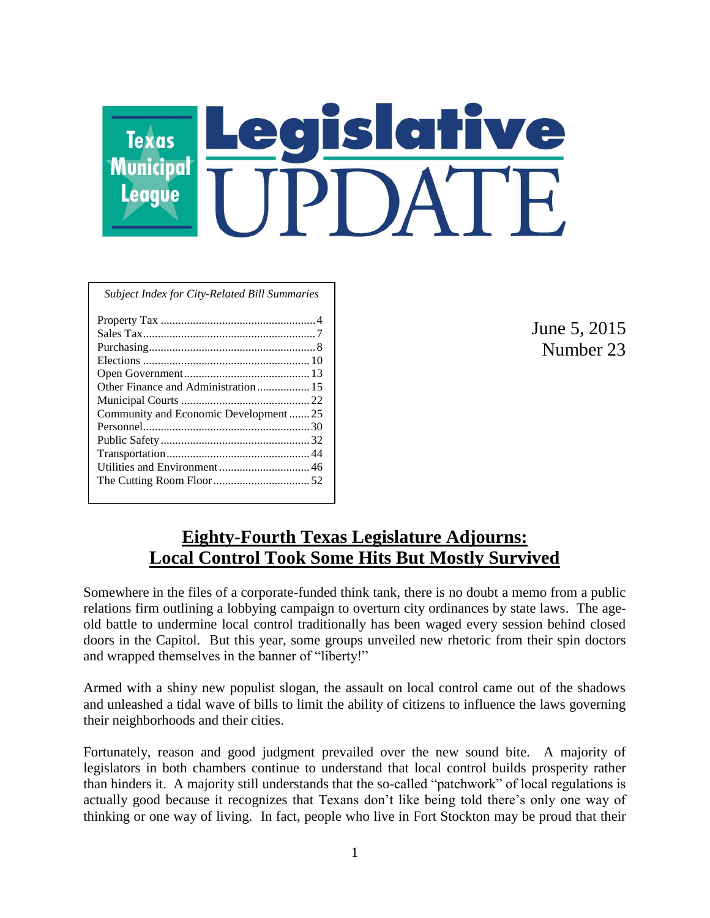# $\overline{\mathbf{C}}$ **Texas Municipal League**

|  | <b>Subject Index for City-Related Bill Summaries</b> |  |  |
|--|------------------------------------------------------|--|--|
|  |                                                      |  |  |

| Community and Economic Development25 |
|--------------------------------------|
|                                      |
|                                      |
|                                      |
|                                      |
|                                      |
|                                      |

June 5, 2015 Number 23

# **Eighty-Fourth Texas Legislature Adjourns: Local Control Took Some Hits But Mostly Survived**

Somewhere in the files of a corporate-funded think tank, there is no doubt a memo from a public relations firm outlining a lobbying campaign to overturn city ordinances by state laws. The ageold battle to undermine local control traditionally has been waged every session behind closed doors in the Capitol. But this year, some groups unveiled new rhetoric from their spin doctors and wrapped themselves in the banner of "liberty!"

Armed with a shiny new populist slogan, the assault on local control came out of the shadows and unleashed a tidal wave of bills to limit the ability of citizens to influence the laws governing their neighborhoods and their cities.

Fortunately, reason and good judgment prevailed over the new sound bite. A majority of legislators in both chambers continue to understand that local control builds prosperity rather than hinders it. A majority still understands that the so-called "patchwork" of local regulations is actually good because it recognizes that Texans don't like being told there's only one way of thinking or one way of living. In fact, people who live in Fort Stockton may be proud that their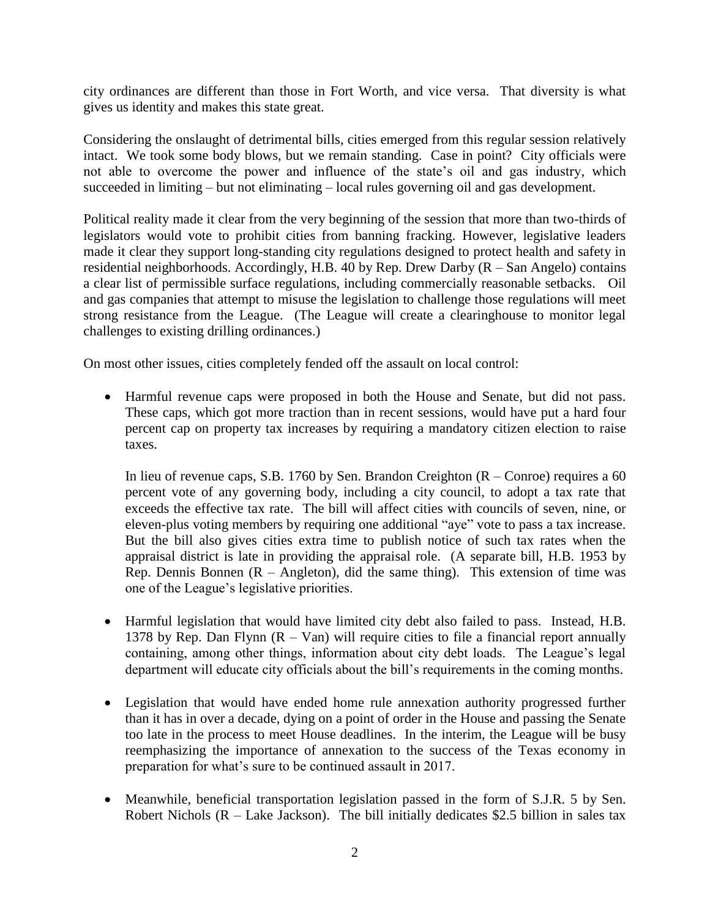city ordinances are different than those in Fort Worth, and vice versa. That diversity is what gives us identity and makes this state great.

Considering the onslaught of detrimental bills, cities emerged from this regular session relatively intact. We took some body blows, but we remain standing. Case in point? City officials were not able to overcome the power and influence of the state's oil and gas industry, which succeeded in limiting – but not eliminating – local rules governing oil and gas development.

Political reality made it clear from the very beginning of the session that more than two-thirds of legislators would vote to prohibit cities from banning fracking. However, legislative leaders made it clear they support long-standing city regulations designed to protect health and safety in residential neighborhoods. Accordingly, H.B. 40 by Rep. Drew Darby (R – San Angelo) contains a clear list of permissible surface regulations, including commercially reasonable setbacks. Oil and gas companies that attempt to misuse the legislation to challenge those regulations will meet strong resistance from the League. (The League will create a clearinghouse to monitor legal challenges to existing drilling ordinances.)

On most other issues, cities completely fended off the assault on local control:

 Harmful revenue caps were proposed in both the House and Senate, but did not pass. These caps, which got more traction than in recent sessions, would have put a hard four percent cap on property tax increases by requiring a mandatory citizen election to raise taxes.

In lieu of revenue caps, S.B. 1760 by Sen. Brandon Creighton  $(R - Conv)$  requires a 60 percent vote of any governing body, including a city council, to adopt a tax rate that exceeds the effective tax rate. The bill will affect cities with councils of seven, nine, or eleven-plus voting members by requiring one additional "aye" vote to pass a tax increase. But the bill also gives cities extra time to publish notice of such tax rates when the appraisal district is late in providing the appraisal role. (A separate bill, H.B. 1953 by Rep. Dennis Bonnen  $(R - Angleton)$ , did the same thing). This extension of time was one of the League's legislative priorities.

- Harmful legislation that would have limited city debt also failed to pass. Instead, H.B. 1378 by Rep. Dan Flynn  $(R - Van)$  will require cities to file a financial report annually containing, among other things, information about city debt loads. The League's legal department will educate city officials about the bill's requirements in the coming months.
- Legislation that would have ended home rule annexation authority progressed further than it has in over a decade, dying on a point of order in the House and passing the Senate too late in the process to meet House deadlines. In the interim, the League will be busy reemphasizing the importance of annexation to the success of the Texas economy in preparation for what's sure to be continued assault in 2017.
- Meanwhile, beneficial transportation legislation passed in the form of S.J.R. 5 by Sen. Robert Nichols ( $R$  – Lake Jackson). The bill initially dedicates \$2.5 billion in sales tax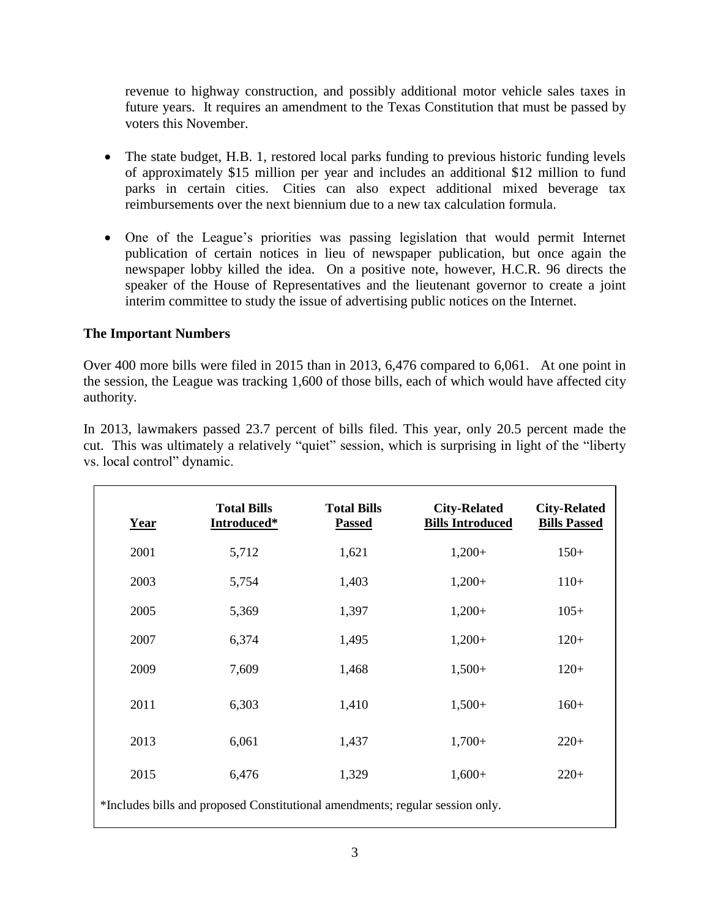revenue to highway construction, and possibly additional motor vehicle sales taxes in future years. It requires an amendment to the Texas Constitution that must be passed by voters this November.

- The state budget, H.B. 1, restored local parks funding to previous historic funding levels of approximately \$15 million per year and includes an additional \$12 million to fund parks in certain cities. Cities can also expect additional mixed beverage tax reimbursements over the next biennium due to a new tax calculation formula.
- One of the League's priorities was passing legislation that would permit Internet publication of certain notices in lieu of newspaper publication, but once again the newspaper lobby killed the idea. On a positive note, however, H.C.R. 96 directs the speaker of the House of Representatives and the lieutenant governor to create a joint interim committee to study the issue of advertising public notices on the Internet.

#### **The Important Numbers**

Over 400 more bills were filed in 2015 than in 2013, 6,476 compared to 6,061. At one point in the session, the League was tracking 1,600 of those bills, each of which would have affected city authority.

In 2013, lawmakers passed 23.7 percent of bills filed. This year, only 20.5 percent made the cut. This was ultimately a relatively "quiet" session, which is surprising in light of the "liberty vs. local control" dynamic.

| <u>Year</u>                                                                   | <b>Total Bills</b><br>Introduced* | <b>Total Bills</b><br><b>Passed</b> | <b>City-Related</b><br><b>Bills Introduced</b> | <b>City-Related</b><br><b>Bills Passed</b> |  |  |
|-------------------------------------------------------------------------------|-----------------------------------|-------------------------------------|------------------------------------------------|--------------------------------------------|--|--|
| 2001                                                                          | 5,712                             | 1,621                               | $1,200+$                                       | $150+$                                     |  |  |
| 2003                                                                          | 5,754                             | 1,403                               | $1,200+$                                       | $110+$                                     |  |  |
| 2005                                                                          | 5,369                             | 1,397                               | $1,200+$                                       | $105+$                                     |  |  |
| 2007                                                                          | 6,374                             | 1,495                               | $1,200+$                                       | $120+$                                     |  |  |
| 2009                                                                          | 7,609                             | 1,468                               | $1,500+$                                       | $120+$                                     |  |  |
| 2011                                                                          | 6,303                             | 1,410                               | $1,500+$                                       | $160+$                                     |  |  |
| 2013                                                                          | 6,061                             | 1,437                               | $1,700+$                                       | $220+$                                     |  |  |
| 2015                                                                          | 6,476                             | 1,329                               | $1,600+$                                       | $220+$                                     |  |  |
| *Includes bills and proposed Constitutional amendments; regular session only. |                                   |                                     |                                                |                                            |  |  |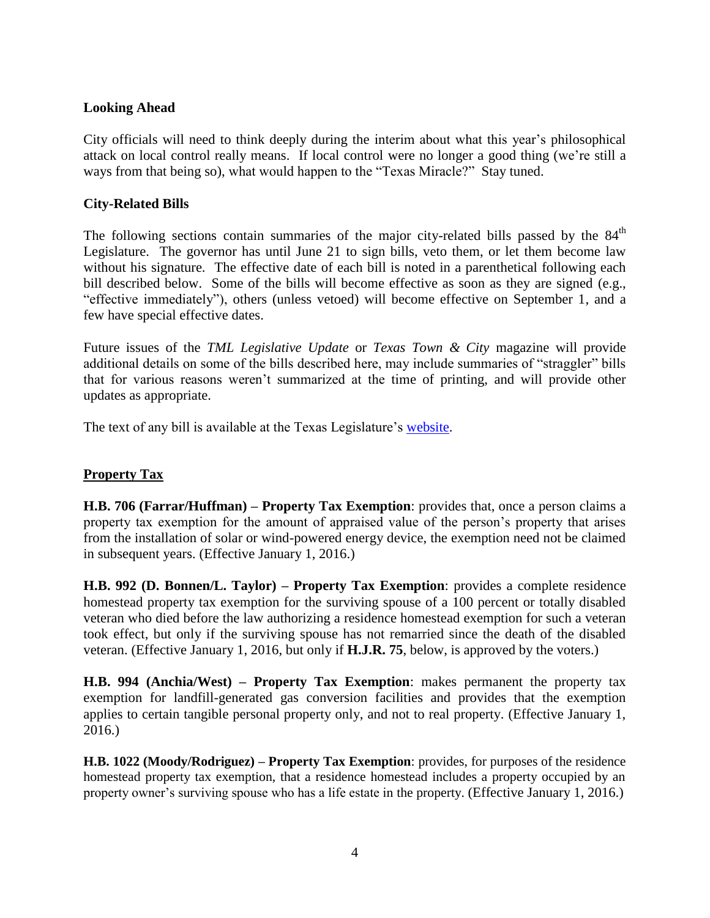#### **Looking Ahead**

City officials will need to think deeply during the interim about what this year's philosophical attack on local control really means. If local control were no longer a good thing (we're still a ways from that being so), what would happen to the "Texas Miracle?" Stay tuned.

#### **City-Related Bills**

The following sections contain summaries of the major city-related bills passed by the  $84<sup>th</sup>$ Legislature. The governor has until June 21 to sign bills, veto them, or let them become law without his signature. The effective date of each bill is noted in a parenthetical following each bill described below. Some of the bills will become effective as soon as they are signed (e.g., "effective immediately"), others (unless vetoed) will become effective on September 1, and a few have special effective dates.

Future issues of the *TML Legislative Update* or *Texas Town & City* magazine will provide additional details on some of the bills described here, may include summaries of "straggler" bills that for various reasons weren't summarized at the time of printing, and will provide other updates as appropriate.

The text of any bill is available at the Texas Legislature's [website.](http://www.capitol.state.tx.us/)

# **Property Tax**

**H.B. 706 (Farrar/Huffman) – Property Tax Exemption**: provides that, once a person claims a property tax exemption for the amount of appraised value of the person's property that arises from the installation of solar or wind-powered energy device, the exemption need not be claimed in subsequent years. (Effective January 1, 2016.)

**H.B. 992 (D. Bonnen/L. Taylor) – Property Tax Exemption**: provides a complete residence homestead property tax exemption for the surviving spouse of a 100 percent or totally disabled veteran who died before the law authorizing a residence homestead exemption for such a veteran took effect, but only if the surviving spouse has not remarried since the death of the disabled veteran. (Effective January 1, 2016, but only if **H.J.R. 75**, below, is approved by the voters.)

**H.B. 994 (Anchia/West) – Property Tax Exemption**: makes permanent the property tax exemption for landfill-generated gas conversion facilities and provides that the exemption applies to certain tangible personal property only, and not to real property. (Effective January 1, 2016.)

**H.B. 1022 (Moody/Rodriguez) – Property Tax Exemption**: provides, for purposes of the residence homestead property tax exemption, that a residence homestead includes a property occupied by an property owner's surviving spouse who has a life estate in the property. (Effective January 1, 2016.)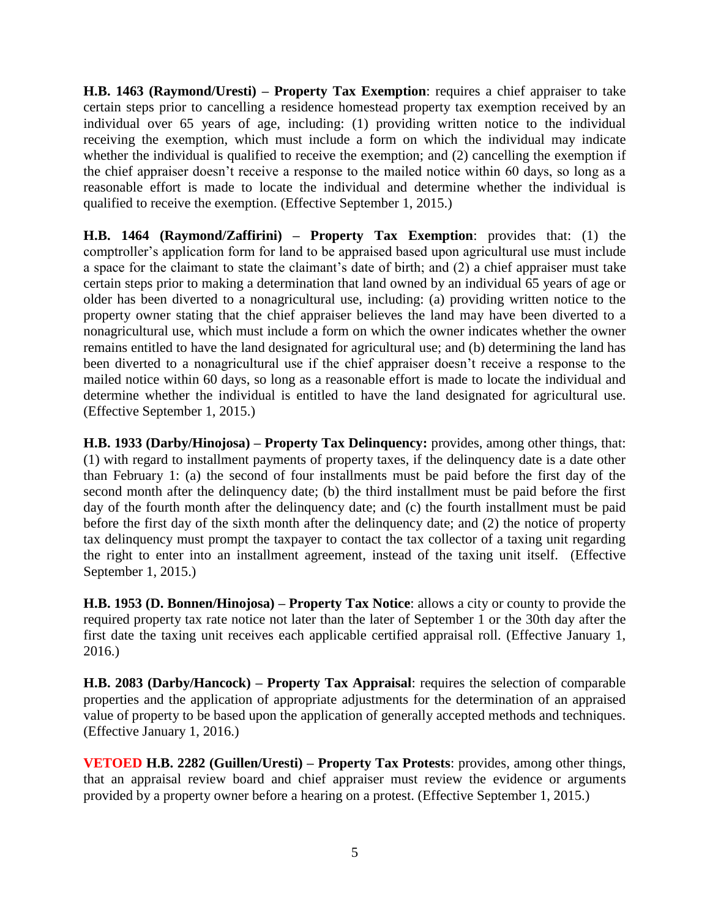**H.B. 1463 (Raymond/Uresti) – Property Tax Exemption**: requires a chief appraiser to take certain steps prior to cancelling a residence homestead property tax exemption received by an individual over 65 years of age, including: (1) providing written notice to the individual receiving the exemption, which must include a form on which the individual may indicate whether the individual is qualified to receive the exemption; and (2) cancelling the exemption if the chief appraiser doesn't receive a response to the mailed notice within 60 days, so long as a reasonable effort is made to locate the individual and determine whether the individual is qualified to receive the exemption. (Effective September 1, 2015.)

**H.B. 1464 (Raymond/Zaffirini) – Property Tax Exemption**: provides that: (1) the comptroller's application form for land to be appraised based upon agricultural use must include a space for the claimant to state the claimant's date of birth; and (2) a chief appraiser must take certain steps prior to making a determination that land owned by an individual 65 years of age or older has been diverted to a nonagricultural use, including: (a) providing written notice to the property owner stating that the chief appraiser believes the land may have been diverted to a nonagricultural use, which must include a form on which the owner indicates whether the owner remains entitled to have the land designated for agricultural use; and (b) determining the land has been diverted to a nonagricultural use if the chief appraiser doesn't receive a response to the mailed notice within 60 days, so long as a reasonable effort is made to locate the individual and determine whether the individual is entitled to have the land designated for agricultural use. (Effective September 1, 2015.)

**H.B. 1933 (Darby/Hinojosa) – Property Tax Delinquency:** provides, among other things, that: (1) with regard to installment payments of property taxes, if the delinquency date is a date other than February 1: (a) the second of four installments must be paid before the first day of the second month after the delinquency date; (b) the third installment must be paid before the first day of the fourth month after the delinquency date; and (c) the fourth installment must be paid before the first day of the sixth month after the delinquency date; and (2) the notice of property tax delinquency must prompt the taxpayer to contact the tax collector of a taxing unit regarding the right to enter into an installment agreement, instead of the taxing unit itself. (Effective September 1, 2015.)

**H.B. 1953 (D. Bonnen/Hinojosa) – Property Tax Notice**: allows a city or county to provide the required property tax rate notice not later than the later of September 1 or the 30th day after the first date the taxing unit receives each applicable certified appraisal roll. (Effective January 1, 2016.)

**H.B. 2083 (Darby/Hancock) – Property Tax Appraisal**: requires the selection of comparable properties and the application of appropriate adjustments for the determination of an appraised value of property to be based upon the application of generally accepted methods and techniques. (Effective January 1, 2016.)

**VETOED H.B. 2282 (Guillen/Uresti) – Property Tax Protests**: provides, among other things, that an appraisal review board and chief appraiser must review the evidence or arguments provided by a property owner before a hearing on a protest. (Effective September 1, 2015.)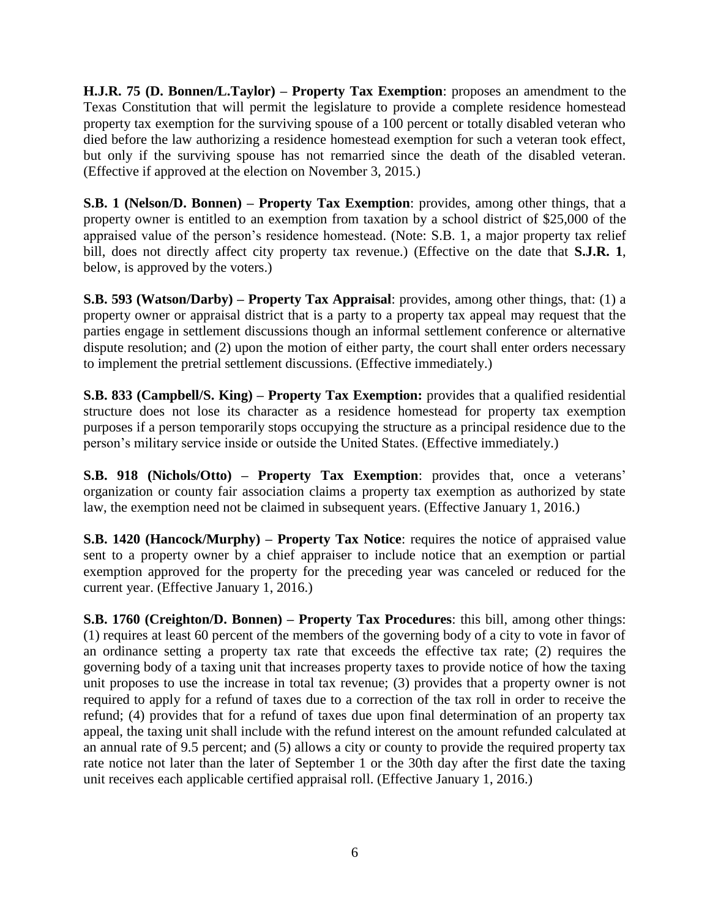**H.J.R. 75 (D. Bonnen/L.Taylor) – Property Tax Exemption**: proposes an amendment to the Texas Constitution that will permit the legislature to provide a complete residence homestead property tax exemption for the surviving spouse of a 100 percent or totally disabled veteran who died before the law authorizing a residence homestead exemption for such a veteran took effect, but only if the surviving spouse has not remarried since the death of the disabled veteran. (Effective if approved at the election on November 3, 2015.)

**S.B. 1 (Nelson/D. Bonnen) – Property Tax Exemption**: provides, among other things, that a property owner is entitled to an exemption from taxation by a school district of \$25,000 of the appraised value of the person's residence homestead. (Note: S.B. 1, a major property tax relief bill, does not directly affect city property tax revenue.) (Effective on the date that **S.J.R. 1**, below, is approved by the voters.)

**S.B. 593 (Watson/Darby) – Property Tax Appraisal**: provides, among other things, that: (1) a property owner or appraisal district that is a party to a property tax appeal may request that the parties engage in settlement discussions though an informal settlement conference or alternative dispute resolution; and (2) upon the motion of either party, the court shall enter orders necessary to implement the pretrial settlement discussions. (Effective immediately.)

**S.B. 833 (Campbell/S. King) – Property Tax Exemption:** provides that a qualified residential structure does not lose its character as a residence homestead for property tax exemption purposes if a person temporarily stops occupying the structure as a principal residence due to the person's military service inside or outside the United States. (Effective immediately.)

**S.B. 918 (Nichols/Otto) – Property Tax Exemption**: provides that, once a veterans' organization or county fair association claims a property tax exemption as authorized by state law, the exemption need not be claimed in subsequent years. (Effective January 1, 2016.)

**S.B. 1420 (Hancock/Murphy) – Property Tax Notice:** requires the notice of appraised value sent to a property owner by a chief appraiser to include notice that an exemption or partial exemption approved for the property for the preceding year was canceled or reduced for the current year. (Effective January 1, 2016.)

**S.B. 1760 (Creighton/D. Bonnen) – Property Tax Procedures**: this bill, among other things: (1) requires at least 60 percent of the members of the governing body of a city to vote in favor of an ordinance setting a property tax rate that exceeds the effective tax rate; (2) requires the governing body of a taxing unit that increases property taxes to provide notice of how the taxing unit proposes to use the increase in total tax revenue; (3) provides that a property owner is not required to apply for a refund of taxes due to a correction of the tax roll in order to receive the refund; (4) provides that for a refund of taxes due upon final determination of an property tax appeal, the taxing unit shall include with the refund interest on the amount refunded calculated at an annual rate of 9.5 percent; and (5) allows a city or county to provide the required property tax rate notice not later than the later of September 1 or the 30th day after the first date the taxing unit receives each applicable certified appraisal roll. (Effective January 1, 2016.)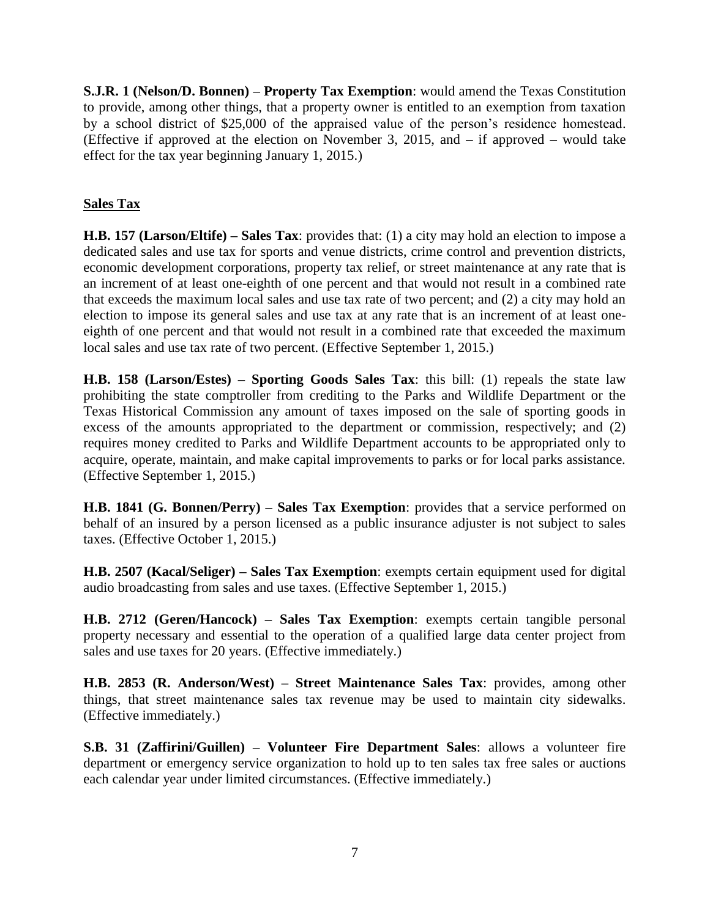**S.J.R. 1 (Nelson/D. Bonnen) – Property Tax Exemption**: would amend the Texas Constitution to provide, among other things, that a property owner is entitled to an exemption from taxation by a school district of \$25,000 of the appraised value of the person's residence homestead. (Effective if approved at the election on November 3, 2015, and  $-$  if approved  $-$  would take effect for the tax year beginning January 1, 2015.)

## **Sales Tax**

**H.B. 157 (Larson/Eltife) – Sales Tax**: provides that: (1) a city may hold an election to impose a dedicated sales and use tax for sports and venue districts, crime control and prevention districts, economic development corporations, property tax relief, or street maintenance at any rate that is an increment of at least one-eighth of one percent and that would not result in a combined rate that exceeds the maximum local sales and use tax rate of two percent; and (2) a city may hold an election to impose its general sales and use tax at any rate that is an increment of at least oneeighth of one percent and that would not result in a combined rate that exceeded the maximum local sales and use tax rate of two percent. (Effective September 1, 2015.)

**H.B. 158 (Larson/Estes) – Sporting Goods Sales Tax**: this bill: (1) repeals the state law prohibiting the state comptroller from crediting to the Parks and Wildlife Department or the Texas Historical Commission any amount of taxes imposed on the sale of sporting goods in excess of the amounts appropriated to the department or commission, respectively; and (2) requires money credited to Parks and Wildlife Department accounts to be appropriated only to acquire, operate, maintain, and make capital improvements to parks or for local parks assistance. (Effective September 1, 2015.)

**H.B. 1841 (G. Bonnen/Perry) – Sales Tax Exemption**: provides that a service performed on behalf of an insured by a person licensed as a public insurance adjuster is not subject to sales taxes. (Effective October 1, 2015.)

**H.B. 2507 (Kacal/Seliger) – Sales Tax Exemption**: exempts certain equipment used for digital audio broadcasting from sales and use taxes. (Effective September 1, 2015.)

**H.B. 2712 (Geren/Hancock) – Sales Tax Exemption**: exempts certain tangible personal property necessary and essential to the operation of a qualified large data center project from sales and use taxes for 20 years. (Effective immediately.)

**H.B. 2853 (R. Anderson/West) – Street Maintenance Sales Tax**: provides, among other things, that street maintenance sales tax revenue may be used to maintain city sidewalks. (Effective immediately.)

**S.B. 31 (Zaffirini/Guillen) – Volunteer Fire Department Sales**: allows a volunteer fire department or emergency service organization to hold up to ten sales tax free sales or auctions each calendar year under limited circumstances. (Effective immediately.)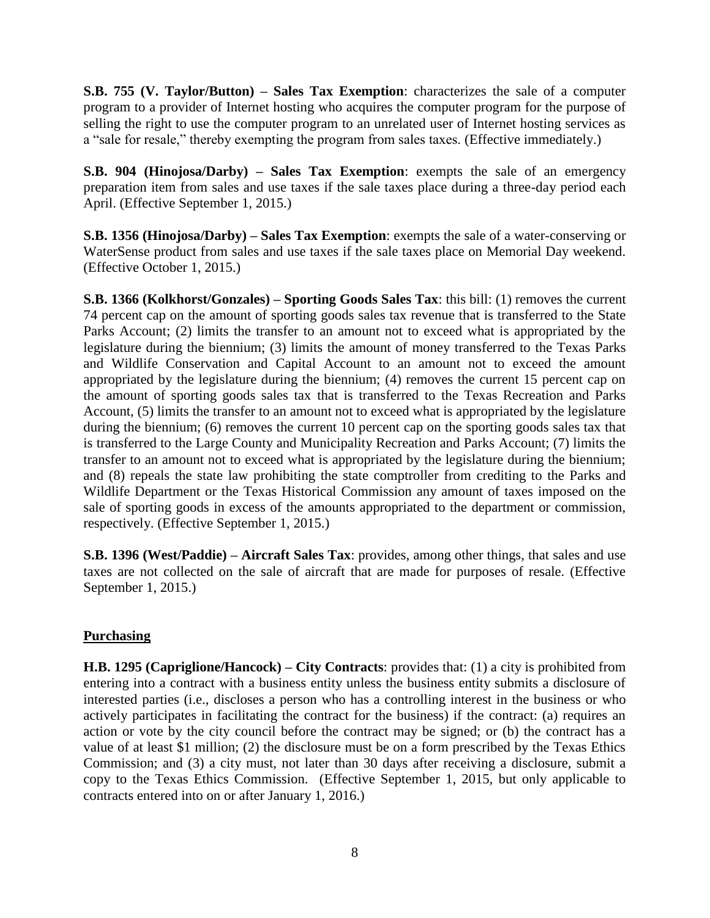**S.B. 755 (V. Taylor/Button) – Sales Tax Exemption**: characterizes the sale of a computer program to a provider of Internet hosting who acquires the computer program for the purpose of selling the right to use the computer program to an unrelated user of Internet hosting services as a "sale for resale," thereby exempting the program from sales taxes. (Effective immediately.)

**S.B. 904 (Hinojosa/Darby) – Sales Tax Exemption**: exempts the sale of an emergency preparation item from sales and use taxes if the sale taxes place during a three-day period each April. (Effective September 1, 2015.)

**S.B. 1356 (Hinojosa/Darby) – Sales Tax Exemption**: exempts the sale of a water-conserving or WaterSense product from sales and use taxes if the sale taxes place on Memorial Day weekend. (Effective October 1, 2015.)

**S.B. 1366 (Kolkhorst/Gonzales) – Sporting Goods Sales Tax**: this bill: (1) removes the current 74 percent cap on the amount of sporting goods sales tax revenue that is transferred to the State Parks Account; (2) limits the transfer to an amount not to exceed what is appropriated by the legislature during the biennium; (3) limits the amount of money transferred to the Texas Parks and Wildlife Conservation and Capital Account to an amount not to exceed the amount appropriated by the legislature during the biennium; (4) removes the current 15 percent cap on the amount of sporting goods sales tax that is transferred to the Texas Recreation and Parks Account, (5) limits the transfer to an amount not to exceed what is appropriated by the legislature during the biennium; (6) removes the current 10 percent cap on the sporting goods sales tax that is transferred to the Large County and Municipality Recreation and Parks Account; (7) limits the transfer to an amount not to exceed what is appropriated by the legislature during the biennium; and (8) repeals the state law prohibiting the state comptroller from crediting to the Parks and Wildlife Department or the Texas Historical Commission any amount of taxes imposed on the sale of sporting goods in excess of the amounts appropriated to the department or commission, respectively. (Effective September 1, 2015.)

**S.B. 1396 (West/Paddie) – Aircraft Sales Tax**: provides, among other things, that sales and use taxes are not collected on the sale of aircraft that are made for purposes of resale. (Effective September 1, 2015.)

#### **Purchasing**

**H.B. 1295 (Capriglione/Hancock) – City Contracts**: provides that: (1) a city is prohibited from entering into a contract with a business entity unless the business entity submits a disclosure of interested parties (i.e., discloses a person who has a controlling interest in the business or who actively participates in facilitating the contract for the business) if the contract: (a) requires an action or vote by the city council before the contract may be signed; or (b) the contract has a value of at least \$1 million; (2) the disclosure must be on a form prescribed by the Texas Ethics Commission; and (3) a city must, not later than 30 days after receiving a disclosure, submit a copy to the Texas Ethics Commission. (Effective September 1, 2015, but only applicable to contracts entered into on or after January 1, 2016.)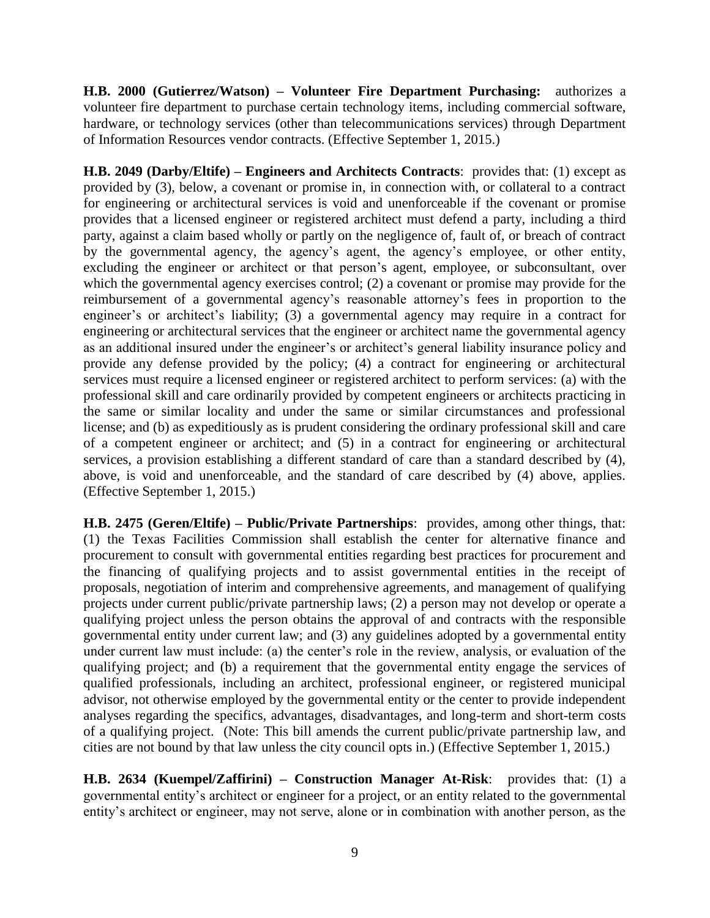**H.B. 2000 (Gutierrez/Watson) – Volunteer Fire Department Purchasing:** authorizes a volunteer fire department to purchase certain technology items, including commercial software, hardware, or technology services (other than telecommunications services) through Department of Information Resources vendor contracts. (Effective September 1, 2015.)

**H.B. 2049 (Darby/Eltife) – Engineers and Architects Contracts**: provides that: (1) except as provided by (3), below, a covenant or promise in, in connection with, or collateral to a contract for engineering or architectural services is void and unenforceable if the covenant or promise provides that a licensed engineer or registered architect must defend a party, including a third party, against a claim based wholly or partly on the negligence of, fault of, or breach of contract by the governmental agency, the agency's agent, the agency's employee, or other entity, excluding the engineer or architect or that person's agent, employee, or subconsultant, over which the governmental agency exercises control; (2) a covenant or promise may provide for the reimbursement of a governmental agency's reasonable attorney's fees in proportion to the engineer's or architect's liability; (3) a governmental agency may require in a contract for engineering or architectural services that the engineer or architect name the governmental agency as an additional insured under the engineer's or architect's general liability insurance policy and provide any defense provided by the policy; (4) a contract for engineering or architectural services must require a licensed engineer or registered architect to perform services: (a) with the professional skill and care ordinarily provided by competent engineers or architects practicing in the same or similar locality and under the same or similar circumstances and professional license; and (b) as expeditiously as is prudent considering the ordinary professional skill and care of a competent engineer or architect; and (5) in a contract for engineering or architectural services, a provision establishing a different standard of care than a standard described by (4), above, is void and unenforceable, and the standard of care described by (4) above, applies. (Effective September 1, 2015.)

**H.B. 2475 (Geren/Eltife) – Public/Private Partnerships**: provides, among other things, that: (1) the Texas Facilities Commission shall establish the center for alternative finance and procurement to consult with governmental entities regarding best practices for procurement and the financing of qualifying projects and to assist governmental entities in the receipt of proposals, negotiation of interim and comprehensive agreements, and management of qualifying projects under current public/private partnership laws; (2) a person may not develop or operate a qualifying project unless the person obtains the approval of and contracts with the responsible governmental entity under current law; and (3) any guidelines adopted by a governmental entity under current law must include: (a) the center's role in the review, analysis, or evaluation of the qualifying project; and (b) a requirement that the governmental entity engage the services of qualified professionals, including an architect, professional engineer, or registered municipal advisor, not otherwise employed by the governmental entity or the center to provide independent analyses regarding the specifics, advantages, disadvantages, and long-term and short-term costs of a qualifying project. (Note: This bill amends the current public/private partnership law, and cities are not bound by that law unless the city council opts in.) (Effective September 1, 2015.)

**H.B. 2634 (Kuempel/Zaffirini) – Construction Manager At-Risk**: provides that: (1) a governmental entity's architect or engineer for a project, or an entity related to the governmental entity's architect or engineer, may not serve, alone or in combination with another person, as the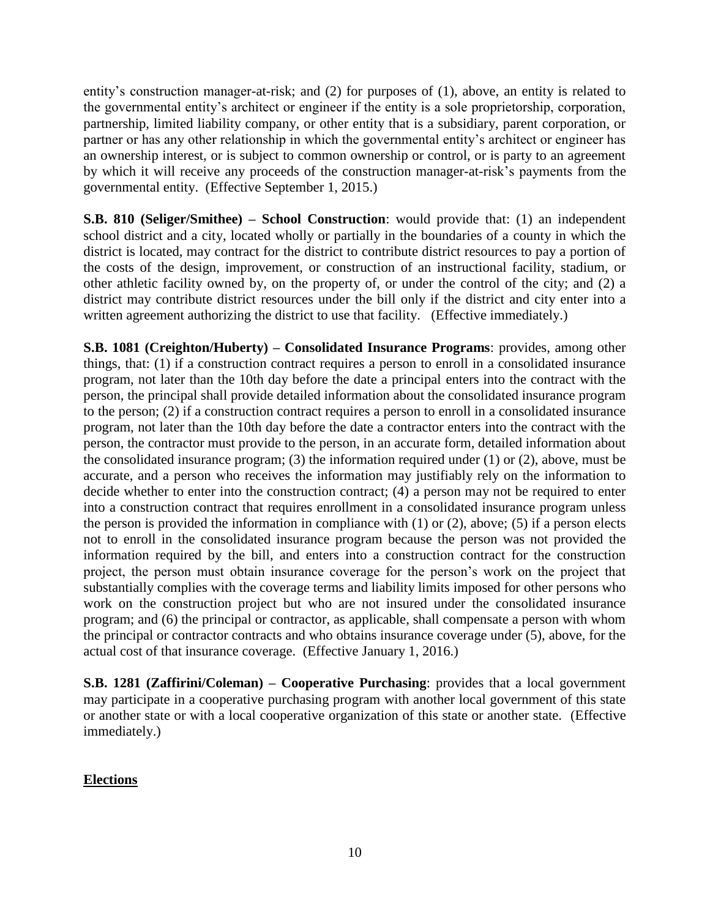entity's construction manager-at-risk; and (2) for purposes of (1), above, an entity is related to the governmental entity's architect or engineer if the entity is a sole proprietorship, corporation, partnership, limited liability company, or other entity that is a subsidiary, parent corporation, or partner or has any other relationship in which the governmental entity's architect or engineer has an ownership interest, or is subject to common ownership or control, or is party to an agreement by which it will receive any proceeds of the construction manager-at-risk's payments from the governmental entity. (Effective September 1, 2015.)

**S.B. 810 (Seliger/Smithee) – School Construction:** would provide that: (1) an independent school district and a city, located wholly or partially in the boundaries of a county in which the district is located, may contract for the district to contribute district resources to pay a portion of the costs of the design, improvement, or construction of an instructional facility, stadium, or other athletic facility owned by, on the property of, or under the control of the city; and (2) a district may contribute district resources under the bill only if the district and city enter into a written agreement authorizing the district to use that facility. (Effective immediately.)

**S.B. 1081 (Creighton/Huberty) – Consolidated Insurance Programs**: provides, among other things, that: (1) if a construction contract requires a person to enroll in a consolidated insurance program, not later than the 10th day before the date a principal enters into the contract with the person, the principal shall provide detailed information about the consolidated insurance program to the person; (2) if a construction contract requires a person to enroll in a consolidated insurance program, not later than the 10th day before the date a contractor enters into the contract with the person, the contractor must provide to the person, in an accurate form, detailed information about the consolidated insurance program; (3) the information required under (1) or (2), above, must be accurate, and a person who receives the information may justifiably rely on the information to decide whether to enter into the construction contract; (4) a person may not be required to enter into a construction contract that requires enrollment in a consolidated insurance program unless the person is provided the information in compliance with (1) or (2), above; (5) if a person elects not to enroll in the consolidated insurance program because the person was not provided the information required by the bill, and enters into a construction contract for the construction project, the person must obtain insurance coverage for the person's work on the project that substantially complies with the coverage terms and liability limits imposed for other persons who work on the construction project but who are not insured under the consolidated insurance program; and (6) the principal or contractor, as applicable, shall compensate a person with whom the principal or contractor contracts and who obtains insurance coverage under (5), above, for the actual cost of that insurance coverage. (Effective January 1, 2016.)

**S.B. 1281 (Zaffirini/Coleman) – Cooperative Purchasing**: provides that a local government may participate in a cooperative purchasing program with another local government of this state or another state or with a local cooperative organization of this state or another state. (Effective immediately.)

#### **Elections**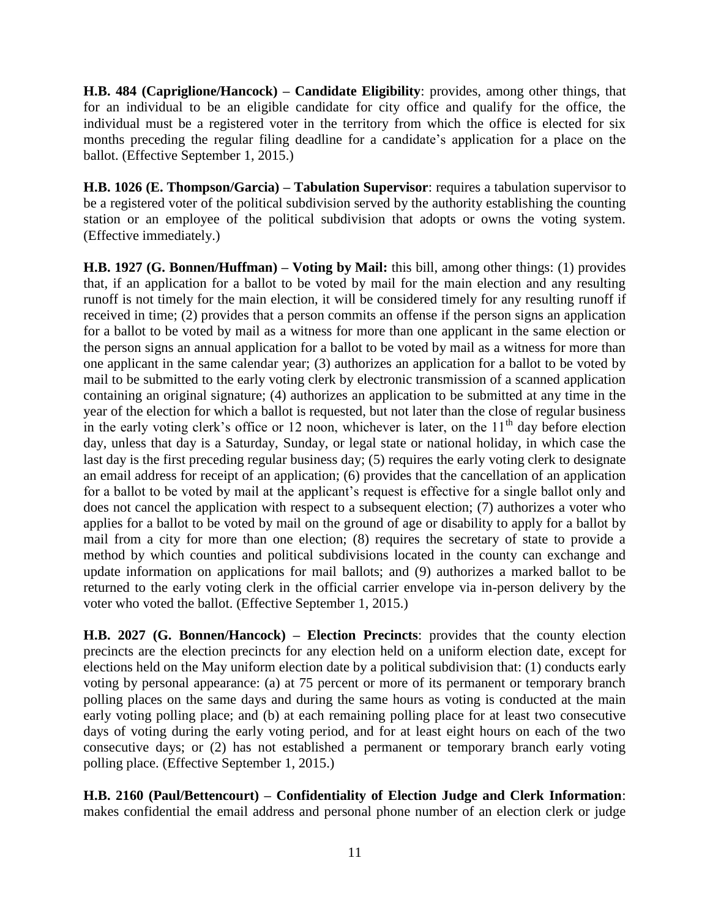**H.B. 484 (Capriglione/Hancock) – Candidate Eligibility**: provides, among other things, that for an individual to be an eligible candidate for city office and qualify for the office, the individual must be a registered voter in the territory from which the office is elected for six months preceding the regular filing deadline for a candidate's application for a place on the ballot. (Effective September 1, 2015.)

**H.B. 1026 (E. Thompson/Garcia) – Tabulation Supervisor**: requires a tabulation supervisor to be a registered voter of the political subdivision served by the authority establishing the counting station or an employee of the political subdivision that adopts or owns the voting system. (Effective immediately.)

**H.B. 1927 (G. Bonnen/Huffman) – Voting by Mail:** this bill, among other things: (1) provides that, if an application for a ballot to be voted by mail for the main election and any resulting runoff is not timely for the main election, it will be considered timely for any resulting runoff if received in time; (2) provides that a person commits an offense if the person signs an application for a ballot to be voted by mail as a witness for more than one applicant in the same election or the person signs an annual application for a ballot to be voted by mail as a witness for more than one applicant in the same calendar year; (3) authorizes an application for a ballot to be voted by mail to be submitted to the early voting clerk by electronic transmission of a scanned application containing an original signature; (4) authorizes an application to be submitted at any time in the year of the election for which a ballot is requested, but not later than the close of regular business in the early voting clerk's office or 12 noon, whichever is later, on the  $11<sup>th</sup>$  day before election day, unless that day is a Saturday, Sunday, or legal state or national holiday, in which case the last day is the first preceding regular business day; (5) requires the early voting clerk to designate an email address for receipt of an application; (6) provides that the cancellation of an application for a ballot to be voted by mail at the applicant's request is effective for a single ballot only and does not cancel the application with respect to a subsequent election; (7) authorizes a voter who applies for a ballot to be voted by mail on the ground of age or disability to apply for a ballot by mail from a city for more than one election; (8) requires the secretary of state to provide a method by which counties and political subdivisions located in the county can exchange and update information on applications for mail ballots; and (9) authorizes a marked ballot to be returned to the early voting clerk in the official carrier envelope via in-person delivery by the voter who voted the ballot. (Effective September 1, 2015.)

**H.B. 2027 (G. Bonnen/Hancock) – Election Precincts**: provides that the county election precincts are the election precincts for any election held on a uniform election date, except for elections held on the May uniform election date by a political subdivision that: (1) conducts early voting by personal appearance: (a) at 75 percent or more of its permanent or temporary branch polling places on the same days and during the same hours as voting is conducted at the main early voting polling place; and (b) at each remaining polling place for at least two consecutive days of voting during the early voting period, and for at least eight hours on each of the two consecutive days; or (2) has not established a permanent or temporary branch early voting polling place. (Effective September 1, 2015.)

**H.B. 2160 (Paul/Bettencourt) – Confidentiality of Election Judge and Clerk Information**: makes confidential the email address and personal phone number of an election clerk or judge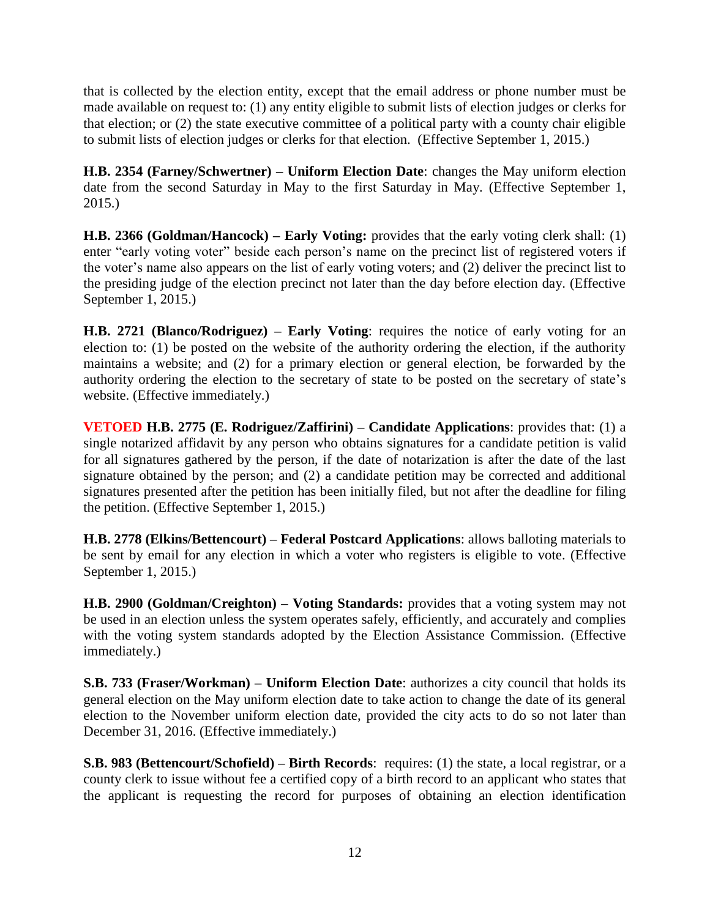that is collected by the election entity, except that the email address or phone number must be made available on request to: (1) any entity eligible to submit lists of election judges or clerks for that election; or (2) the state executive committee of a political party with a county chair eligible to submit lists of election judges or clerks for that election. (Effective September 1, 2015.)

**H.B. 2354 (Farney/Schwertner) – Uniform Election Date**: changes the May uniform election date from the second Saturday in May to the first Saturday in May. (Effective September 1, 2015.)

**H.B. 2366 (Goldman/Hancock) – Early Voting:** provides that the early voting clerk shall: (1) enter "early voting voter" beside each person's name on the precinct list of registered voters if the voter's name also appears on the list of early voting voters; and (2) deliver the precinct list to the presiding judge of the election precinct not later than the day before election day. (Effective September 1, 2015.)

**H.B. 2721 (Blanco/Rodriguez) – Early Voting**: requires the notice of early voting for an election to: (1) be posted on the website of the authority ordering the election, if the authority maintains a website; and (2) for a primary election or general election, be forwarded by the authority ordering the election to the secretary of state to be posted on the secretary of state's website. (Effective immediately.)

**VETOED H.B. 2775 (E. Rodriguez/Zaffirini) – Candidate Applications**: provides that: (1) a single notarized affidavit by any person who obtains signatures for a candidate petition is valid for all signatures gathered by the person, if the date of notarization is after the date of the last signature obtained by the person; and (2) a candidate petition may be corrected and additional signatures presented after the petition has been initially filed, but not after the deadline for filing the petition. (Effective September 1, 2015.)

**H.B. 2778 (Elkins/Bettencourt) – Federal Postcard Applications**: allows balloting materials to be sent by email for any election in which a voter who registers is eligible to vote. (Effective September 1, 2015.)

**H.B. 2900 (Goldman/Creighton) – Voting Standards:** provides that a voting system may not be used in an election unless the system operates safely, efficiently, and accurately and complies with the voting system standards adopted by the Election Assistance Commission. (Effective immediately.)

**S.B. 733 (Fraser/Workman) – Uniform Election Date**: authorizes a city council that holds its general election on the May uniform election date to take action to change the date of its general election to the November uniform election date, provided the city acts to do so not later than December 31, 2016. (Effective immediately.)

**S.B. 983 (Bettencourt/Schofield) – Birth Records**: requires: (1) the state, a local registrar, or a county clerk to issue without fee a certified copy of a birth record to an applicant who states that the applicant is requesting the record for purposes of obtaining an election identification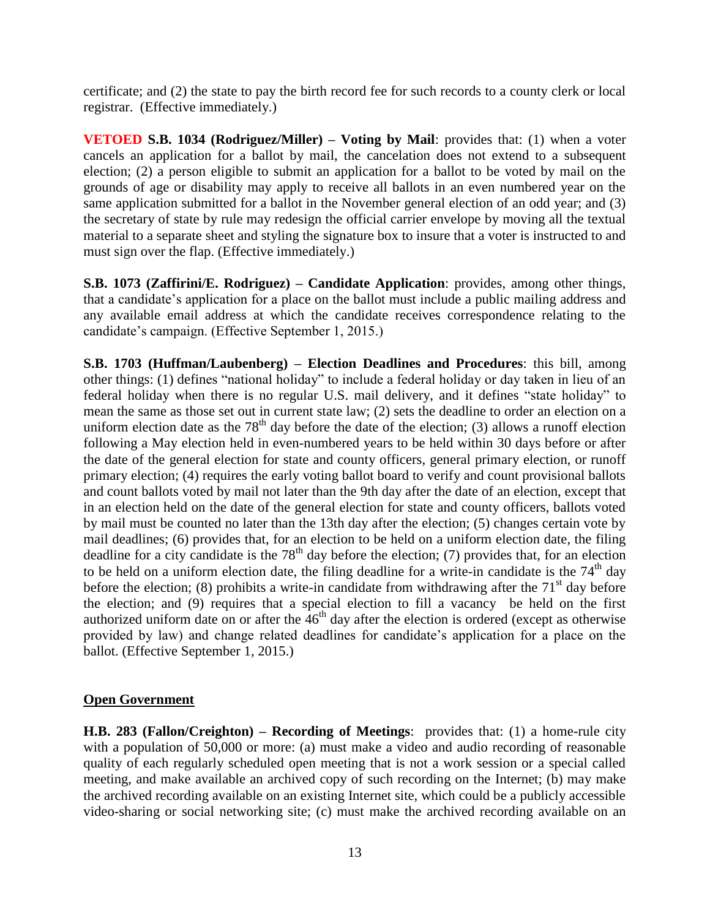certificate; and (2) the state to pay the birth record fee for such records to a county clerk or local registrar. (Effective immediately.)

**VETOED S.B. 1034 (Rodriguez/Miller) – Voting by Mail**: provides that: (1) when a voter cancels an application for a ballot by mail, the cancelation does not extend to a subsequent election; (2) a person eligible to submit an application for a ballot to be voted by mail on the grounds of age or disability may apply to receive all ballots in an even numbered year on the same application submitted for a ballot in the November general election of an odd year; and (3) the secretary of state by rule may redesign the official carrier envelope by moving all the textual material to a separate sheet and styling the signature box to insure that a voter is instructed to and must sign over the flap. (Effective immediately.)

**S.B. 1073 (Zaffirini/E. Rodriguez) – Candidate Application**: provides, among other things, that a candidate's application for a place on the ballot must include a public mailing address and any available email address at which the candidate receives correspondence relating to the candidate's campaign. (Effective September 1, 2015.)

**S.B. 1703 (Huffman/Laubenberg) – Election Deadlines and Procedures**: this bill, among other things: (1) defines "national holiday" to include a federal holiday or day taken in lieu of an federal holiday when there is no regular U.S. mail delivery, and it defines "state holiday" to mean the same as those set out in current state law; (2) sets the deadline to order an election on a uniform election date as the  $78<sup>th</sup>$  day before the date of the election; (3) allows a runoff election following a May election held in even-numbered years to be held within 30 days before or after the date of the general election for state and county officers, general primary election, or runoff primary election; (4) requires the early voting ballot board to verify and count provisional ballots and count ballots voted by mail not later than the 9th day after the date of an election, except that in an election held on the date of the general election for state and county officers, ballots voted by mail must be counted no later than the 13th day after the election; (5) changes certain vote by mail deadlines; (6) provides that, for an election to be held on a uniform election date, the filing deadline for a city candidate is the  $78<sup>th</sup>$  day before the election; (7) provides that, for an election to be held on a uniform election date, the filing deadline for a write-in candidate is the  $74<sup>th</sup>$  day before the election; (8) prohibits a write-in candidate from withdrawing after the  $71<sup>st</sup>$  day before the election; and (9) requires that a special election to fill a vacancy be held on the first authorized uniform date on or after the  $46<sup>th</sup>$  day after the election is ordered (except as otherwise provided by law) and change related deadlines for candidate's application for a place on the ballot. (Effective September 1, 2015.)

#### **Open Government**

**H.B. 283 (Fallon/Creighton) – Recording of Meetings**: provides that: (1) a home-rule city with a population of 50,000 or more: (a) must make a video and audio recording of reasonable quality of each regularly scheduled open meeting that is not a work session or a special called meeting, and make available an archived copy of such recording on the Internet; (b) may make the archived recording available on an existing Internet site, which could be a publicly accessible video-sharing or social networking site; (c) must make the archived recording available on an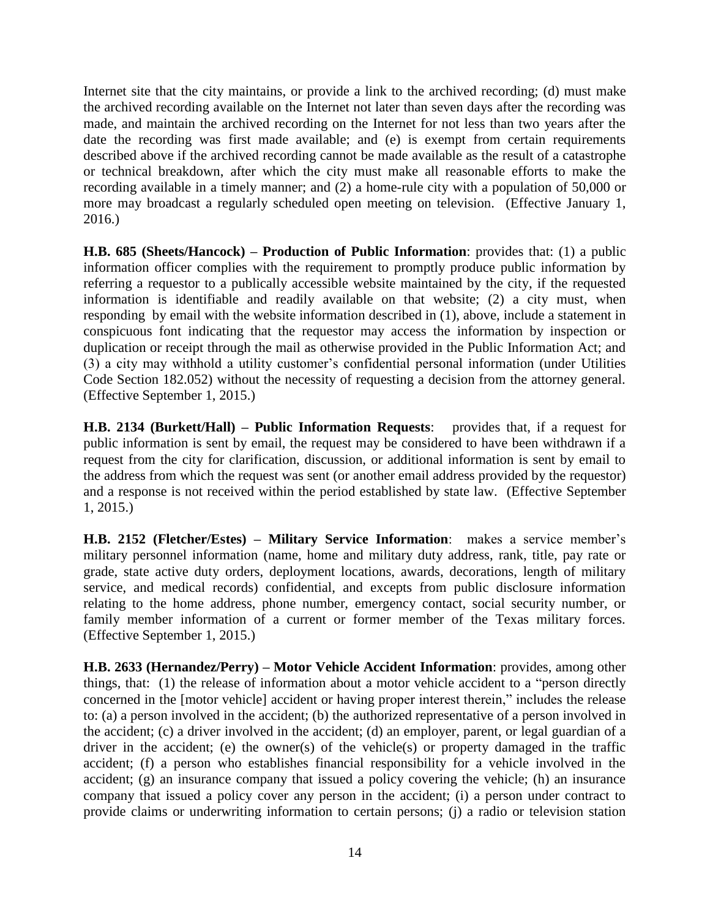Internet site that the city maintains, or provide a link to the archived recording; (d) must make the archived recording available on the Internet not later than seven days after the recording was made, and maintain the archived recording on the Internet for not less than two years after the date the recording was first made available; and (e) is exempt from certain requirements described above if the archived recording cannot be made available as the result of a catastrophe or technical breakdown, after which the city must make all reasonable efforts to make the recording available in a timely manner; and (2) a home-rule city with a population of 50,000 or more may broadcast a regularly scheduled open meeting on television. (Effective January 1, 2016.)

**H.B. 685 (Sheets/Hancock) – Production of Public Information**: provides that: (1) a public information officer complies with the requirement to promptly produce public information by referring a requestor to a publically accessible website maintained by the city, if the requested information is identifiable and readily available on that website; (2) a city must, when responding by email with the website information described in (1), above, include a statement in conspicuous font indicating that the requestor may access the information by inspection or duplication or receipt through the mail as otherwise provided in the Public Information Act; and (3) a city may withhold a utility customer's confidential personal information (under Utilities Code Section 182.052) without the necessity of requesting a decision from the attorney general. (Effective September 1, 2015.)

**H.B. 2134 (Burkett/Hall) – Public Information Requests**: provides that, if a request for public information is sent by email, the request may be considered to have been withdrawn if a request from the city for clarification, discussion, or additional information is sent by email to the address from which the request was sent (or another email address provided by the requestor) and a response is not received within the period established by state law. (Effective September 1, 2015.)

**H.B. 2152 (Fletcher/Estes) – Military Service Information**: makes a service member's military personnel information (name, home and military duty address, rank, title, pay rate or grade, state active duty orders, deployment locations, awards, decorations, length of military service, and medical records) confidential, and excepts from public disclosure information relating to the home address, phone number, emergency contact, social security number, or family member information of a current or former member of the Texas military forces. (Effective September 1, 2015.)

**H.B. 2633 (Hernandez/Perry) – Motor Vehicle Accident Information**: provides, among other things, that: (1) the release of information about a motor vehicle accident to a "person directly concerned in the [motor vehicle] accident or having proper interest therein," includes the release to: (a) a person involved in the accident; (b) the authorized representative of a person involved in the accident; (c) a driver involved in the accident; (d) an employer, parent, or legal guardian of a driver in the accident; (e) the owner(s) of the vehicle(s) or property damaged in the traffic accident; (f) a person who establishes financial responsibility for a vehicle involved in the accident; (g) an insurance company that issued a policy covering the vehicle; (h) an insurance company that issued a policy cover any person in the accident; (i) a person under contract to provide claims or underwriting information to certain persons; (j) a radio or television station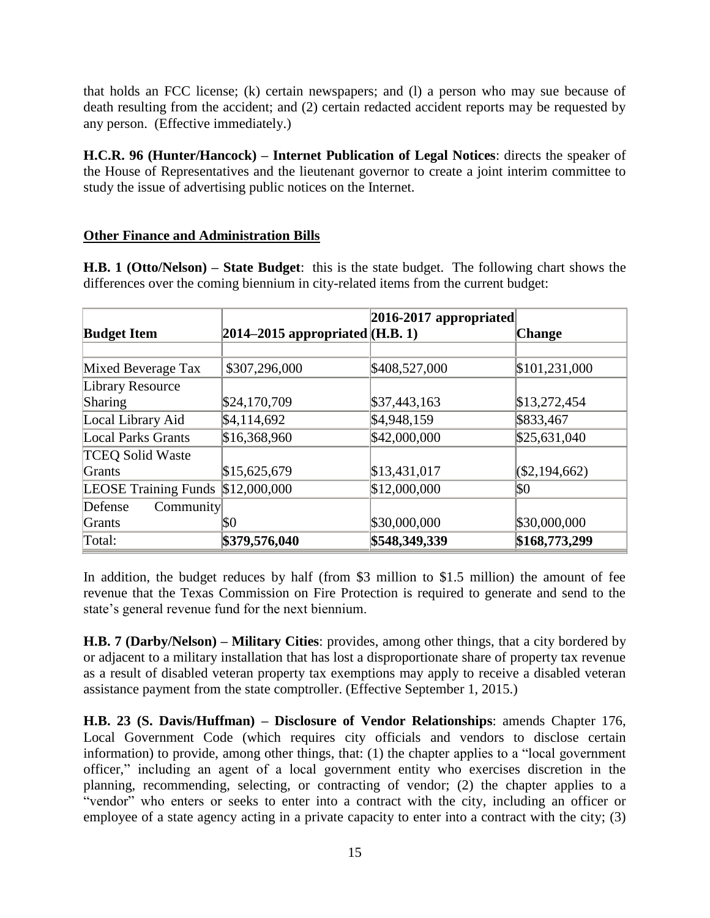that holds an FCC license; (k) certain newspapers; and (l) a person who may sue because of death resulting from the accident; and (2) certain redacted accident reports may be requested by any person. (Effective immediately.)

**H.C.R. 96 (Hunter/Hancock) – Internet Publication of Legal Notices**: directs the speaker of the House of Representatives and the lieutenant governor to create a joint interim committee to study the issue of advertising public notices on the Internet.

#### **Other Finance and Administration Bills**

**H.B. 1 (Otto/Nelson) – State Budget**: this is the state budget. The following chart shows the differences over the coming biennium in city-related items from the current budget:

|                             |                                      | $ 2016-2017$ appropriated |                |
|-----------------------------|--------------------------------------|---------------------------|----------------|
| <b>Budget Item</b>          | $ 2014 - 2015$ appropriated (H.B. 1) |                           | <b>Change</b>  |
|                             |                                      |                           |                |
| Mixed Beverage Tax          | \$307,296,000                        | \$408,527,000             | \$101,231,000  |
| Library Resource            |                                      |                           |                |
| Sharing                     | \$24,170,709                         | \$37,443,163              | \$13,272,454   |
| Local Library Aid           | \$4,114,692                          | \$4,948,159               | \$833,467      |
| <b>Local Parks Grants</b>   | \$16,368,960                         | \$42,000,000              | \$25,631,040   |
| <b>TCEQ Solid Waste</b>     |                                      |                           |                |
| Grants                      | \$15,625,679                         | \$13,431,017              | (S2, 194, 662) |
| <b>LEOSE Training Funds</b> | \$12,000,000                         | \$12,000,000              | \$0            |
| Defense<br><b>Community</b> |                                      |                           |                |
| Grants                      | \$0                                  | \$30,000,000              | \$30,000,000   |
| Total:                      | \$379,576,040                        | \$548,349,339             | \$168,773,299  |

In addition, the budget reduces by half (from \$3 million to \$1.5 million) the amount of fee revenue that the Texas Commission on Fire Protection is required to generate and send to the state's general revenue fund for the next biennium.

**H.B. 7 (Darby/Nelson) – Military Cities**: provides, among other things, that a city bordered by or adjacent to a military installation that has lost a disproportionate share of property tax revenue as a result of disabled veteran property tax exemptions may apply to receive a disabled veteran assistance payment from the state comptroller. (Effective September 1, 2015.)

**H.B. 23 (S. Davis/Huffman) – Disclosure of Vendor Relationships**: amends Chapter 176, Local Government Code (which requires city officials and vendors to disclose certain information) to provide, among other things, that: (1) the chapter applies to a "local government officer," including an agent of a local government entity who exercises discretion in the planning, recommending, selecting, or contracting of vendor; (2) the chapter applies to a "vendor" who enters or seeks to enter into a contract with the city, including an officer or employee of a state agency acting in a private capacity to enter into a contract with the city; (3)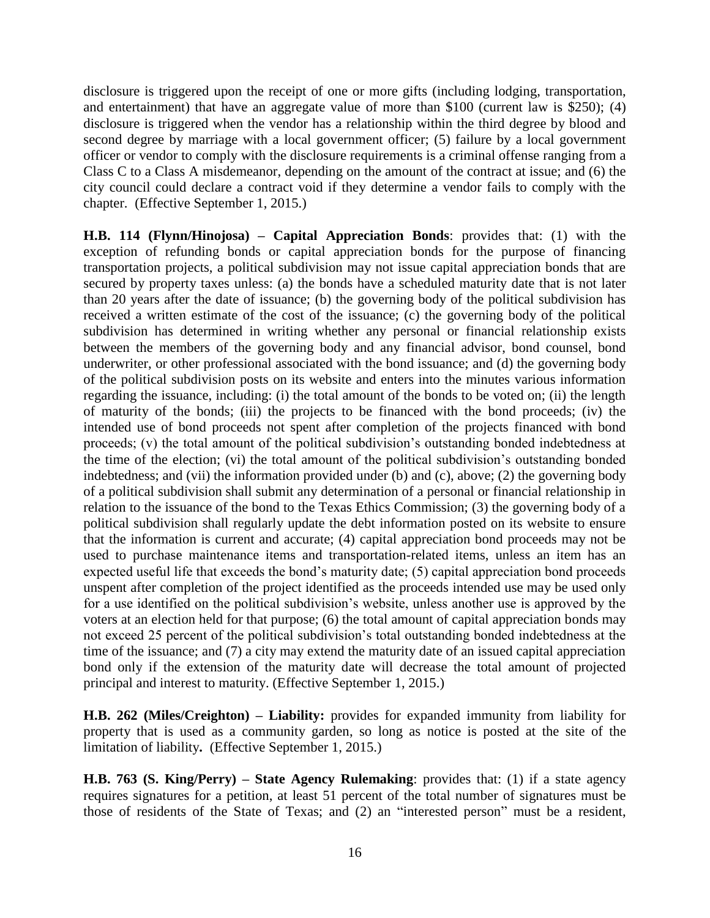disclosure is triggered upon the receipt of one or more gifts (including lodging, transportation, and entertainment) that have an aggregate value of more than \$100 (current law is \$250); (4) disclosure is triggered when the vendor has a relationship within the third degree by blood and second degree by marriage with a local government officer; (5) failure by a local government officer or vendor to comply with the disclosure requirements is a criminal offense ranging from a Class C to a Class A misdemeanor, depending on the amount of the contract at issue; and (6) the city council could declare a contract void if they determine a vendor fails to comply with the chapter. (Effective September 1, 2015.)

**H.B. 114 (Flynn/Hinojosa) – Capital Appreciation Bonds**: provides that: (1) with the exception of refunding bonds or capital appreciation bonds for the purpose of financing transportation projects, a political subdivision may not issue capital appreciation bonds that are secured by property taxes unless: (a) the bonds have a scheduled maturity date that is not later than 20 years after the date of issuance; (b) the governing body of the political subdivision has received a written estimate of the cost of the issuance; (c) the governing body of the political subdivision has determined in writing whether any personal or financial relationship exists between the members of the governing body and any financial advisor, bond counsel, bond underwriter, or other professional associated with the bond issuance; and (d) the governing body of the political subdivision posts on its website and enters into the minutes various information regarding the issuance, including: (i) the total amount of the bonds to be voted on; (ii) the length of maturity of the bonds; (iii) the projects to be financed with the bond proceeds; (iv) the intended use of bond proceeds not spent after completion of the projects financed with bond proceeds; (v) the total amount of the political subdivision's outstanding bonded indebtedness at the time of the election; (vi) the total amount of the political subdivision's outstanding bonded indebtedness; and (vii) the information provided under (b) and (c), above; (2) the governing body of a political subdivision shall submit any determination of a personal or financial relationship in relation to the issuance of the bond to the Texas Ethics Commission; (3) the governing body of a political subdivision shall regularly update the debt information posted on its website to ensure that the information is current and accurate; (4) capital appreciation bond proceeds may not be used to purchase maintenance items and transportation-related items, unless an item has an expected useful life that exceeds the bond's maturity date; (5) capital appreciation bond proceeds unspent after completion of the project identified as the proceeds intended use may be used only for a use identified on the political subdivision's website, unless another use is approved by the voters at an election held for that purpose; (6) the total amount of capital appreciation bonds may not exceed 25 percent of the political subdivision's total outstanding bonded indebtedness at the time of the issuance; and (7) a city may extend the maturity date of an issued capital appreciation bond only if the extension of the maturity date will decrease the total amount of projected principal and interest to maturity. (Effective September 1, 2015.)

**H.B. 262 (Miles/Creighton) – Liability:** provides for expanded immunity from liability for property that is used as a community garden, so long as notice is posted at the site of the limitation of liability**.** (Effective September 1, 2015.)

**H.B. 763 (S. King/Perry) – State Agency Rulemaking**: provides that: (1) if a state agency requires signatures for a petition, at least 51 percent of the total number of signatures must be those of residents of the State of Texas; and (2) an "interested person" must be a resident,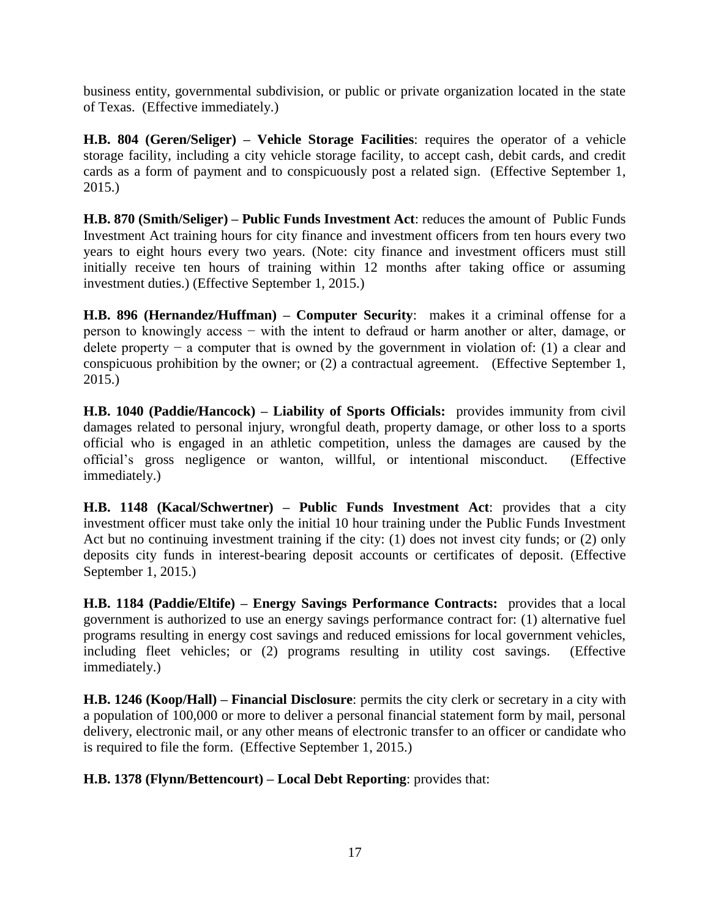business entity, governmental subdivision, or public or private organization located in the state of Texas. (Effective immediately.)

**H.B. 804 (Geren/Seliger) – Vehicle Storage Facilities**: requires the operator of a vehicle storage facility, including a city vehicle storage facility, to accept cash, debit cards, and credit cards as a form of payment and to conspicuously post a related sign. (Effective September 1, 2015.)

**H.B. 870 (Smith/Seliger) – Public Funds Investment Act**: reduces the amount of Public Funds Investment Act training hours for city finance and investment officers from ten hours every two years to eight hours every two years. (Note: city finance and investment officers must still initially receive ten hours of training within 12 months after taking office or assuming investment duties.) (Effective September 1, 2015.)

**H.B. 896 (Hernandez/Huffman) – Computer Security**: makes it a criminal offense for a person to knowingly access − with the intent to defraud or harm another or alter, damage, or delete property  $-$  a computer that is owned by the government in violation of: (1) a clear and conspicuous prohibition by the owner; or (2) a contractual agreement. (Effective September 1, 2015.)

**H.B. 1040 (Paddie/Hancock) – Liability of Sports Officials:** provides immunity from civil damages related to personal injury, wrongful death, property damage, or other loss to a sports official who is engaged in an athletic competition, unless the damages are caused by the official's gross negligence or wanton, willful, or intentional misconduct. (Effective immediately.)

**H.B. 1148 (Kacal/Schwertner) – Public Funds Investment Act**: provides that a city investment officer must take only the initial 10 hour training under the Public Funds Investment Act but no continuing investment training if the city: (1) does not invest city funds; or (2) only deposits city funds in interest-bearing deposit accounts or certificates of deposit. (Effective September 1, 2015.)

**H.B. 1184 (Paddie/Eltife) – Energy Savings Performance Contracts:** provides that a local government is authorized to use an energy savings performance contract for: (1) alternative fuel programs resulting in energy cost savings and reduced emissions for local government vehicles, including fleet vehicles; or (2) programs resulting in utility cost savings. (Effective immediately.)

**H.B. 1246 (Koop/Hall) – Financial Disclosure**: permits the city clerk or secretary in a city with a population of 100,000 or more to deliver a personal financial statement form by mail, personal delivery, electronic mail, or any other means of electronic transfer to an officer or candidate who is required to file the form. (Effective September 1, 2015.)

**H.B. 1378 (Flynn/Bettencourt) – Local Debt Reporting**: provides that: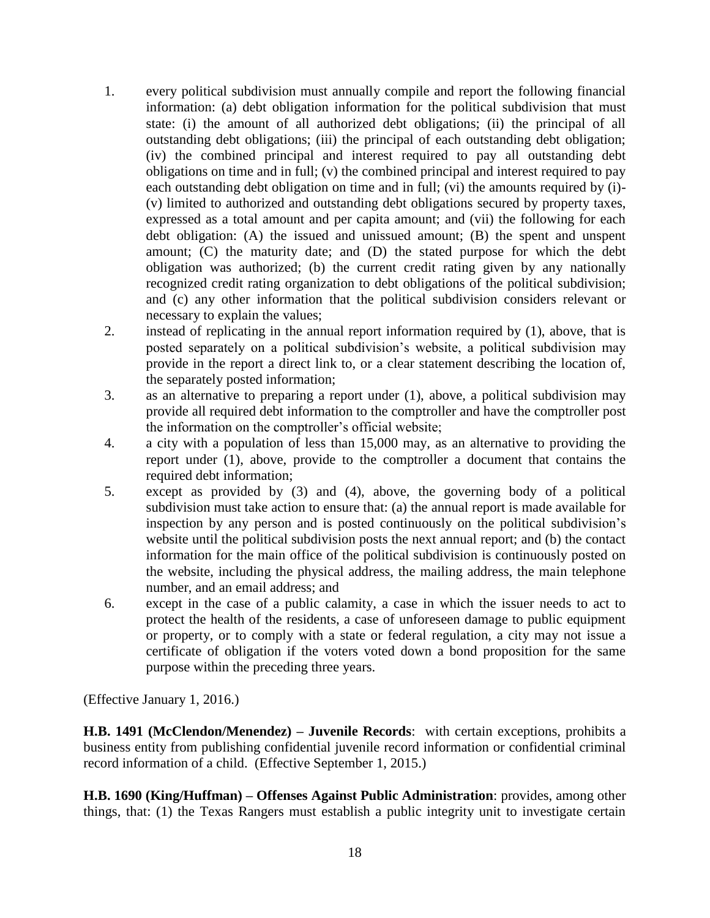- 1. every political subdivision must annually compile and report the following financial information: (a) debt obligation information for the political subdivision that must state: (i) the amount of all authorized debt obligations; (ii) the principal of all outstanding debt obligations; (iii) the principal of each outstanding debt obligation; (iv) the combined principal and interest required to pay all outstanding debt obligations on time and in full; (v) the combined principal and interest required to pay each outstanding debt obligation on time and in full; (vi) the amounts required by (i)- (v) limited to authorized and outstanding debt obligations secured by property taxes, expressed as a total amount and per capita amount; and (vii) the following for each debt obligation: (A) the issued and unissued amount; (B) the spent and unspent amount; (C) the maturity date; and (D) the stated purpose for which the debt obligation was authorized; (b) the current credit rating given by any nationally recognized credit rating organization to debt obligations of the political subdivision; and (c) any other information that the political subdivision considers relevant or necessary to explain the values;
- 2. instead of replicating in the annual report information required by (1), above, that is posted separately on a political subdivision's website, a political subdivision may provide in the report a direct link to, or a clear statement describing the location of, the separately posted information;
- 3. as an alternative to preparing a report under (1), above, a political subdivision may provide all required debt information to the comptroller and have the comptroller post the information on the comptroller's official website;
- 4. a city with a population of less than 15,000 may, as an alternative to providing the report under (1), above, provide to the comptroller a document that contains the required debt information;
- 5. except as provided by (3) and (4), above, the governing body of a political subdivision must take action to ensure that: (a) the annual report is made available for inspection by any person and is posted continuously on the political subdivision's website until the political subdivision posts the next annual report; and (b) the contact information for the main office of the political subdivision is continuously posted on the website, including the physical address, the mailing address, the main telephone number, and an email address; and
- 6. except in the case of a public calamity, a case in which the issuer needs to act to protect the health of the residents, a case of unforeseen damage to public equipment or property, or to comply with a state or federal regulation, a city may not issue a certificate of obligation if the voters voted down a bond proposition for the same purpose within the preceding three years.

(Effective January 1, 2016.)

**H.B. 1491 (McClendon/Menendez) – Juvenile Records**: with certain exceptions, prohibits a business entity from publishing confidential juvenile record information or confidential criminal record information of a child. (Effective September 1, 2015.)

**H.B. 1690 (King/Huffman) – Offenses Against Public Administration**: provides, among other things, that: (1) the Texas Rangers must establish a public integrity unit to investigate certain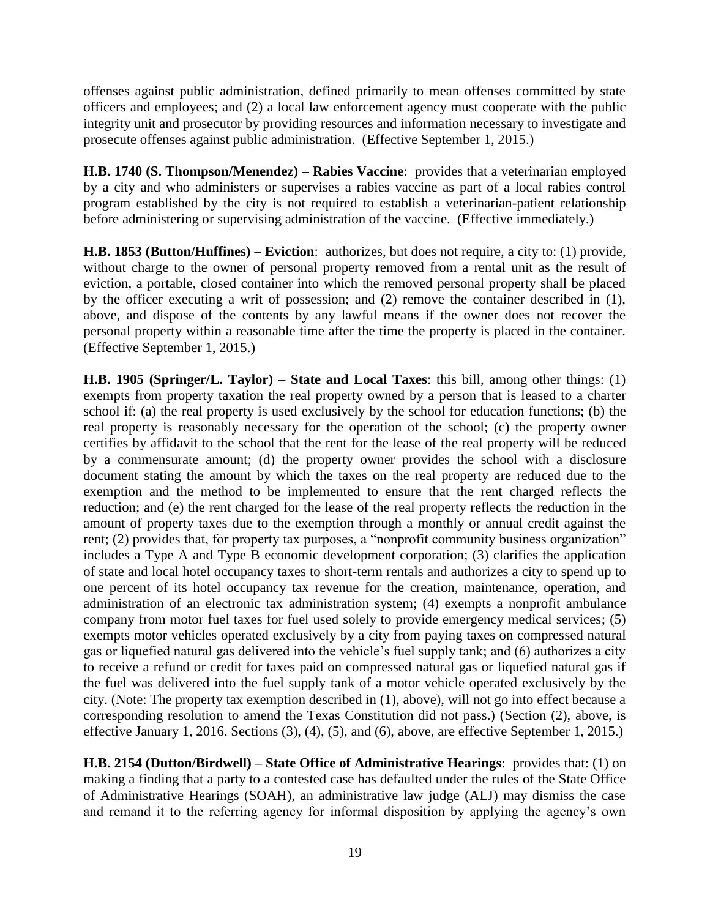offenses against public administration, defined primarily to mean offenses committed by state officers and employees; and (2) a local law enforcement agency must cooperate with the public integrity unit and prosecutor by providing resources and information necessary to investigate and prosecute offenses against public administration. (Effective September 1, 2015.)

**H.B. 1740 (S. Thompson/Menendez) – Rabies Vaccine**: provides that a veterinarian employed by a city and who administers or supervises a rabies vaccine as part of a local rabies control program established by the city is not required to establish a veterinarian-patient relationship before administering or supervising administration of the vaccine. (Effective immediately.)

**H.B. 1853 (Button/Huffines) – Eviction**: authorizes, but does not require, a city to: (1) provide, without charge to the owner of personal property removed from a rental unit as the result of eviction, a portable, closed container into which the removed personal property shall be placed by the officer executing a writ of possession; and (2) remove the container described in (1), above, and dispose of the contents by any lawful means if the owner does not recover the personal property within a reasonable time after the time the property is placed in the container. (Effective September 1, 2015.)

**H.B. 1905 (Springer/L. Taylor) – State and Local Taxes**: this bill, among other things: (1) exempts from property taxation the real property owned by a person that is leased to a charter school if: (a) the real property is used exclusively by the school for education functions; (b) the real property is reasonably necessary for the operation of the school; (c) the property owner certifies by affidavit to the school that the rent for the lease of the real property will be reduced by a commensurate amount; (d) the property owner provides the school with a disclosure document stating the amount by which the taxes on the real property are reduced due to the exemption and the method to be implemented to ensure that the rent charged reflects the reduction; and (e) the rent charged for the lease of the real property reflects the reduction in the amount of property taxes due to the exemption through a monthly or annual credit against the rent; (2) provides that, for property tax purposes, a "nonprofit community business organization" includes a Type A and Type B economic development corporation; (3) clarifies the application of state and local hotel occupancy taxes to short-term rentals and authorizes a city to spend up to one percent of its hotel occupancy tax revenue for the creation, maintenance, operation, and administration of an electronic tax administration system; (4) exempts a nonprofit ambulance company from motor fuel taxes for fuel used solely to provide emergency medical services; (5) exempts motor vehicles operated exclusively by a city from paying taxes on compressed natural gas or liquefied natural gas delivered into the vehicle's fuel supply tank; and (6) authorizes a city to receive a refund or credit for taxes paid on compressed natural gas or liquefied natural gas if the fuel was delivered into the fuel supply tank of a motor vehicle operated exclusively by the city. (Note: The property tax exemption described in (1), above), will not go into effect because a corresponding resolution to amend the Texas Constitution did not pass.) (Section (2), above, is effective January 1, 2016. Sections (3), (4), (5), and (6), above, are effective September 1, 2015.)

**H.B. 2154 (Dutton/Birdwell) – State Office of Administrative Hearings**: provides that: (1) on making a finding that a party to a contested case has defaulted under the rules of the State Office of Administrative Hearings (SOAH), an administrative law judge (ALJ) may dismiss the case and remand it to the referring agency for informal disposition by applying the agency's own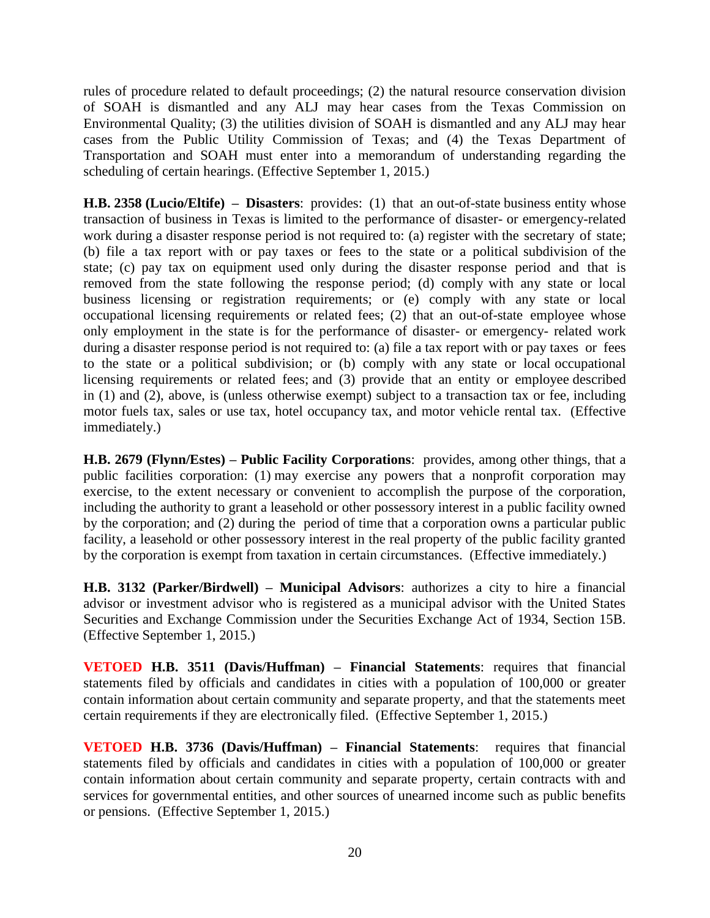rules of procedure related to default proceedings; (2) the natural resource conservation division of SOAH is dismantled and any ALJ may hear cases from the Texas Commission on Environmental Quality; (3) the utilities division of SOAH is dismantled and any ALJ may hear cases from the Public Utility Commission of Texas; and (4) the Texas Department of Transportation and SOAH must enter into a memorandum of understanding regarding the scheduling of certain hearings. (Effective September 1, 2015.)

**H.B. 2358 (Lucio/Eltife) – Disasters**: provides: (1) that an out-of-state business entity whose transaction of business in Texas is limited to the performance of disaster- or emergency-related work during a disaster response period is not required to: (a) register with the secretary of state; (b) file a tax report with or pay taxes or fees to the state or a political subdivision of the state; (c) pay tax on equipment used only during the disaster response period and that is removed from the state following the response period; (d) comply with any state or local business licensing or registration requirements; or (e) comply with any state or local occupational licensing requirements or related fees; (2) that an out-of-state employee whose only employment in the state is for the performance of disaster- or emergency- related work during a disaster response period is not required to: (a) file a tax report with or pay taxes or fees to the state or a political subdivision; or (b) comply with any state or local occupational licensing requirements or related fees; and (3) provide that an entity or employee described in (1) and (2), above, is (unless otherwise exempt) subject to a transaction tax or fee, including motor fuels tax, sales or use tax, hotel occupancy tax, and motor vehicle rental tax. (Effective immediately.)

**H.B. 2679 (Flynn/Estes) – Public Facility Corporations**: provides, among other things, that a public facilities corporation: (1) may exercise any powers that a nonprofit corporation may exercise, to the extent necessary or convenient to accomplish the purpose of the corporation, including the authority to grant a leasehold or other possessory interest in a public facility owned by the corporation; and (2) during the period of time that a corporation owns a particular public facility, a leasehold or other possessory interest in the real property of the public facility granted by the corporation is exempt from taxation in certain circumstances. (Effective immediately.)

**H.B. 3132 (Parker/Birdwell) – Municipal Advisors**: authorizes a city to hire a financial advisor or investment advisor who is registered as a municipal advisor with the United States Securities and Exchange Commission under the Securities Exchange Act of 1934, Section 15B. (Effective September 1, 2015.)

**VETOED H.B. 3511 (Davis/Huffman) – Financial Statements**: requires that financial statements filed by officials and candidates in cities with a population of 100,000 or greater contain information about certain community and separate property, and that the statements meet certain requirements if they are electronically filed. (Effective September 1, 2015.)

**VETOED H.B. 3736 (Davis/Huffman) – Financial Statements**:requires that financial statements filed by officials and candidates in cities with a population of 100,000 or greater contain information about certain community and separate property, certain contracts with and services for governmental entities, and other sources of unearned income such as public benefits or pensions. (Effective September 1, 2015.)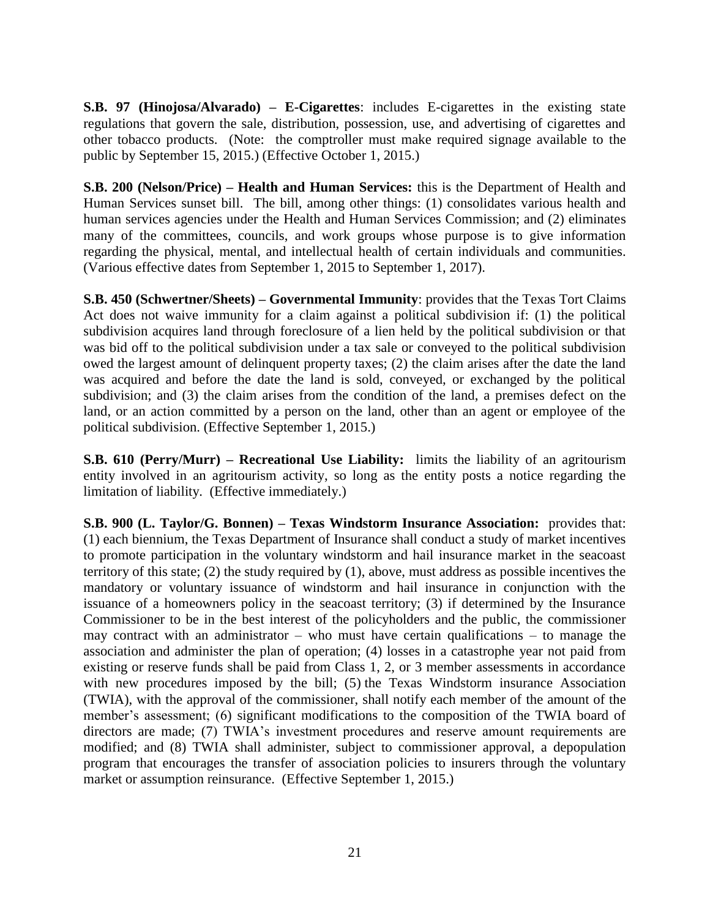**S.B. 97 (Hinojosa/Alvarado) – E-Cigarettes**: includes E-cigarettes in the existing state regulations that govern the sale, distribution, possession, use, and advertising of cigarettes and other tobacco products. (Note: the comptroller must make required signage available to the public by September 15, 2015.) (Effective October 1, 2015.)

**S.B. 200 (Nelson/Price) – Health and Human Services:** this is the Department of Health and Human Services sunset bill. The bill, among other things: (1) consolidates various health and human services agencies under the Health and Human Services Commission; and (2) eliminates many of the committees, councils, and work groups whose purpose is to give information regarding the physical, mental, and intellectual health of certain individuals and communities. (Various effective dates from September 1, 2015 to September 1, 2017).

**S.B. 450 (Schwertner/Sheets) – Governmental Immunity**: provides that the Texas Tort Claims Act does not waive immunity for a claim against a political subdivision if: (1) the political subdivision acquires land through foreclosure of a lien held by the political subdivision or that was bid off to the political subdivision under a tax sale or conveyed to the political subdivision owed the largest amount of delinquent property taxes; (2) the claim arises after the date the land was acquired and before the date the land is sold, conveyed, or exchanged by the political subdivision; and (3) the claim arises from the condition of the land, a premises defect on the land, or an action committed by a person on the land, other than an agent or employee of the political subdivision. (Effective September 1, 2015.)

**S.B. 610 (Perry/Murr) – Recreational Use Liability:** limits the liability of an agritourism entity involved in an agritourism activity, so long as the entity posts a notice regarding the limitation of liability. (Effective immediately.)

**S.B. 900 (L. Taylor/G. Bonnen) – Texas Windstorm Insurance Association:** provides that: (1) each biennium, the Texas Department of Insurance shall conduct a study of market incentives to promote participation in the voluntary windstorm and hail insurance market in the seacoast territory of this state; (2) the study required by (1), above, must address as possible incentives the mandatory or voluntary issuance of windstorm and hail insurance in conjunction with the issuance of a homeowners policy in the seacoast territory; (3) if determined by the Insurance Commissioner to be in the best interest of the policyholders and the public, the commissioner may contract with an administrator – who must have certain qualifications – to manage the association and administer the plan of operation; (4) losses in a catastrophe year not paid from existing or reserve funds shall be paid from Class 1, 2, or 3 member assessments in accordance with new procedures imposed by the bill; (5) the Texas Windstorm insurance Association (TWIA), with the approval of the commissioner, shall notify each member of the amount of the member's assessment; (6) significant modifications to the composition of the TWIA board of directors are made; (7) TWIA's investment procedures and reserve amount requirements are modified; and (8) TWIA shall administer, subject to commissioner approval, a depopulation program that encourages the transfer of association policies to insurers through the voluntary market or assumption reinsurance. (Effective September 1, 2015.)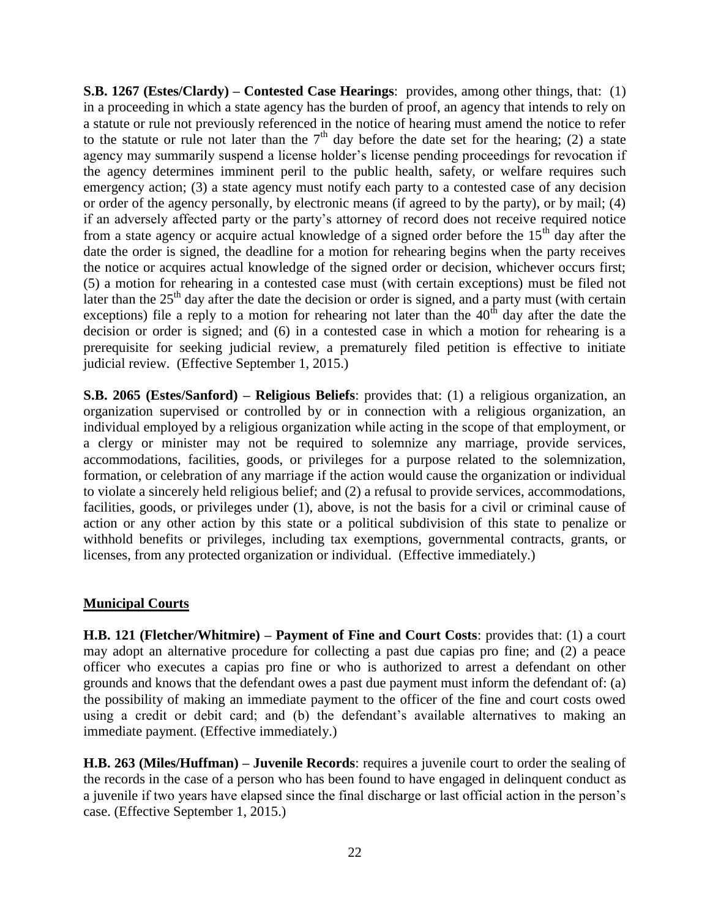**S.B. 1267 (Estes/Clardy) – Contested Case Hearings**: provides, among other things, that: (1) in a proceeding in which a state agency has the burden of proof, an agency that intends to rely on a statute or rule not previously referenced in the notice of hearing must amend the notice to refer to the statute or rule not later than the  $7<sup>th</sup>$  day before the date set for the hearing; (2) a state agency may summarily suspend a license holder's license pending proceedings for revocation if the agency determines imminent peril to the public health, safety, or welfare requires such emergency action; (3) a state agency must notify each party to a contested case of any decision or order of the agency personally, by electronic means (if agreed to by the party), or by mail; (4) if an adversely affected party or the party's attorney of record does not receive required notice from a state agency or acquire actual knowledge of a signed order before the  $15<sup>th</sup>$  day after the date the order is signed, the deadline for a motion for rehearing begins when the party receives the notice or acquires actual knowledge of the signed order or decision, whichever occurs first; (5) a motion for rehearing in a contested case must (with certain exceptions) must be filed not later than the  $25<sup>th</sup>$  day after the date the decision or order is signed, and a party must (with certain exceptions) file a reply to a motion for rehearing not later than the  $40<sup>th</sup>$  day after the date the decision or order is signed; and (6) in a contested case in which a motion for rehearing is a prerequisite for seeking judicial review, a prematurely filed petition is effective to initiate judicial review. (Effective September 1, 2015.)

**S.B. 2065 (Estes/Sanford) – Religious Beliefs**: provides that: (1) a religious organization, an organization supervised or controlled by or in connection with a religious organization, an individual employed by a religious organization while acting in the scope of that employment, or a clergy or minister may not be required to solemnize any marriage, provide services, accommodations, facilities, goods, or privileges for a purpose related to the solemnization, formation, or celebration of any marriage if the action would cause the organization or individual to violate a sincerely held religious belief; and (2) a refusal to provide services, accommodations, facilities, goods, or privileges under (1), above, is not the basis for a civil or criminal cause of action or any other action by this state or a political subdivision of this state to penalize or withhold benefits or privileges, including tax exemptions, governmental contracts, grants, or licenses, from any protected organization or individual. (Effective immediately.)

#### **Municipal Courts**

**H.B. 121 (Fletcher/Whitmire) – Payment of Fine and Court Costs**: provides that: (1) a court may adopt an alternative procedure for collecting a past due capias pro fine; and (2) a peace officer who executes a capias pro fine or who is authorized to arrest a defendant on other grounds and knows that the defendant owes a past due payment must inform the defendant of: (a) the possibility of making an immediate payment to the officer of the fine and court costs owed using a credit or debit card; and (b) the defendant's available alternatives to making an immediate payment. (Effective immediately.)

**H.B. 263 (Miles/Huffman) – Juvenile Records**: requires a juvenile court to order the sealing of the records in the case of a person who has been found to have engaged in delinquent conduct as a juvenile if two years have elapsed since the final discharge or last official action in the person's case. (Effective September 1, 2015.)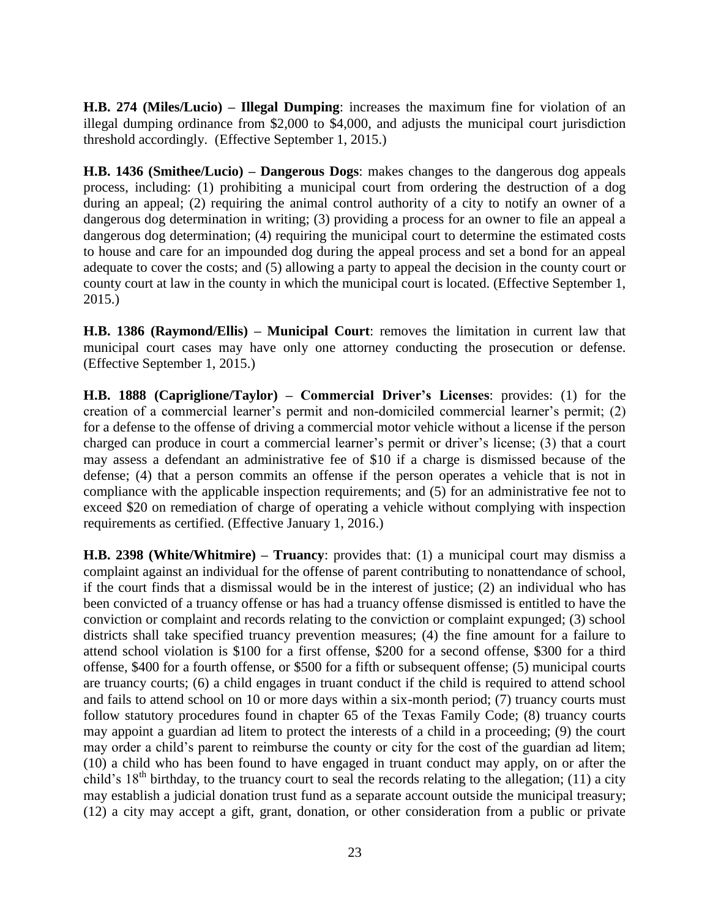**H.B. 274 (Miles/Lucio) – Illegal Dumping**: increases the maximum fine for violation of an illegal dumping ordinance from \$2,000 to \$4,000, and adjusts the municipal court jurisdiction threshold accordingly. (Effective September 1, 2015.)

**H.B. 1436 (Smithee/Lucio) – Dangerous Dogs**: makes changes to the dangerous dog appeals process, including: (1) prohibiting a municipal court from ordering the destruction of a dog during an appeal; (2) requiring the animal control authority of a city to notify an owner of a dangerous dog determination in writing; (3) providing a process for an owner to file an appeal a dangerous dog determination; (4) requiring the municipal court to determine the estimated costs to house and care for an impounded dog during the appeal process and set a bond for an appeal adequate to cover the costs; and (5) allowing a party to appeal the decision in the county court or county court at law in the county in which the municipal court is located. (Effective September 1, 2015.)

**H.B. 1386 (Raymond/Ellis) – Municipal Court**: removes the limitation in current law that municipal court cases may have only one attorney conducting the prosecution or defense. (Effective September 1, 2015.)

**H.B. 1888 (Capriglione/Taylor) – Commercial Driver's Licenses**: provides: (1) for the creation of a commercial learner's permit and non-domiciled commercial learner's permit; (2) for a defense to the offense of driving a commercial motor vehicle without a license if the person charged can produce in court a commercial learner's permit or driver's license; (3) that a court may assess a defendant an administrative fee of \$10 if a charge is dismissed because of the defense; (4) that a person commits an offense if the person operates a vehicle that is not in compliance with the applicable inspection requirements; and (5) for an administrative fee not to exceed \$20 on remediation of charge of operating a vehicle without complying with inspection requirements as certified. (Effective January 1, 2016.)

**H.B. 2398 (White/Whitmire) – Truancy**: provides that: (1) a municipal court may dismiss a complaint against an individual for the offense of parent contributing to nonattendance of school, if the court finds that a dismissal would be in the interest of justice; (2) an individual who has been convicted of a truancy offense or has had a truancy offense dismissed is entitled to have the conviction or complaint and records relating to the conviction or complaint expunged; (3) school districts shall take specified truancy prevention measures; (4) the fine amount for a failure to attend school violation is \$100 for a first offense, \$200 for a second offense, \$300 for a third offense, \$400 for a fourth offense, or \$500 for a fifth or subsequent offense; (5) municipal courts are truancy courts; (6) a child engages in truant conduct if the child is required to attend school and fails to attend school on 10 or more days within a six-month period; (7) truancy courts must follow statutory procedures found in chapter 65 of the Texas Family Code; (8) truancy courts may appoint a guardian ad litem to protect the interests of a child in a proceeding; (9) the court may order a child's parent to reimburse the county or city for the cost of the guardian ad litem; (10) a child who has been found to have engaged in truant conduct may apply, on or after the child's  $18<sup>th</sup>$  birthday, to the truancy court to seal the records relating to the allegation; (11) a city may establish a judicial donation trust fund as a separate account outside the municipal treasury; (12) a city may accept a gift, grant, donation, or other consideration from a public or private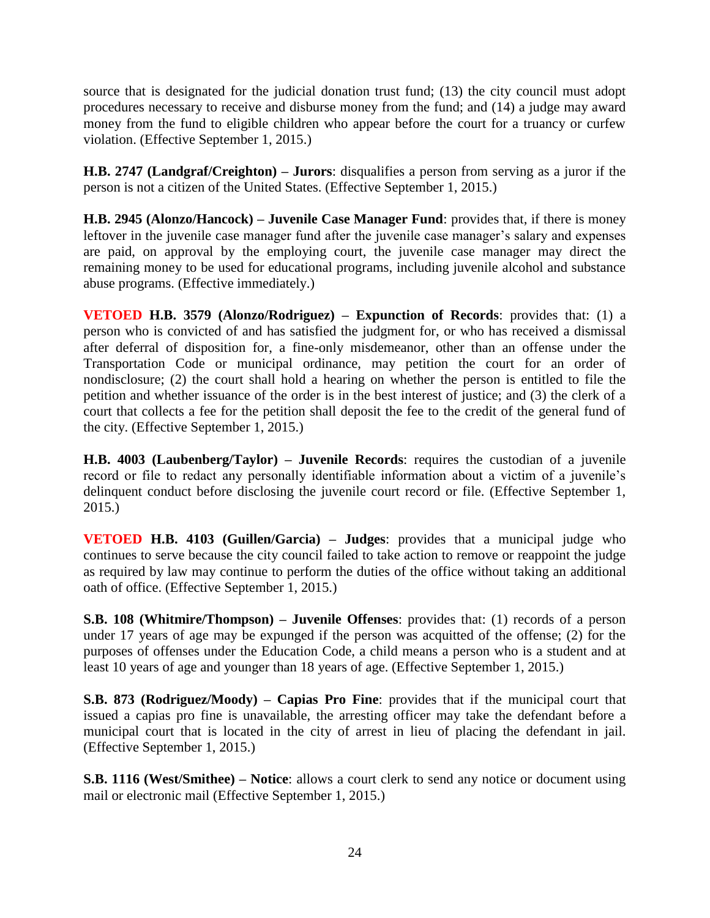source that is designated for the judicial donation trust fund; (13) the city council must adopt procedures necessary to receive and disburse money from the fund; and (14) a judge may award money from the fund to eligible children who appear before the court for a truancy or curfew violation. (Effective September 1, 2015.)

**H.B. 2747 (Landgraf/Creighton) – Jurors**: disqualifies a person from serving as a juror if the person is not a citizen of the United States. (Effective September 1, 2015.)

**H.B. 2945 (Alonzo/Hancock) – Juvenile Case Manager Fund**: provides that, if there is money leftover in the juvenile case manager fund after the juvenile case manager's salary and expenses are paid, on approval by the employing court, the juvenile case manager may direct the remaining money to be used for educational programs, including juvenile alcohol and substance abuse programs. (Effective immediately.)

**VETOED H.B. 3579 (Alonzo/Rodriguez) – Expunction of Records**: provides that: (1) a person who is convicted of and has satisfied the judgment for, or who has received a dismissal after deferral of disposition for, a fine-only misdemeanor, other than an offense under the Transportation Code or municipal ordinance, may petition the court for an order of nondisclosure; (2) the court shall hold a hearing on whether the person is entitled to file the petition and whether issuance of the order is in the best interest of justice; and (3) the clerk of a court that collects a fee for the petition shall deposit the fee to the credit of the general fund of the city. (Effective September 1, 2015.)

**H.B. 4003 (Laubenberg/Taylor) – Juvenile Records**: requires the custodian of a juvenile record or file to redact any personally identifiable information about a victim of a juvenile's delinquent conduct before disclosing the juvenile court record or file. (Effective September 1, 2015.)

**VETOED H.B. 4103 (Guillen/Garcia) – Judges**: provides that a municipal judge who continues to serve because the city council failed to take action to remove or reappoint the judge as required by law may continue to perform the duties of the office without taking an additional oath of office. (Effective September 1, 2015.)

**S.B. 108 (Whitmire/Thompson) – Juvenile Offenses**: provides that: (1) records of a person under 17 years of age may be expunged if the person was acquitted of the offense; (2) for the purposes of offenses under the Education Code, a child means a person who is a student and at least 10 years of age and younger than 18 years of age. (Effective September 1, 2015.)

**S.B. 873 (Rodriguez/Moody) – Capias Pro Fine**: provides that if the municipal court that issued a capias pro fine is unavailable, the arresting officer may take the defendant before a municipal court that is located in the city of arrest in lieu of placing the defendant in jail. (Effective September 1, 2015.)

**S.B. 1116 (West/Smithee) – Notice**: allows a court clerk to send any notice or document using mail or electronic mail (Effective September 1, 2015.)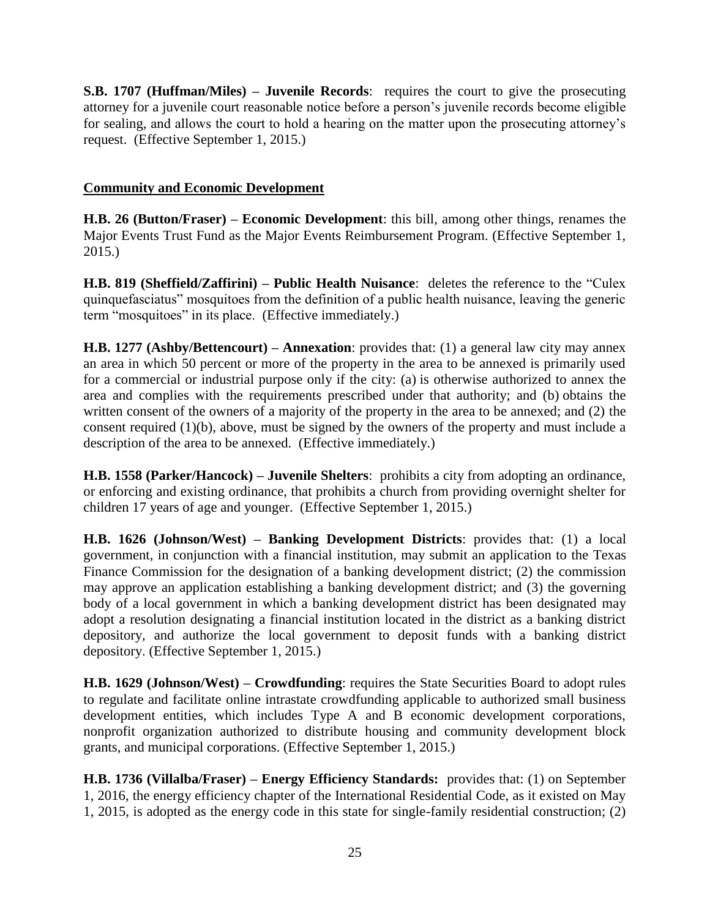**S.B. 1707 (Huffman/Miles) – Juvenile Records:** requires the court to give the prosecuting attorney for a juvenile court reasonable notice before a person's juvenile records become eligible for sealing, and allows the court to hold a hearing on the matter upon the prosecuting attorney's request. (Effective September 1, 2015.)

## **Community and Economic Development**

**H.B. 26 (Button/Fraser) – Economic Development**: this bill, among other things, renames the Major Events Trust Fund as the Major Events Reimbursement Program. (Effective September 1, 2015.)

**H.B. 819 (Sheffield/Zaffirini) – Public Health Nuisance**: deletes the reference to the "Culex quinquefasciatus" mosquitoes from the definition of a public health nuisance, leaving the generic term "mosquitoes" in its place. (Effective immediately.)

**H.B. 1277 (Ashby/Bettencourt) – Annexation**: provides that: (1) a general law city may annex an area in which 50 percent or more of the property in the area to be annexed is primarily used for a commercial or industrial purpose only if the city: (a) is otherwise authorized to annex the area and complies with the requirements prescribed under that authority; and (b) obtains the written consent of the owners of a majority of the property in the area to be annexed; and (2) the consent required (1)(b), above, must be signed by the owners of the property and must include a description of the area to be annexed. (Effective immediately.)

**H.B. 1558 (Parker/Hancock) – Juvenile Shelters**: prohibits a city from adopting an ordinance, or enforcing and existing ordinance, that prohibits a church from providing overnight shelter for children 17 years of age and younger. (Effective September 1, 2015.)

**H.B. 1626 (Johnson/West) – Banking Development Districts**: provides that: (1) a local government, in conjunction with a financial institution, may submit an application to the Texas Finance Commission for the designation of a banking development district; (2) the commission may approve an application establishing a banking development district; and (3) the governing body of a local government in which a banking development district has been designated may adopt a resolution designating a financial institution located in the district as a banking district depository, and authorize the local government to deposit funds with a banking district depository. (Effective September 1, 2015.)

**H.B. 1629 (Johnson/West) – Crowdfunding**: requires the State Securities Board to adopt rules to regulate and facilitate online intrastate crowdfunding applicable to authorized small business development entities, which includes Type A and B economic development corporations, nonprofit organization authorized to distribute housing and community development block grants, and municipal corporations. (Effective September 1, 2015.)

**H.B. 1736 (Villalba/Fraser) – Energy Efficiency Standards:** provides that: (1) on September 1, 2016, the energy efficiency chapter of the International Residential Code, as it existed on May 1, 2015, is adopted as the energy code in this state for single-family residential construction; (2)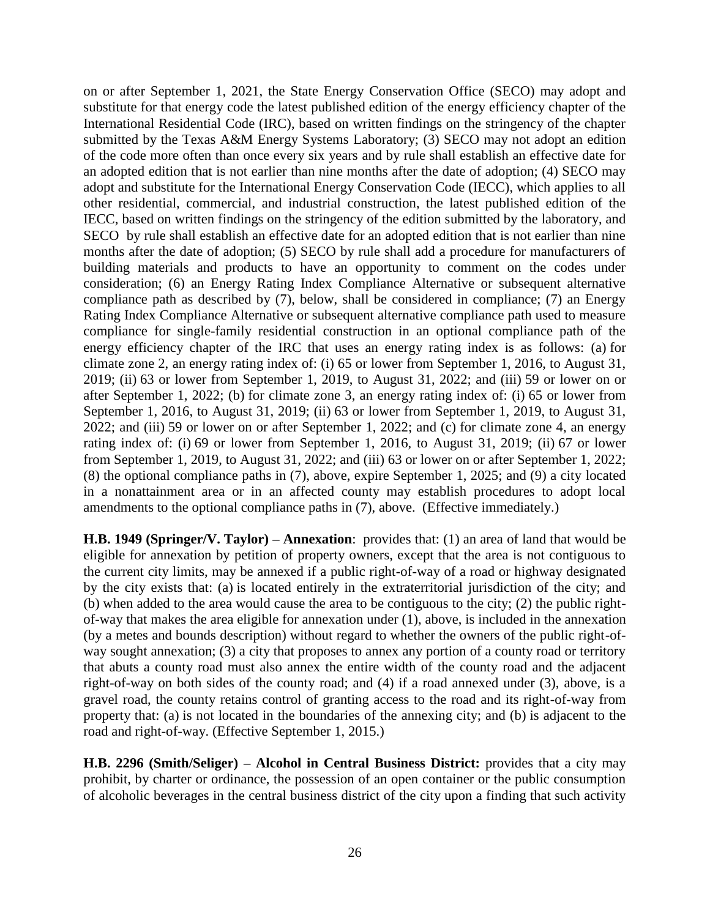on or after September 1, 2021, the State Energy Conservation Office (SECO) may adopt and substitute for that energy code the latest published edition of the energy efficiency chapter of the International Residential Code (IRC), based on written findings on the stringency of the chapter submitted by the Texas A&M Energy Systems Laboratory; (3) SECO may not adopt an edition of the code more often than once every six years and by rule shall establish an effective date for an adopted edition that is not earlier than nine months after the date of adoption; (4) SECO may adopt and substitute for the International Energy Conservation Code (IECC), which applies to all other residential, commercial, and industrial construction, the latest published edition of the IECC, based on written findings on the stringency of the edition submitted by the laboratory, and SECO by rule shall establish an effective date for an adopted edition that is not earlier than nine months after the date of adoption; (5) SECO by rule shall add a procedure for manufacturers of building materials and products to have an opportunity to comment on the codes under consideration; (6) an Energy Rating Index Compliance Alternative or subsequent alternative compliance path as described by (7), below, shall be considered in compliance; (7) an Energy Rating Index Compliance Alternative or subsequent alternative compliance path used to measure compliance for single-family residential construction in an optional compliance path of the energy efficiency chapter of the IRC that uses an energy rating index is as follows: (a) for climate zone 2, an energy rating index of: (i) 65 or lower from September 1, 2016, to August 31, 2019; (ii) 63 or lower from September 1, 2019, to August 31, 2022; and (iii) 59 or lower on or after September 1, 2022; (b) for climate zone 3, an energy rating index of: (i) 65 or lower from September 1, 2016, to August 31, 2019; (ii) 63 or lower from September 1, 2019, to August 31, 2022; and (iii) 59 or lower on or after September 1, 2022; and (c) for climate zone 4, an energy rating index of: (i) 69 or lower from September 1, 2016, to August 31, 2019; (ii) 67 or lower from September 1, 2019, to August 31, 2022; and (iii) 63 or lower on or after September 1, 2022; (8) the optional compliance paths in (7), above, expire September 1, 2025; and (9) a city located in a nonattainment area or in an affected county may establish procedures to adopt local amendments to the optional compliance paths in (7), above. (Effective immediately.)

**H.B. 1949 (Springer/V. Taylor) – Annexation**: provides that: (1) an area of land that would be eligible for annexation by petition of property owners, except that the area is not contiguous to the current city limits, may be annexed if a public right-of-way of a road or highway designated by the city exists that: (a) is located entirely in the extraterritorial jurisdiction of the city; and (b) when added to the area would cause the area to be contiguous to the city; (2) the public rightof-way that makes the area eligible for annexation under (1), above, is included in the annexation (by a metes and bounds description) without regard to whether the owners of the public right-ofway sought annexation; (3) a city that proposes to annex any portion of a county road or territory that abuts a county road must also annex the entire width of the county road and the adjacent right-of-way on both sides of the county road; and (4) if a road annexed under (3), above, is a gravel road, the county retains control of granting access to the road and its right-of-way from property that: (a) is not located in the boundaries of the annexing city; and (b) is adjacent to the road and right-of-way. (Effective September 1, 2015.)

**H.B. 2296 (Smith/Seliger) – Alcohol in Central Business District:** provides that a city may prohibit, by charter or ordinance, the possession of an open container or the public consumption of alcoholic beverages in the central business district of the city upon a finding that such activity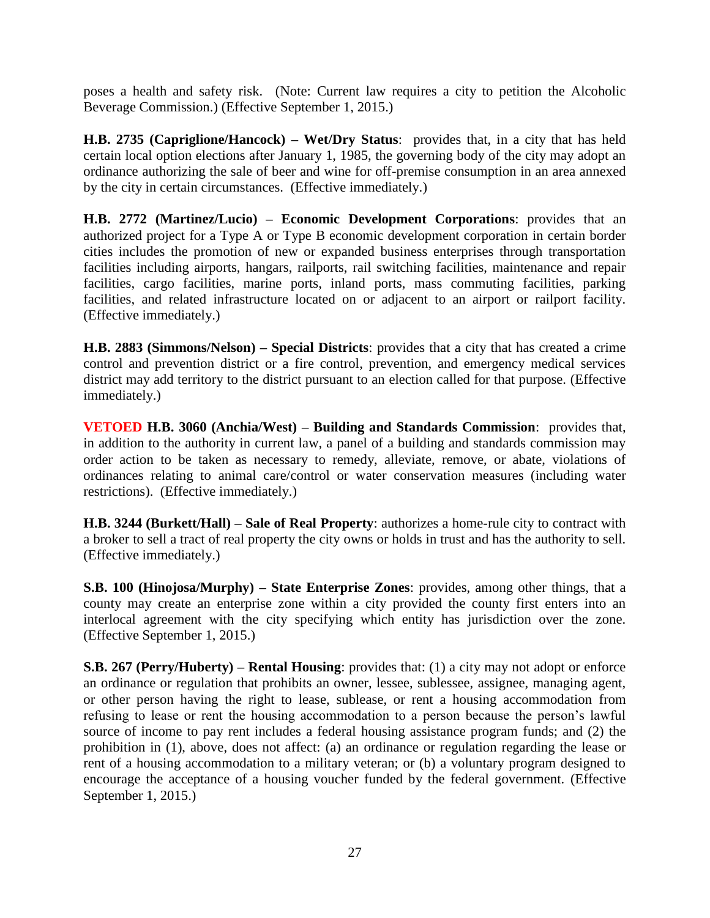poses a health and safety risk. (Note: Current law requires a city to petition the Alcoholic Beverage Commission.) (Effective September 1, 2015.)

**H.B. 2735 (Capriglione/Hancock) – Wet/Dry Status**: provides that, in a city that has held certain local option elections after January 1, 1985, the governing body of the city may adopt an ordinance authorizing the sale of beer and wine for off-premise consumption in an area annexed by the city in certain circumstances. (Effective immediately.)

**H.B. 2772 (Martinez/Lucio) – Economic Development Corporations**: provides that an authorized project for a Type A or Type B economic development corporation in certain border cities includes the promotion of new or expanded business enterprises through transportation facilities including airports, hangars, railports, rail switching facilities, maintenance and repair facilities, cargo facilities, marine ports, inland ports, mass commuting facilities, parking facilities, and related infrastructure located on or adjacent to an airport or railport facility. (Effective immediately.)

**H.B. 2883 (Simmons/Nelson) – Special Districts**: provides that a city that has created a crime control and prevention district or a fire control, prevention, and emergency medical services district may add territory to the district pursuant to an election called for that purpose. (Effective immediately.)

**VETOED H.B. 3060 (Anchia/West) – Building and Standards Commission**: provides that, in addition to the authority in current law, a panel of a building and standards commission may order action to be taken as necessary to remedy, alleviate, remove, or abate, violations of ordinances relating to animal care/control or water conservation measures (including water restrictions). (Effective immediately.)

**H.B. 3244 (Burkett/Hall) – Sale of Real Property**: authorizes a home-rule city to contract with a broker to sell a tract of real property the city owns or holds in trust and has the authority to sell. (Effective immediately.)

**S.B. 100 (Hinojosa/Murphy) – State Enterprise Zones**: provides, among other things, that a county may create an enterprise zone within a city provided the county first enters into an interlocal agreement with the city specifying which entity has jurisdiction over the zone. (Effective September 1, 2015.)

**S.B. 267 (Perry/Huberty) – Rental Housing**: provides that: (1) a city may not adopt or enforce an ordinance or regulation that prohibits an owner, lessee, sublessee, assignee, managing agent, or other person having the right to lease, sublease, or rent a housing accommodation from refusing to lease or rent the housing accommodation to a person because the person's lawful source of income to pay rent includes a federal housing assistance program funds; and (2) the prohibition in (1), above, does not affect: (a) an ordinance or regulation regarding the lease or rent of a housing accommodation to a military veteran; or (b) a voluntary program designed to encourage the acceptance of a housing voucher funded by the federal government. (Effective September 1, 2015.)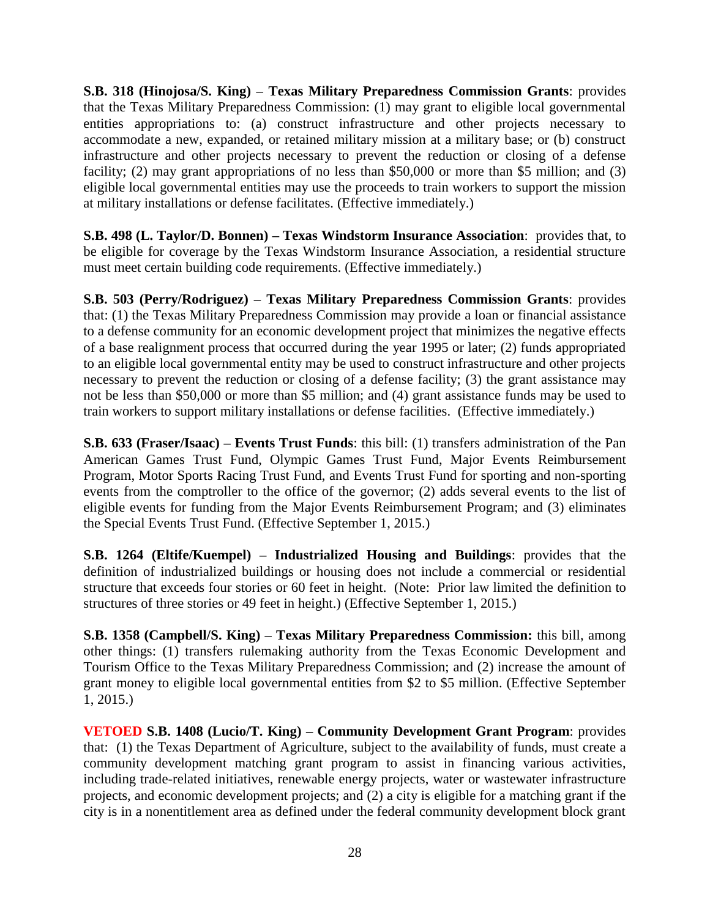**S.B. 318 (Hinojosa/S. King) – Texas Military Preparedness Commission Grants**: provides that the Texas Military Preparedness Commission: (1) may grant to eligible local governmental entities appropriations to: (a) construct infrastructure and other projects necessary to accommodate a new, expanded, or retained military mission at a military base; or (b) construct infrastructure and other projects necessary to prevent the reduction or closing of a defense facility; (2) may grant appropriations of no less than \$50,000 or more than \$5 million; and (3) eligible local governmental entities may use the proceeds to train workers to support the mission at military installations or defense facilitates. (Effective immediately.)

**S.B. 498 (L. Taylor/D. Bonnen) – Texas Windstorm Insurance Association**: provides that, to be eligible for coverage by the Texas Windstorm Insurance Association, a residential structure must meet certain building code requirements. (Effective immediately.)

**S.B. 503 (Perry/Rodriguez) – Texas Military Preparedness Commission Grants**: provides that: (1) the Texas Military Preparedness Commission may provide a loan or financial assistance to a defense community for an economic development project that minimizes the negative effects of a base realignment process that occurred during the year 1995 or later; (2) funds appropriated to an eligible local governmental entity may be used to construct infrastructure and other projects necessary to prevent the reduction or closing of a defense facility; (3) the grant assistance may not be less than \$50,000 or more than \$5 million; and (4) grant assistance funds may be used to train workers to support military installations or defense facilities. (Effective immediately.)

**S.B. 633 (Fraser/Isaac) – Events Trust Funds**: this bill: (1) transfers administration of the Pan American Games Trust Fund, Olympic Games Trust Fund, Major Events Reimbursement Program, Motor Sports Racing Trust Fund, and Events Trust Fund for sporting and non-sporting events from the comptroller to the office of the governor; (2) adds several events to the list of eligible events for funding from the Major Events Reimbursement Program; and (3) eliminates the Special Events Trust Fund. (Effective September 1, 2015.)

**S.B. 1264 (Eltife/Kuempel) – Industrialized Housing and Buildings**: provides that the definition of industrialized buildings or housing does not include a commercial or residential structure that exceeds four stories or 60 feet in height. (Note: Prior law limited the definition to structures of three stories or 49 feet in height.) (Effective September 1, 2015.)

**S.B. 1358 (Campbell/S. King) – Texas Military Preparedness Commission:** this bill, among other things: (1) transfers rulemaking authority from the Texas Economic Development and Tourism Office to the Texas Military Preparedness Commission; and (2) increase the amount of grant money to eligible local governmental entities from \$2 to \$5 million. (Effective September 1, 2015.)

**VETOED S.B. 1408 (Lucio/T. King) – Community Development Grant Program**: provides that: (1) the Texas Department of Agriculture, subject to the availability of funds, must create a community development matching grant program to assist in financing various activities, including trade-related initiatives, renewable energy projects, water or wastewater infrastructure projects, and economic development projects; and (2) a city is eligible for a matching grant if the city is in a nonentitlement area as defined under the federal community development block grant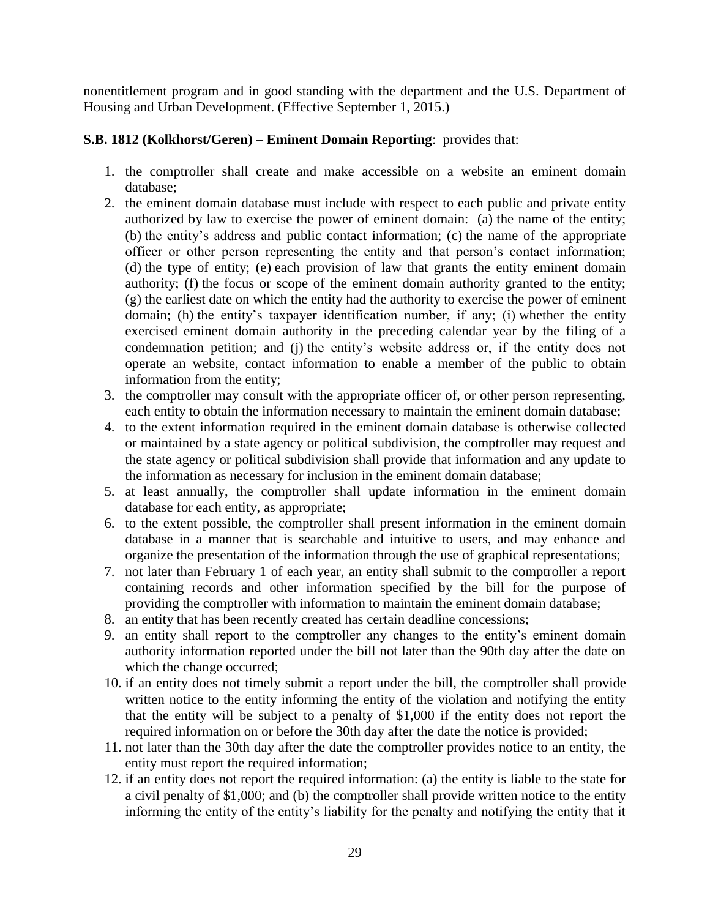nonentitlement program and in good standing with the department and the U.S. Department of Housing and Urban Development. (Effective September 1, 2015.)

## **S.B. 1812 (Kolkhorst/Geren) – Eminent Domain Reporting**: provides that:

- 1. the comptroller shall create and make accessible on a website an eminent domain database;
- 2. the eminent domain database must include with respect to each public and private entity authorized by law to exercise the power of eminent domain: (a) the name of the entity; (b) the entity's address and public contact information; (c) the name of the appropriate officer or other person representing the entity and that person's contact information; (d) the type of entity; (e) each provision of law that grants the entity eminent domain authority; (f) the focus or scope of the eminent domain authority granted to the entity; (g) the earliest date on which the entity had the authority to exercise the power of eminent domain; (h) the entity's taxpayer identification number, if any; (i) whether the entity exercised eminent domain authority in the preceding calendar year by the filing of a condemnation petition; and (j) the entity's website address or, if the entity does not operate an website, contact information to enable a member of the public to obtain information from the entity;
- 3. the comptroller may consult with the appropriate officer of, or other person representing, each entity to obtain the information necessary to maintain the eminent domain database;
- 4. to the extent information required in the eminent domain database is otherwise collected or maintained by a state agency or political subdivision, the comptroller may request and the state agency or political subdivision shall provide that information and any update to the information as necessary for inclusion in the eminent domain database;
- 5. at least annually, the comptroller shall update information in the eminent domain database for each entity, as appropriate;
- 6. to the extent possible, the comptroller shall present information in the eminent domain database in a manner that is searchable and intuitive to users, and may enhance and organize the presentation of the information through the use of graphical representations;
- 7. not later than February 1 of each year, an entity shall submit to the comptroller a report containing records and other information specified by the bill for the purpose of providing the comptroller with information to maintain the eminent domain database;
- 8. an entity that has been recently created has certain deadline concessions;
- 9. an entity shall report to the comptroller any changes to the entity's eminent domain authority information reported under the bill not later than the 90th day after the date on which the change occurred;
- 10. if an entity does not timely submit a report under the bill, the comptroller shall provide written notice to the entity informing the entity of the violation and notifying the entity that the entity will be subject to a penalty of \$1,000 if the entity does not report the required information on or before the 30th day after the date the notice is provided;
- 11. not later than the 30th day after the date the comptroller provides notice to an entity, the entity must report the required information;
- 12. if an entity does not report the required information: (a) the entity is liable to the state for a civil penalty of \$1,000; and (b) the comptroller shall provide written notice to the entity informing the entity of the entity's liability for the penalty and notifying the entity that it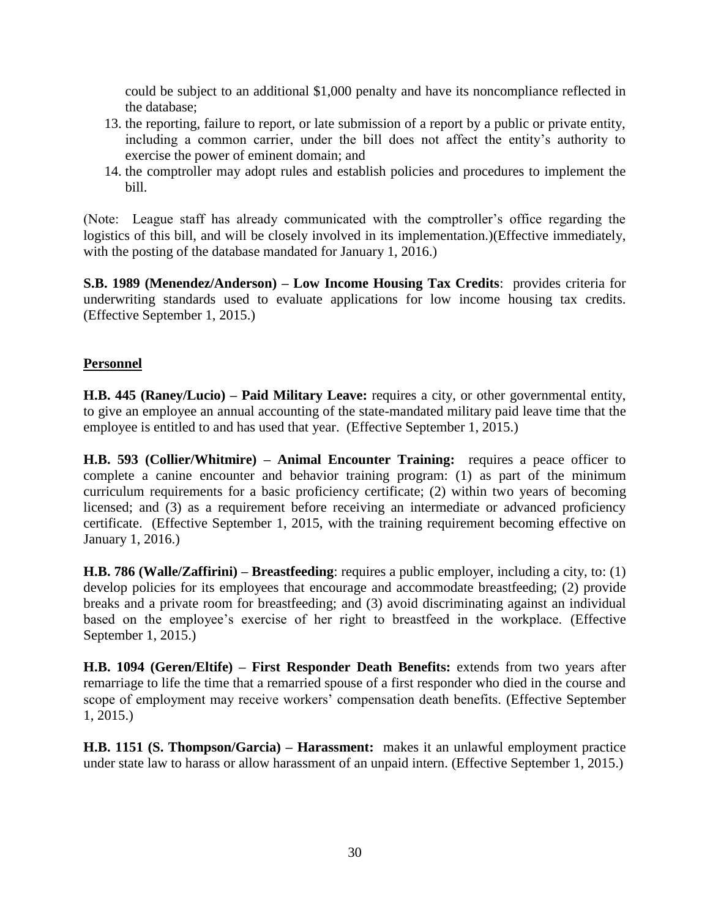could be subject to an additional \$1,000 penalty and have its noncompliance reflected in the database;

- 13. the reporting, failure to report, or late submission of a report by a public or private entity, including a common carrier, under the bill does not affect the entity's authority to exercise the power of eminent domain; and
- 14. the comptroller may adopt rules and establish policies and procedures to implement the bill.

(Note: League staff has already communicated with the comptroller's office regarding the logistics of this bill, and will be closely involved in its implementation.)(Effective immediately, with the posting of the database mandated for January 1, 2016.)

**S.B. 1989 (Menendez/Anderson) – Low Income Housing Tax Credits**: provides criteria for underwriting standards used to evaluate applications for low income housing tax credits. (Effective September 1, 2015.)

#### **Personnel**

**H.B. 445 (Raney/Lucio) – Paid Military Leave:** requires a city, or other governmental entity, to give an employee an annual accounting of the state-mandated military paid leave time that the employee is entitled to and has used that year. (Effective September 1, 2015.)

**H.B. 593 (Collier/Whitmire) – Animal Encounter Training:** requires a peace officer to complete a canine encounter and behavior training program: (1) as part of the minimum curriculum requirements for a basic proficiency certificate; (2) within two years of becoming licensed; and (3) as a requirement before receiving an intermediate or advanced proficiency certificate. (Effective September 1, 2015, with the training requirement becoming effective on January 1, 2016.)

**H.B. 786 (Walle/Zaffirini) – Breastfeeding**: requires a public employer, including a city, to: (1) develop policies for its employees that encourage and accommodate breastfeeding; (2) provide breaks and a private room for breastfeeding; and (3) avoid discriminating against an individual based on the employee's exercise of her right to breastfeed in the workplace. (Effective September 1, 2015.)

**H.B. 1094 (Geren/Eltife) – First Responder Death Benefits:** extends from two years after remarriage to life the time that a remarried spouse of a first responder who died in the course and scope of employment may receive workers' compensation death benefits. (Effective September 1, 2015.)

**H.B. 1151 (S. Thompson/Garcia) – Harassment:** makes it an unlawful employment practice under state law to harass or allow harassment of an unpaid intern. (Effective September 1, 2015.)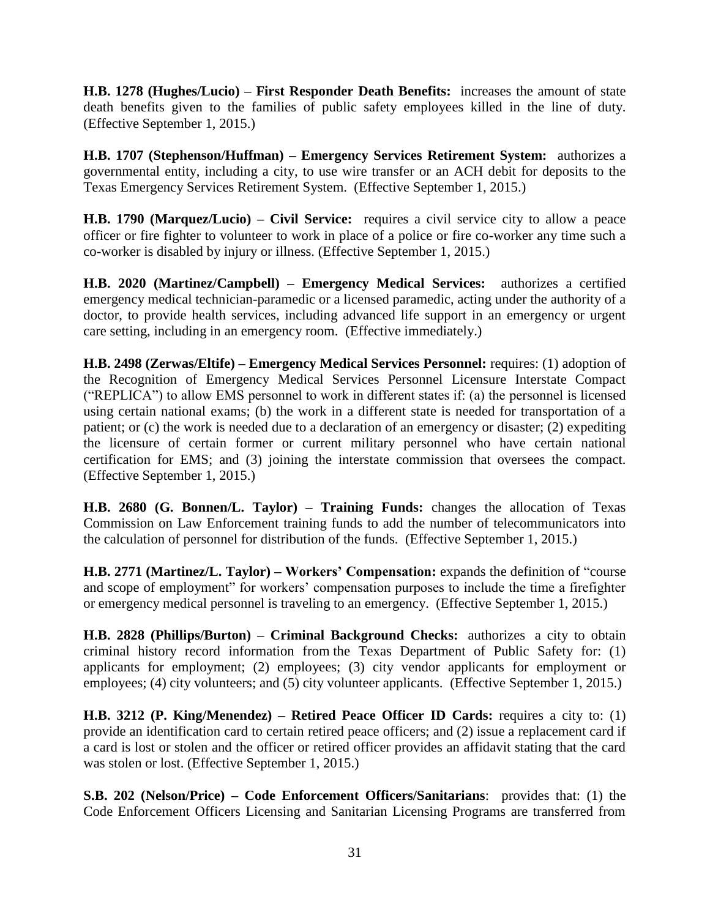**H.B. 1278 (Hughes/Lucio) – First Responder Death Benefits:** increases the amount of state death benefits given to the families of public safety employees killed in the line of duty. (Effective September 1, 2015.)

**H.B. 1707 (Stephenson/Huffman) – Emergency Services Retirement System:** authorizes a governmental entity, including a city, to use wire transfer or an ACH debit for deposits to the Texas Emergency Services Retirement System. (Effective September 1, 2015.)

**H.B. 1790 (Marquez/Lucio) – Civil Service:** requires a civil service city to allow a peace officer or fire fighter to volunteer to work in place of a police or fire co-worker any time such a co-worker is disabled by injury or illness. (Effective September 1, 2015.)

**H.B. 2020 (Martinez/Campbell) – Emergency Medical Services:** authorizes a certified emergency medical technician-paramedic or a licensed paramedic, acting under the authority of a doctor, to provide health services, including advanced life support in an emergency or urgent care setting, including in an emergency room. (Effective immediately.)

**H.B. 2498 (Zerwas/Eltife) – Emergency Medical Services Personnel:** requires: (1) adoption of the Recognition of Emergency Medical Services Personnel Licensure Interstate Compact ("REPLICA") to allow EMS personnel to work in different states if: (a) the personnel is licensed using certain national exams; (b) the work in a different state is needed for transportation of a patient; or (c) the work is needed due to a declaration of an emergency or disaster; (2) expediting the licensure of certain former or current military personnel who have certain national certification for EMS; and (3) joining the interstate commission that oversees the compact. (Effective September 1, 2015.)

**H.B. 2680 (G. Bonnen/L. Taylor) – Training Funds:** changes the allocation of Texas Commission on Law Enforcement training funds to add the number of telecommunicators into the calculation of personnel for distribution of the funds. (Effective September 1, 2015.)

**H.B. 2771 (Martinez/L. Taylor) – Workers' Compensation:** expands the definition of "course and scope of employment" for workers' compensation purposes to include the time a firefighter or emergency medical personnel is traveling to an emergency. (Effective September 1, 2015.)

**H.B. 2828 (Phillips/Burton) – Criminal Background Checks:** authorizes a city to obtain criminal history record information from the Texas Department of Public Safety for: (1) applicants for employment; (2) employees; (3) city vendor applicants for employment or employees; (4) city volunteers; and (5) city volunteer applicants. (Effective September 1, 2015.)

**H.B. 3212 (P. King/Menendez) – Retired Peace Officer ID Cards:** requires a city to: (1) provide an identification card to certain retired peace officers; and (2) issue a replacement card if a card is lost or stolen and the officer or retired officer provides an affidavit stating that the card was stolen or lost. (Effective September 1, 2015.)

**S.B. 202 (Nelson/Price) – Code Enforcement Officers/Sanitarians**: provides that: (1) the Code Enforcement Officers Licensing and Sanitarian Licensing Programs are transferred from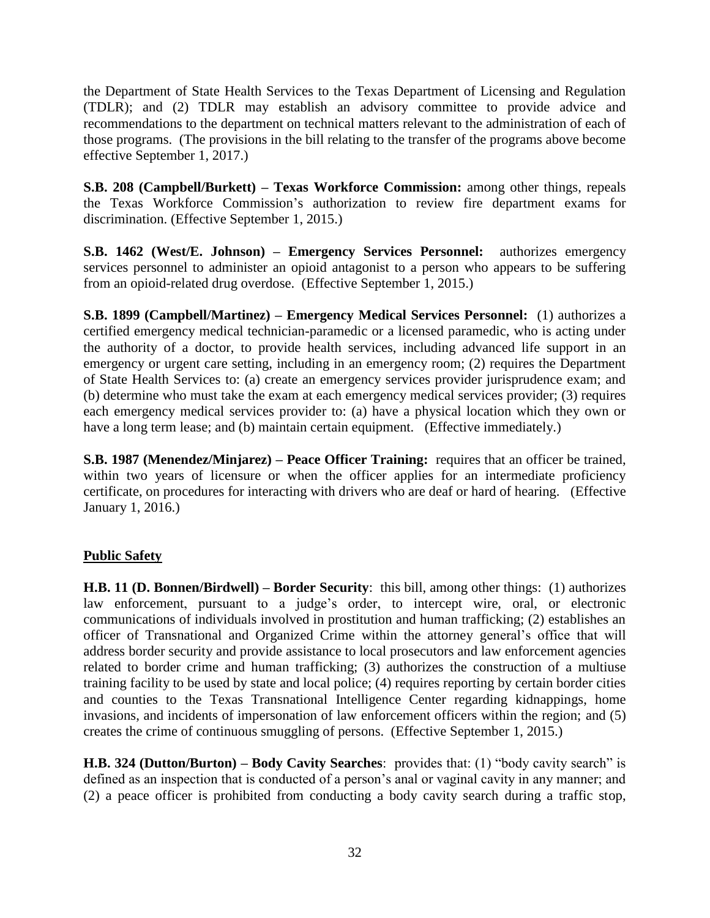the Department of State Health Services to the Texas Department of Licensing and Regulation (TDLR); and (2) TDLR may establish an advisory committee to provide advice and recommendations to the department on technical matters relevant to the administration of each of those programs. (The provisions in the bill relating to the transfer of the programs above become effective September 1, 2017.)

**S.B. 208 (Campbell/Burkett) – Texas Workforce Commission:** among other things, repeals the Texas Workforce Commission's authorization to review fire department exams for discrimination. (Effective September 1, 2015.)

**S.B. 1462 (West/E. Johnson) – Emergency Services Personnel:** authorizes emergency services personnel to administer an opioid antagonist to a person who appears to be suffering from an opioid-related drug overdose. (Effective September 1, 2015.)

**S.B. 1899 (Campbell/Martinez) – Emergency Medical Services Personnel:** (1) authorizes a certified emergency medical technician-paramedic or a licensed paramedic, who is acting under the authority of a doctor, to provide health services, including advanced life support in an emergency or urgent care setting, including in an emergency room; (2) requires the Department of State Health Services to: (a) create an emergency services provider jurisprudence exam; and (b) determine who must take the exam at each emergency medical services provider; (3) requires each emergency medical services provider to: (a) have a physical location which they own or have a long term lease; and (b) maintain certain equipment. (Effective immediately.)

**S.B. 1987 (Menendez/Minjarez) – Peace Officer Training:** requires that an officer be trained, within two years of licensure or when the officer applies for an intermediate proficiency certificate, on procedures for interacting with drivers who are deaf or hard of hearing. (Effective January 1, 2016.)

#### **Public Safety**

**H.B. 11 (D. Bonnen/Birdwell) – Border Security**: this bill, among other things: (1) authorizes law enforcement, pursuant to a judge's order, to intercept wire, oral, or electronic communications of individuals involved in prostitution and human trafficking; (2) establishes an officer of Transnational and Organized Crime within the attorney general's office that will address border security and provide assistance to local prosecutors and law enforcement agencies related to border crime and human trafficking; (3) authorizes the construction of a multiuse training facility to be used by state and local police; (4) requires reporting by certain border cities and counties to the Texas Transnational Intelligence Center regarding kidnappings, home invasions, and incidents of impersonation of law enforcement officers within the region; and (5) creates the crime of continuous smuggling of persons. (Effective September 1, 2015.)

**H.B. 324 (Dutton/Burton) – Body Cavity Searches**: provides that: (1) "body cavity search" is defined as an inspection that is conducted of a person's anal or vaginal cavity in any manner; and (2) a peace officer is prohibited from conducting a body cavity search during a traffic stop,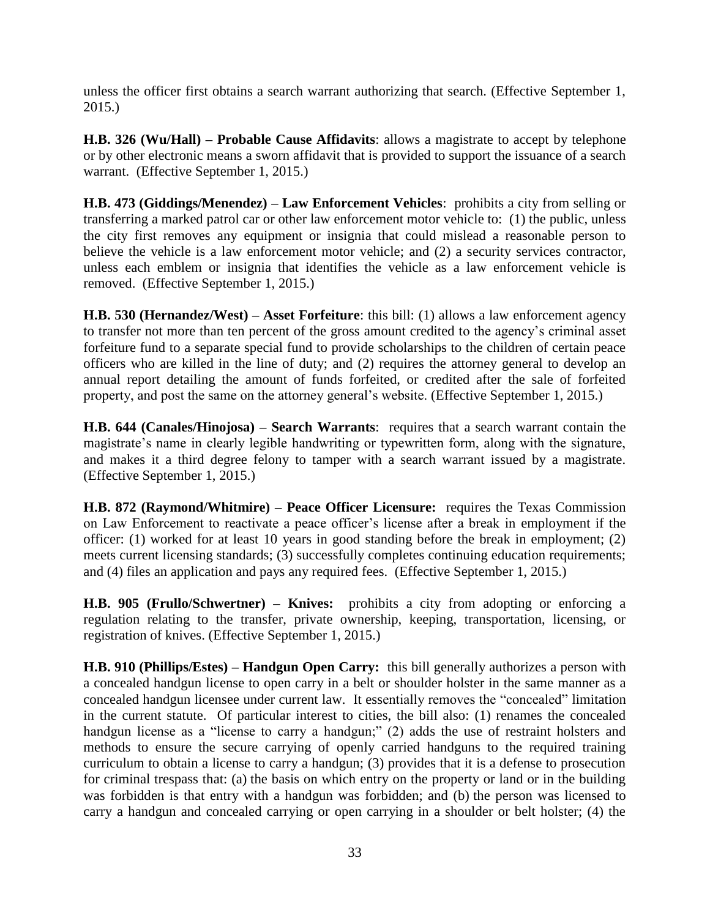unless the officer first obtains a search warrant authorizing that search. (Effective September 1, 2015.)

**H.B. 326 (Wu/Hall) – Probable Cause Affidavits**: allows a magistrate to accept by telephone or by other electronic means a sworn affidavit that is provided to support the issuance of a search warrant. (Effective September 1, 2015.)

**H.B. 473 (Giddings/Menendez) – Law Enforcement Vehicles**: prohibits a city from selling or transferring a marked patrol car or other law enforcement motor vehicle to: (1) the public, unless the city first removes any equipment or insignia that could mislead a reasonable person to believe the vehicle is a law enforcement motor vehicle; and (2) a security services contractor, unless each emblem or insignia that identifies the vehicle as a law enforcement vehicle is removed. (Effective September 1, 2015.)

**H.B. 530 (Hernandez/West) – Asset Forfeiture**: this bill: (1) allows a law enforcement agency to transfer not more than ten percent of the gross amount credited to the agency's criminal asset forfeiture fund to a separate special fund to provide scholarships to the children of certain peace officers who are killed in the line of duty; and (2) requires the attorney general to develop an annual report detailing the amount of funds forfeited, or credited after the sale of forfeited property, and post the same on the attorney general's website. (Effective September 1, 2015.)

**H.B. 644 (Canales/Hinojosa) – Search Warrants**: requires that a search warrant contain the magistrate's name in clearly legible handwriting or typewritten form, along with the signature, and makes it a third degree felony to tamper with a search warrant issued by a magistrate. (Effective September 1, 2015.)

**H.B. 872 (Raymond/Whitmire) – Peace Officer Licensure:** requires the Texas Commission on Law Enforcement to reactivate a peace officer's license after a break in employment if the officer: (1) worked for at least 10 years in good standing before the break in employment; (2) meets current licensing standards; (3) successfully completes continuing education requirements; and (4) files an application and pays any required fees. (Effective September 1, 2015.)

**H.B. 905 (Frullo/Schwertner) – Knives:** prohibits a city from adopting or enforcing a regulation relating to the transfer, private ownership, keeping, transportation, licensing, or registration of knives. (Effective September 1, 2015.)

**H.B. 910 (Phillips/Estes) – Handgun Open Carry:** this bill generally authorizes a person with a concealed handgun license to open carry in a belt or shoulder holster in the same manner as a concealed handgun licensee under current law. It essentially removes the "concealed" limitation in the current statute. Of particular interest to cities, the bill also: (1) renames the concealed handgun license as a "license to carry a handgun;" (2) adds the use of restraint holsters and methods to ensure the secure carrying of openly carried handguns to the required training curriculum to obtain a license to carry a handgun; (3) provides that it is a defense to prosecution for criminal trespass that: (a) the basis on which entry on the property or land or in the building was forbidden is that entry with a handgun was forbidden; and (b) the person was licensed to carry a handgun and concealed carrying or open carrying in a shoulder or belt holster; (4) the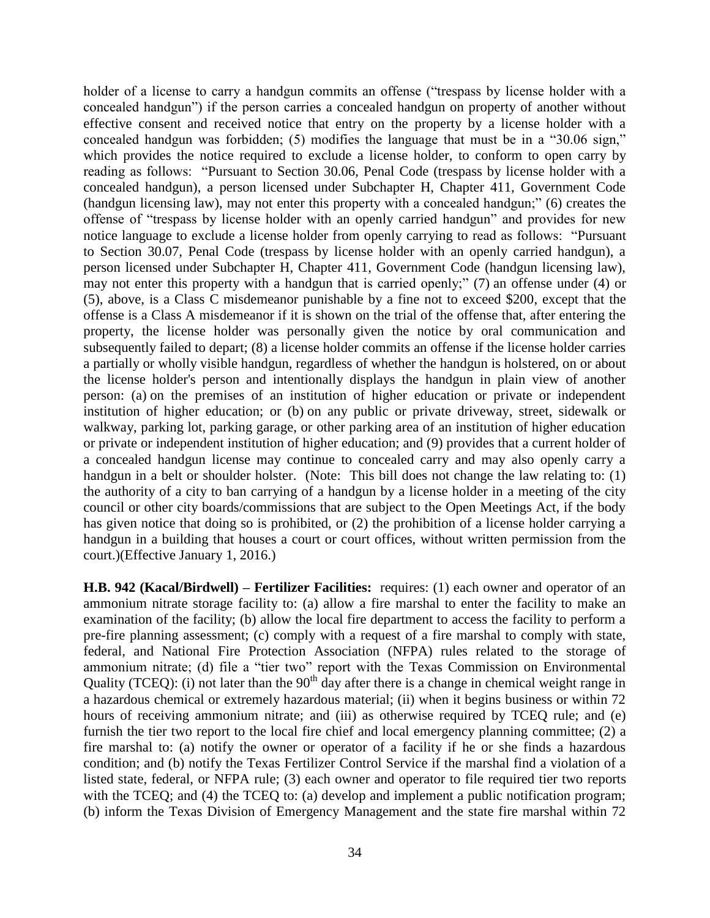holder of a license to carry a handgun commits an offense ("trespass by license holder with a concealed handgun") if the person carries a concealed handgun on property of another without effective consent and received notice that entry on the property by a license holder with a concealed handgun was forbidden; (5) modifies the language that must be in a "30.06 sign," which provides the notice required to exclude a license holder, to conform to open carry by reading as follows: "Pursuant to Section 30.06, Penal Code (trespass by license holder with a concealed handgun), a person licensed under Subchapter H, Chapter 411, Government Code (handgun licensing law), may not enter this property with a concealed handgun;" (6) creates the offense of "trespass by license holder with an openly carried handgun" and provides for new notice language to exclude a license holder from openly carrying to read as follows: "Pursuant to Section 30.07, Penal Code (trespass by license holder with an openly carried handgun), a person licensed under Subchapter H, Chapter 411, Government Code (handgun licensing law), may not enter this property with a handgun that is carried openly;" (7) an offense under (4) or (5), above, is a Class C misdemeanor punishable by a fine not to exceed \$200, except that the offense is a Class A misdemeanor if it is shown on the trial of the offense that, after entering the property, the license holder was personally given the notice by oral communication and subsequently failed to depart; (8) a license holder commits an offense if the license holder carries a partially or wholly visible handgun, regardless of whether the handgun is holstered, on or about the license holder's person and intentionally displays the handgun in plain view of another person: (a) on the premises of an institution of higher education or private or independent institution of higher education; or (b) on any public or private driveway, street, sidewalk or walkway, parking lot, parking garage, or other parking area of an institution of higher education or private or independent institution of higher education; and (9) provides that a current holder of a concealed handgun license may continue to concealed carry and may also openly carry a handgun in a belt or shoulder holster. (Note: This bill does not change the law relating to: (1) the authority of a city to ban carrying of a handgun by a license holder in a meeting of the city council or other city boards/commissions that are subject to the Open Meetings Act, if the body has given notice that doing so is prohibited, or (2) the prohibition of a license holder carrying a handgun in a building that houses a court or court offices, without written permission from the court.)(Effective January 1, 2016.)

**H.B. 942 (Kacal/Birdwell) – Fertilizer Facilities:** requires: (1) each owner and operator of an ammonium nitrate storage facility to: (a) allow a fire marshal to enter the facility to make an examination of the facility; (b) allow the local fire department to access the facility to perform a pre-fire planning assessment; (c) comply with a request of a fire marshal to comply with state, federal, and National Fire Protection Association (NFPA) rules related to the storage of ammonium nitrate; (d) file a "tier two" report with the Texas Commission on Environmental Quality (TCEQ): (i) not later than the  $90<sup>th</sup>$  day after there is a change in chemical weight range in a hazardous chemical or extremely hazardous material; (ii) when it begins business or within 72 hours of receiving ammonium nitrate; and (iii) as otherwise required by TCEQ rule; and (e) furnish the tier two report to the local fire chief and local emergency planning committee; (2) a fire marshal to: (a) notify the owner or operator of a facility if he or she finds a hazardous condition; and (b) notify the Texas Fertilizer Control Service if the marshal find a violation of a listed state, federal, or NFPA rule; (3) each owner and operator to file required tier two reports with the TCEQ; and (4) the TCEQ to: (a) develop and implement a public notification program; (b) inform the Texas Division of Emergency Management and the state fire marshal within 72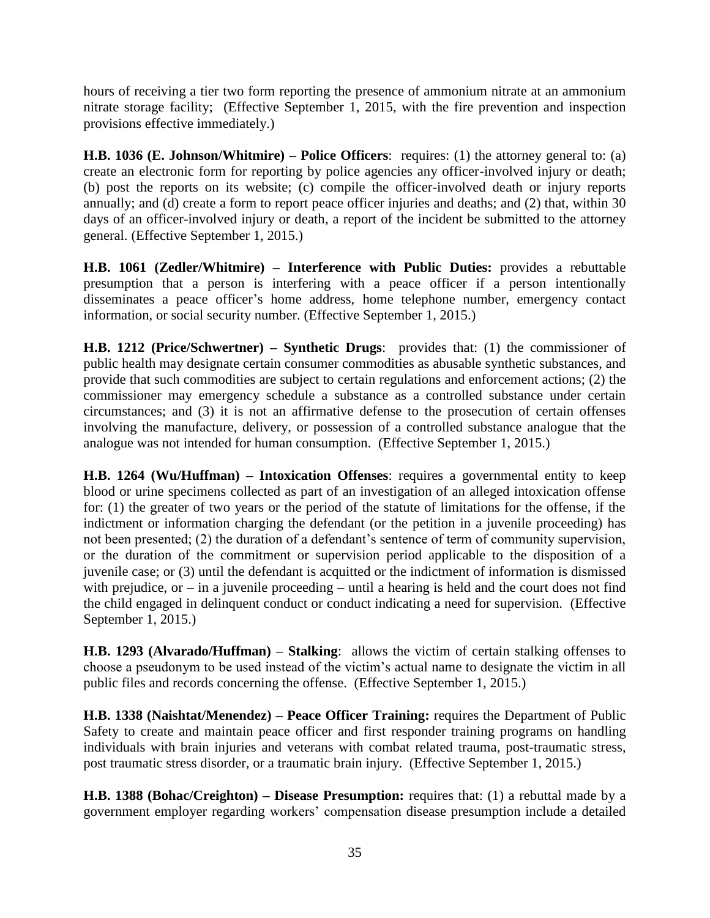hours of receiving a tier two form reporting the presence of ammonium nitrate at an ammonium nitrate storage facility; (Effective September 1, 2015, with the fire prevention and inspection provisions effective immediately.)

**H.B. 1036 (E. Johnson/Whitmire) – Police Officers:** requires: (1) the attorney general to: (a) create an electronic form for reporting by police agencies any officer-involved injury or death; (b) post the reports on its website; (c) compile the officer-involved death or injury reports annually; and (d) create a form to report peace officer injuries and deaths; and (2) that, within 30 days of an officer-involved injury or death, a report of the incident be submitted to the attorney general. (Effective September 1, 2015.)

**H.B. 1061 (Zedler/Whitmire) – Interference with Public Duties:** provides a rebuttable presumption that a person is interfering with a peace officer if a person intentionally disseminates a peace officer's home address, home telephone number, emergency contact information, or social security number. (Effective September 1, 2015.)

**H.B. 1212 (Price/Schwertner) – Synthetic Drugs**: provides that: (1) the commissioner of public health may designate certain consumer commodities as abusable synthetic substances, and provide that such commodities are subject to certain regulations and enforcement actions; (2) the commissioner may emergency schedule a substance as a controlled substance under certain circumstances; and (3) it is not an affirmative defense to the prosecution of certain offenses involving the manufacture, delivery, or possession of a controlled substance analogue that the analogue was not intended for human consumption. (Effective September 1, 2015.)

**H.B. 1264 (Wu/Huffman) – Intoxication Offenses**: requires a governmental entity to keep blood or urine specimens collected as part of an investigation of an alleged intoxication offense for: (1) the greater of two years or the period of the statute of limitations for the offense, if the indictment or information charging the defendant (or the petition in a juvenile proceeding) has not been presented; (2) the duration of a defendant's sentence of term of community supervision, or the duration of the commitment or supervision period applicable to the disposition of a juvenile case; or (3) until the defendant is acquitted or the indictment of information is dismissed with prejudice, or  $-$  in a juvenile proceeding  $-$  until a hearing is held and the court does not find the child engaged in delinquent conduct or conduct indicating a need for supervision. (Effective September 1, 2015.)

**H.B. 1293 (Alvarado/Huffman) – Stalking**: allows the victim of certain stalking offenses to choose a pseudonym to be used instead of the victim's actual name to designate the victim in all public files and records concerning the offense. (Effective September 1, 2015.)

**H.B. 1338 (Naishtat/Menendez) – Peace Officer Training:** requires the Department of Public Safety to create and maintain peace officer and first responder training programs on handling individuals with brain injuries and veterans with combat related trauma, post-traumatic stress, post traumatic stress disorder, or a traumatic brain injury. (Effective September 1, 2015.)

**H.B. 1388 (Bohac/Creighton) – Disease Presumption:** requires that: (1) a rebuttal made by a government employer regarding workers' compensation disease presumption include a detailed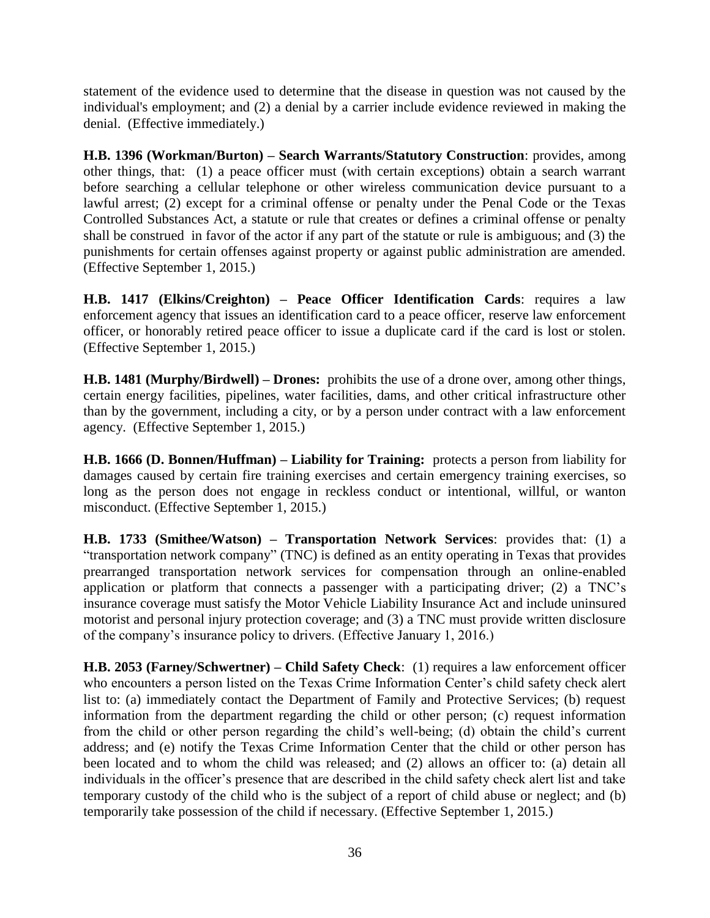statement of the evidence used to determine that the disease in question was not caused by the individual's employment; and (2) a denial by a carrier include evidence reviewed in making the denial. (Effective immediately.)

**H.B. 1396 (Workman/Burton) – Search Warrants/Statutory Construction**: provides, among other things, that: (1) a peace officer must (with certain exceptions) obtain a search warrant before searching a cellular telephone or other wireless communication device pursuant to a lawful arrest; (2) except for a criminal offense or penalty under the Penal Code or the Texas Controlled Substances Act, a statute or rule that creates or defines a criminal offense or penalty shall be construed in favor of the actor if any part of the statute or rule is ambiguous; and (3) the punishments for certain offenses against property or against public administration are amended. (Effective September 1, 2015.)

**H.B. 1417 (Elkins/Creighton) – Peace Officer Identification Cards**: requires a law enforcement agency that issues an identification card to a peace officer, reserve law enforcement officer, or honorably retired peace officer to issue a duplicate card if the card is lost or stolen. (Effective September 1, 2015.)

**H.B. 1481 (Murphy/Birdwell) – Drones:** prohibits the use of a drone over, among other things, certain energy facilities, pipelines, water facilities, dams, and other critical infrastructure other than by the government, including a city, or by a person under contract with a law enforcement agency. (Effective September 1, 2015.)

**H.B. 1666 (D. Bonnen/Huffman) – Liability for Training:** protects a person from liability for damages caused by certain fire training exercises and certain emergency training exercises, so long as the person does not engage in reckless conduct or intentional, willful, or wanton misconduct. (Effective September 1, 2015.)

**H.B. 1733 (Smithee/Watson) – Transportation Network Services**: provides that: (1) a "transportation network company" (TNC) is defined as an entity operating in Texas that provides prearranged transportation network services for compensation through an online-enabled application or platform that connects a passenger with a participating driver; (2) a TNC's insurance coverage must satisfy the Motor Vehicle Liability Insurance Act and include uninsured motorist and personal injury protection coverage; and (3) a TNC must provide written disclosure of the company's insurance policy to drivers. (Effective January 1, 2016.)

**H.B. 2053 (Farney/Schwertner) – Child Safety Check**: (1) requires a law enforcement officer who encounters a person listed on the Texas Crime Information Center's child safety check alert list to: (a) immediately contact the Department of Family and Protective Services; (b) request information from the department regarding the child or other person; (c) request information from the child or other person regarding the child's well-being; (d) obtain the child's current address; and (e) notify the Texas Crime Information Center that the child or other person has been located and to whom the child was released; and (2) allows an officer to: (a) detain all individuals in the officer's presence that are described in the child safety check alert list and take temporary custody of the child who is the subject of a report of child abuse or neglect; and (b) temporarily take possession of the child if necessary. (Effective September 1, 2015.)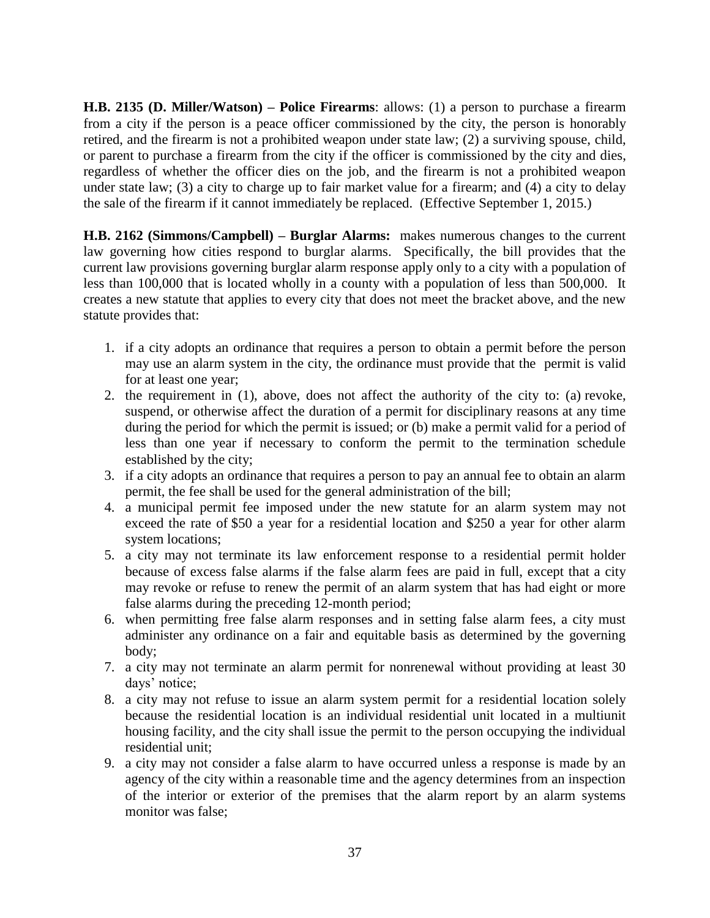**H.B. 2135 (D. Miller/Watson) – Police Firearms**: allows: (1) a person to purchase a firearm from a city if the person is a peace officer commissioned by the city, the person is honorably retired, and the firearm is not a prohibited weapon under state law; (2) a surviving spouse, child, or parent to purchase a firearm from the city if the officer is commissioned by the city and dies, regardless of whether the officer dies on the job, and the firearm is not a prohibited weapon under state law; (3) a city to charge up to fair market value for a firearm; and (4) a city to delay the sale of the firearm if it cannot immediately be replaced. (Effective September 1, 2015.)

**H.B. 2162 (Simmons/Campbell) – Burglar Alarms:** makes numerous changes to the current law governing how cities respond to burglar alarms. Specifically, the bill provides that the current law provisions governing burglar alarm response apply only to a city with a population of less than 100,000 that is located wholly in a county with a population of less than 500,000. It creates a new statute that applies to every city that does not meet the bracket above, and the new statute provides that:

- 1. if a city adopts an ordinance that requires a person to obtain a permit before the person may use an alarm system in the city, the ordinance must provide that the permit is valid for at least one year;
- 2. the requirement in (1), above, does not affect the authority of the city to: (a) revoke, suspend, or otherwise affect the duration of a permit for disciplinary reasons at any time during the period for which the permit is issued; or (b) make a permit valid for a period of less than one year if necessary to conform the permit to the termination schedule established by the city;
- 3. if a city adopts an ordinance that requires a person to pay an annual fee to obtain an alarm permit, the fee shall be used for the general administration of the bill;
- 4. a municipal permit fee imposed under the new statute for an alarm system may not exceed the rate of \$50 a year for a residential location and \$250 a year for other alarm system locations;
- 5. a city may not terminate its law enforcement response to a residential permit holder because of excess false alarms if the false alarm fees are paid in full, except that a city may revoke or refuse to renew the permit of an alarm system that has had eight or more false alarms during the preceding 12-month period;
- 6. when permitting free false alarm responses and in setting false alarm fees, a city must administer any ordinance on a fair and equitable basis as determined by the governing body;
- 7. a city may not terminate an alarm permit for nonrenewal without providing at least 30 days' notice;
- 8. a city may not refuse to issue an alarm system permit for a residential location solely because the residential location is an individual residential unit located in a multiunit housing facility, and the city shall issue the permit to the person occupying the individual residential unit;
- 9. a city may not consider a false alarm to have occurred unless a response is made by an agency of the city within a reasonable time and the agency determines from an inspection of the interior or exterior of the premises that the alarm report by an alarm systems monitor was false;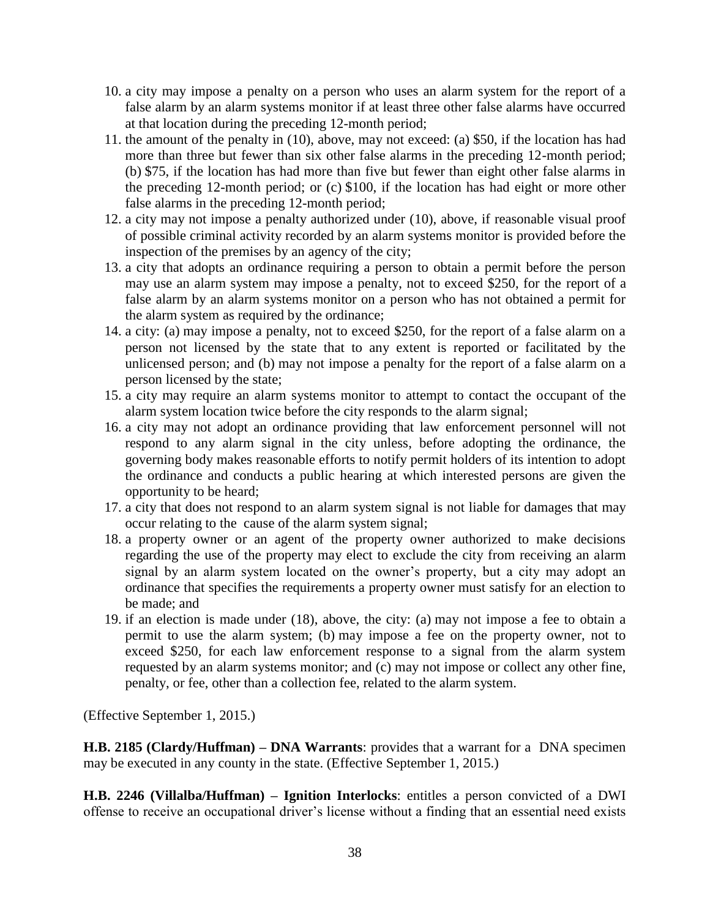- 10. a city may impose a penalty on a person who uses an alarm system for the report of a false alarm by an alarm systems monitor if at least three other false alarms have occurred at that location during the preceding 12-month period;
- 11. the amount of the penalty in (10), above, may not exceed: (a) \$50, if the location has had more than three but fewer than six other false alarms in the preceding 12-month period; (b) \$75, if the location has had more than five but fewer than eight other false alarms in the preceding 12-month period; or (c) \$100, if the location has had eight or more other false alarms in the preceding 12-month period;
- 12. a city may not impose a penalty authorized under (10), above, if reasonable visual proof of possible criminal activity recorded by an alarm systems monitor is provided before the inspection of the premises by an agency of the city;
- 13. a city that adopts an ordinance requiring a person to obtain a permit before the person may use an alarm system may impose a penalty, not to exceed \$250, for the report of a false alarm by an alarm systems monitor on a person who has not obtained a permit for the alarm system as required by the ordinance;
- 14. a city: (a) may impose a penalty, not to exceed \$250, for the report of a false alarm on a person not licensed by the state that to any extent is reported or facilitated by the unlicensed person; and (b) may not impose a penalty for the report of a false alarm on a person licensed by the state;
- 15. a city may require an alarm systems monitor to attempt to contact the occupant of the alarm system location twice before the city responds to the alarm signal;
- 16. a city may not adopt an ordinance providing that law enforcement personnel will not respond to any alarm signal in the city unless, before adopting the ordinance, the governing body makes reasonable efforts to notify permit holders of its intention to adopt the ordinance and conducts a public hearing at which interested persons are given the opportunity to be heard;
- 17. a city that does not respond to an alarm system signal is not liable for damages that may occur relating to the cause of the alarm system signal;
- 18. a property owner or an agent of the property owner authorized to make decisions regarding the use of the property may elect to exclude the city from receiving an alarm signal by an alarm system located on the owner's property, but a city may adopt an ordinance that specifies the requirements a property owner must satisfy for an election to be made; and
- 19. if an election is made under (18), above, the city: (a) may not impose a fee to obtain a permit to use the alarm system; (b) may impose a fee on the property owner, not to exceed \$250, for each law enforcement response to a signal from the alarm system requested by an alarm systems monitor; and (c) may not impose or collect any other fine, penalty, or fee, other than a collection fee, related to the alarm system.

(Effective September 1, 2015.)

**H.B. 2185 (Clardy/Huffman) – DNA Warrants**: provides that a warrant for a DNA specimen may be executed in any county in the state. (Effective September 1, 2015.)

**H.B. 2246 (Villalba/Huffman) – Ignition Interlocks**: entitles a person convicted of a DWI offense to receive an occupational driver's license without a finding that an essential need exists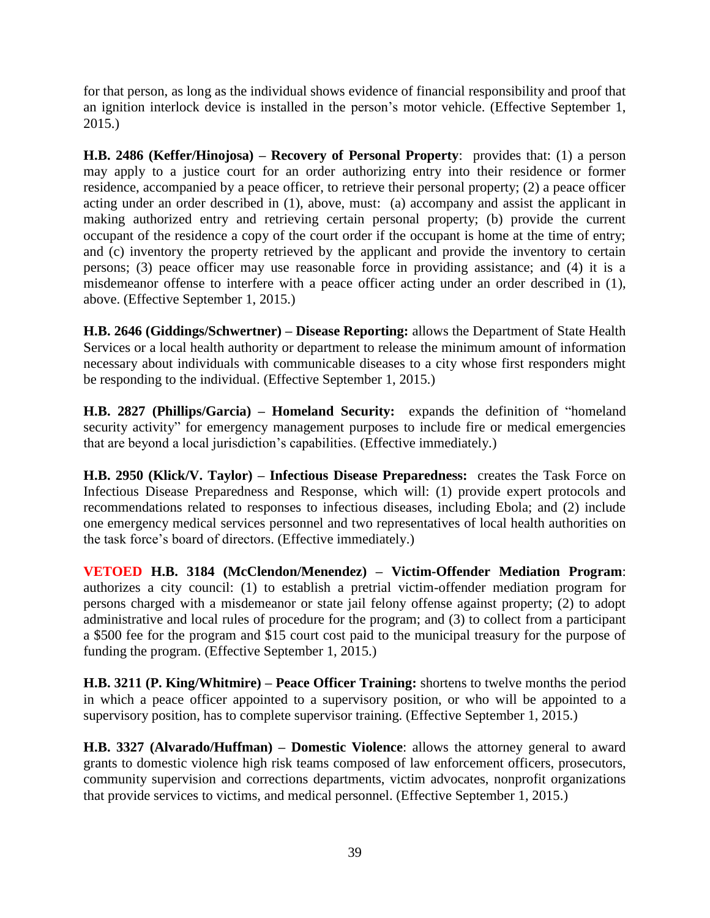for that person, as long as the individual shows evidence of financial responsibility and proof that an ignition interlock device is installed in the person's motor vehicle. (Effective September 1, 2015.)

**H.B. 2486 (Keffer/Hinojosa) – Recovery of Personal Property**: provides that: (1) a person may apply to a justice court for an order authorizing entry into their residence or former residence, accompanied by a peace officer, to retrieve their personal property; (2) a peace officer acting under an order described in (1), above, must: (a) accompany and assist the applicant in making authorized entry and retrieving certain personal property; (b) provide the current occupant of the residence a copy of the court order if the occupant is home at the time of entry; and (c) inventory the property retrieved by the applicant and provide the inventory to certain persons; (3) peace officer may use reasonable force in providing assistance; and (4) it is a misdemeanor offense to interfere with a peace officer acting under an order described in (1), above. (Effective September 1, 2015.)

**H.B. 2646 (Giddings/Schwertner) – Disease Reporting:** allows the Department of State Health Services or a local health authority or department to release the minimum amount of information necessary about individuals with communicable diseases to a city whose first responders might be responding to the individual. (Effective September 1, 2015.)

**H.B. 2827 (Phillips/Garcia) – Homeland Security:** expands the definition of "homeland security activity" for emergency management purposes to include fire or medical emergencies that are beyond a local jurisdiction's capabilities. (Effective immediately.)

**H.B. 2950 (Klick/V. Taylor) – Infectious Disease Preparedness:** creates the Task Force on Infectious Disease Preparedness and Response, which will: (1) provide expert protocols and recommendations related to responses to infectious diseases, including Ebola; and (2) include one emergency medical services personnel and two representatives of local health authorities on the task force's board of directors. (Effective immediately.)

**VETOED H.B. 3184 (McClendon/Menendez) – Victim-Offender Mediation Program**: authorizes a city council: (1) to establish a pretrial victim-offender mediation program for persons charged with a misdemeanor or state jail felony offense against property; (2) to adopt administrative and local rules of procedure for the program; and (3) to collect from a participant a \$500 fee for the program and \$15 court cost paid to the municipal treasury for the purpose of funding the program. (Effective September 1, 2015.)

**H.B. 3211 (P. King/Whitmire) – Peace Officer Training:** shortens to twelve months the period in which a peace officer appointed to a supervisory position, or who will be appointed to a supervisory position, has to complete supervisor training. (Effective September 1, 2015.)

**H.B. 3327 (Alvarado/Huffman) – Domestic Violence**: allows the attorney general to award grants to domestic violence high risk teams composed of law enforcement officers, prosecutors, community supervision and corrections departments, victim advocates, nonprofit organizations that provide services to victims, and medical personnel. (Effective September 1, 2015.)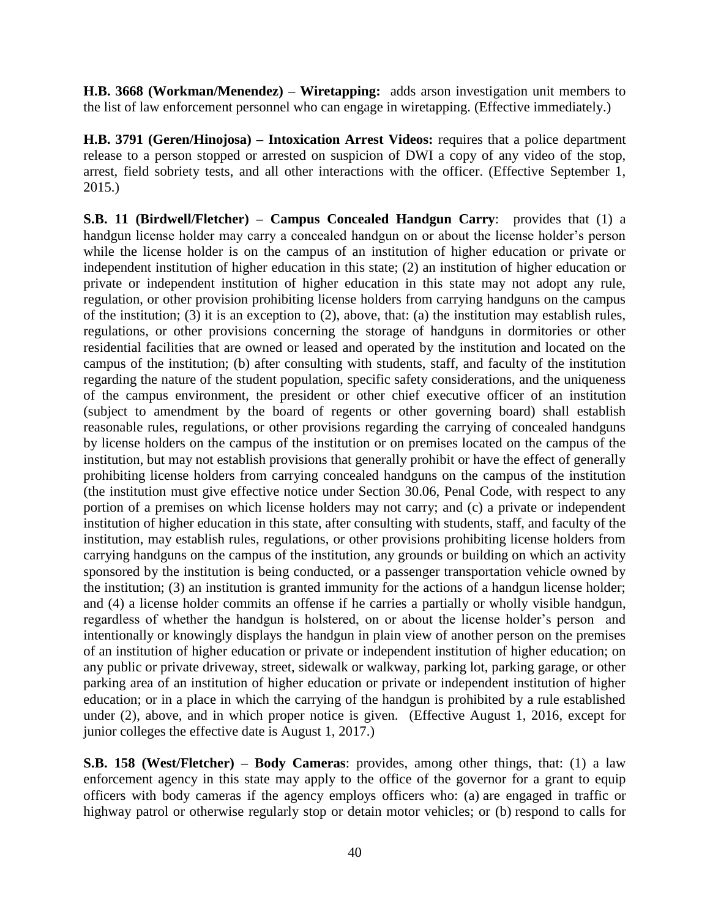**H.B. 3668 (Workman/Menendez) – Wiretapping:** adds arson investigation unit members to the list of law enforcement personnel who can engage in wiretapping. (Effective immediately.)

**H.B. 3791 (Geren/Hinojosa) – Intoxication Arrest Videos:** requires that a police department release to a person stopped or arrested on suspicion of DWI a copy of any video of the stop, arrest, field sobriety tests, and all other interactions with the officer. (Effective September 1, 2015.)

**S.B. 11 (Birdwell/Fletcher) – Campus Concealed Handgun Carry**: provides that (1) a handgun license holder may carry a concealed handgun on or about the license holder's person while the license holder is on the campus of an institution of higher education or private or independent institution of higher education in this state; (2) an institution of higher education or private or independent institution of higher education in this state may not adopt any rule, regulation, or other provision prohibiting license holders from carrying handguns on the campus of the institution; (3) it is an exception to (2), above, that: (a) the institution may establish rules, regulations, or other provisions concerning the storage of handguns in dormitories or other residential facilities that are owned or leased and operated by the institution and located on the campus of the institution; (b) after consulting with students, staff, and faculty of the institution regarding the nature of the student population, specific safety considerations, and the uniqueness of the campus environment, the president or other chief executive officer of an institution (subject to amendment by the board of regents or other governing board) shall establish reasonable rules, regulations, or other provisions regarding the carrying of concealed handguns by license holders on the campus of the institution or on premises located on the campus of the institution, but may not establish provisions that generally prohibit or have the effect of generally prohibiting license holders from carrying concealed handguns on the campus of the institution (the institution must give effective notice under Section 30.06, Penal Code, with respect to any portion of a premises on which license holders may not carry; and (c) a private or independent institution of higher education in this state, after consulting with students, staff, and faculty of the institution, may establish rules, regulations, or other provisions prohibiting license holders from carrying handguns on the campus of the institution, any grounds or building on which an activity sponsored by the institution is being conducted, or a passenger transportation vehicle owned by the institution; (3) an institution is granted immunity for the actions of a handgun license holder; and (4) a license holder commits an offense if he carries a partially or wholly visible handgun, regardless of whether the handgun is holstered, on or about the license holder's person and intentionally or knowingly displays the handgun in plain view of another person on the premises of an institution of higher education or private or independent institution of higher education; on any public or private driveway, street, sidewalk or walkway, parking lot, parking garage, or other parking area of an institution of higher education or private or independent institution of higher education; or in a place in which the carrying of the handgun is prohibited by a rule established under (2), above, and in which proper notice is given. (Effective August 1, 2016, except for junior colleges the effective date is August 1, 2017.)

**S.B. 158 (West/Fletcher) – Body Cameras**: provides, among other things, that: (1) a law enforcement agency in this state may apply to the office of the governor for a grant to equip officers with body cameras if the agency employs officers who: (a) are engaged in traffic or highway patrol or otherwise regularly stop or detain motor vehicles; or (b) respond to calls for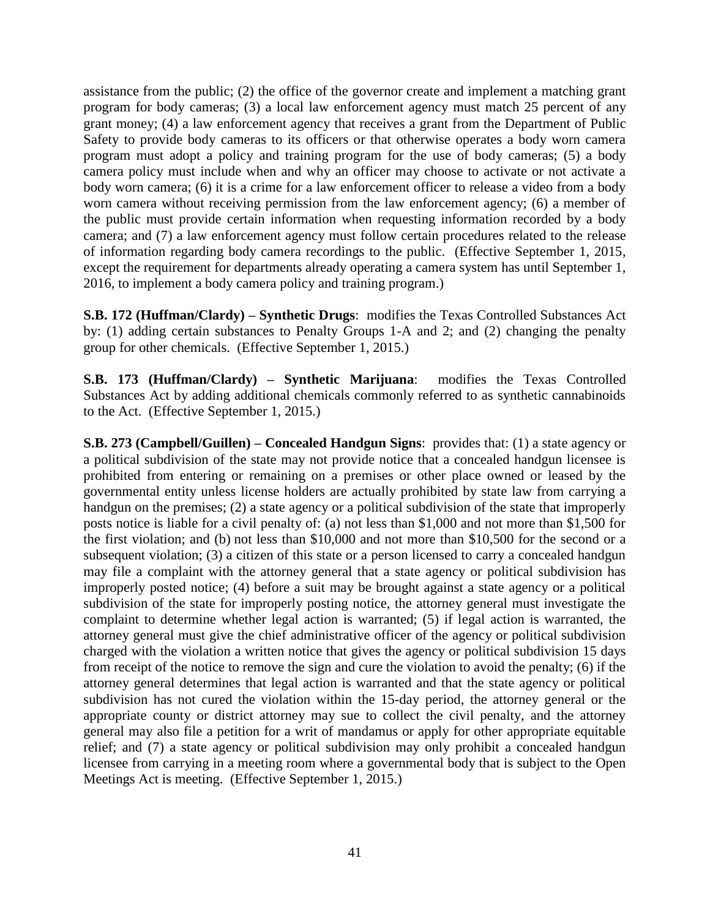assistance from the public; (2) the office of the governor create and implement a matching grant program for body cameras; (3) a local law enforcement agency must match 25 percent of any grant money; (4) a law enforcement agency that receives a grant from the Department of Public Safety to provide body cameras to its officers or that otherwise operates a body worn camera program must adopt a policy and training program for the use of body cameras; (5) a body camera policy must include when and why an officer may choose to activate or not activate a body worn camera; (6) it is a crime for a law enforcement officer to release a video from a body worn camera without receiving permission from the law enforcement agency; (6) a member of the public must provide certain information when requesting information recorded by a body camera; and (7) a law enforcement agency must follow certain procedures related to the release of information regarding body camera recordings to the public. (Effective September 1, 2015, except the requirement for departments already operating a camera system has until September 1, 2016, to implement a body camera policy and training program.)

**S.B. 172 (Huffman/Clardy) – Synthetic Drugs**: modifies the Texas Controlled Substances Act by: (1) adding certain substances to Penalty Groups 1-A and 2; and (2) changing the penalty group for other chemicals. (Effective September 1, 2015.)

**S.B. 173 (Huffman/Clardy) – Synthetic Marijuana**: modifies the Texas Controlled Substances Act by adding additional chemicals commonly referred to as synthetic cannabinoids to the Act. (Effective September 1, 2015.)

**S.B. 273 (Campbell/Guillen) – Concealed Handgun Signs**: provides that: (1) a state agency or a political subdivision of the state may not provide notice that a concealed handgun licensee is prohibited from entering or remaining on a premises or other place owned or leased by the governmental entity unless license holders are actually prohibited by state law from carrying a handgun on the premises; (2) a state agency or a political subdivision of the state that improperly posts notice is liable for a civil penalty of: (a) not less than \$1,000 and not more than \$1,500 for the first violation; and (b) not less than \$10,000 and not more than \$10,500 for the second or a subsequent violation; (3) a citizen of this state or a person licensed to carry a concealed handgun may file a complaint with the attorney general that a state agency or political subdivision has improperly posted notice; (4) before a suit may be brought against a state agency or a political subdivision of the state for improperly posting notice, the attorney general must investigate the complaint to determine whether legal action is warranted; (5) if legal action is warranted, the attorney general must give the chief administrative officer of the agency or political subdivision charged with the violation a written notice that gives the agency or political subdivision 15 days from receipt of the notice to remove the sign and cure the violation to avoid the penalty; (6) if the attorney general determines that legal action is warranted and that the state agency or political subdivision has not cured the violation within the 15-day period, the attorney general or the appropriate county or district attorney may sue to collect the civil penalty, and the attorney general may also file a petition for a writ of mandamus or apply for other appropriate equitable relief; and (7) a state agency or political subdivision may only prohibit a concealed handgun licensee from carrying in a meeting room where a governmental body that is subject to the Open Meetings Act is meeting. (Effective September 1, 2015.)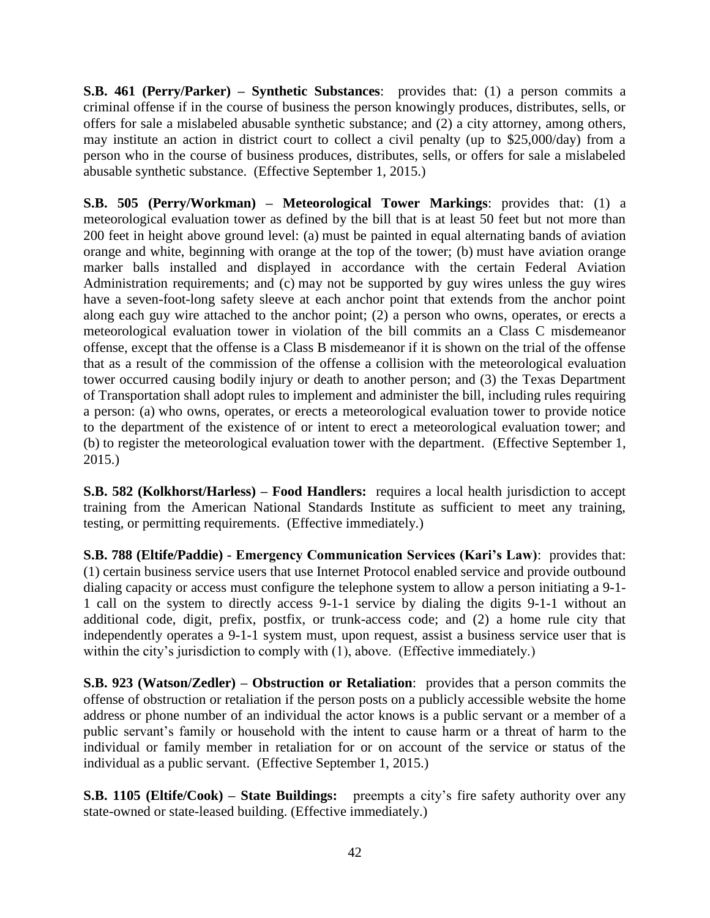**S.B. 461 (Perry/Parker) – Synthetic Substances**: provides that: (1) a person commits a criminal offense if in the course of business the person knowingly produces, distributes, sells, or offers for sale a mislabeled abusable synthetic substance; and (2) a city attorney, among others, may institute an action in district court to collect a civil penalty (up to \$25,000/day) from a person who in the course of business produces, distributes, sells, or offers for sale a mislabeled abusable synthetic substance. (Effective September 1, 2015.)

**S.B. 505 (Perry/Workman) – Meteorological Tower Markings**: provides that: (1) a meteorological evaluation tower as defined by the bill that is at least 50 feet but not more than 200 feet in height above ground level: (a) must be painted in equal alternating bands of aviation orange and white, beginning with orange at the top of the tower; (b) must have aviation orange marker balls installed and displayed in accordance with the certain Federal Aviation Administration requirements; and (c) may not be supported by guy wires unless the guy wires have a seven-foot-long safety sleeve at each anchor point that extends from the anchor point along each guy wire attached to the anchor point; (2) a person who owns, operates, or erects a meteorological evaluation tower in violation of the bill commits an a Class C misdemeanor offense, except that the offense is a Class B misdemeanor if it is shown on the trial of the offense that as a result of the commission of the offense a collision with the meteorological evaluation tower occurred causing bodily injury or death to another person; and (3) the Texas Department of Transportation shall adopt rules to implement and administer the bill, including rules requiring a person: (a) who owns, operates, or erects a meteorological evaluation tower to provide notice to the department of the existence of or intent to erect a meteorological evaluation tower; and (b) to register the meteorological evaluation tower with the department. (Effective September 1, 2015.)

**S.B. 582 (Kolkhorst/Harless) – Food Handlers:** requires a local health jurisdiction to accept training from the American National Standards Institute as sufficient to meet any training, testing, or permitting requirements. (Effective immediately.)

**S.B. 788 (Eltife/Paddie) - Emergency Communication Services (Kari's Law)**: provides that: (1) certain business service users that use Internet Protocol enabled service and provide outbound dialing capacity or access must configure the telephone system to allow a person initiating a 9-1- 1 call on the system to directly access 9-1-1 service by dialing the digits 9-1-1 without an additional code, digit, prefix, postfix, or trunk-access code; and (2) a home rule city that independently operates a 9-1-1 system must, upon request, assist a business service user that is within the city's jurisdiction to comply with (1), above. (Effective immediately.)

**S.B. 923 (Watson/Zedler) – Obstruction or Retaliation**: provides that a person commits the offense of obstruction or retaliation if the person posts on a publicly accessible website the home address or phone number of an individual the actor knows is a public servant or a member of a public servant's family or household with the intent to cause harm or a threat of harm to the individual or family member in retaliation for or on account of the service or status of the individual as a public servant. (Effective September 1, 2015.)

**S.B. 1105 (Eltife/Cook) – State Buildings:** preempts a city's fire safety authority over any state-owned or state-leased building. (Effective immediately.)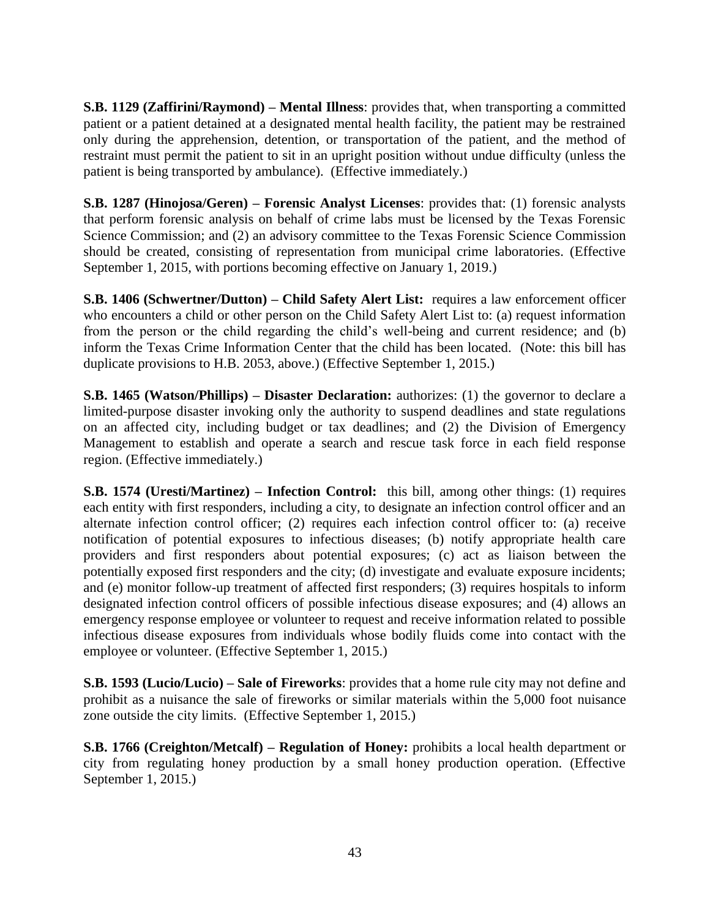**S.B. 1129 (Zaffirini/Raymond) – Mental Illness**: provides that, when transporting a committed patient or a patient detained at a designated mental health facility, the patient may be restrained only during the apprehension, detention, or transportation of the patient, and the method of restraint must permit the patient to sit in an upright position without undue difficulty (unless the patient is being transported by ambulance). (Effective immediately.)

**S.B. 1287 (Hinojosa/Geren) – Forensic Analyst Licenses**: provides that: (1) forensic analysts that perform forensic analysis on behalf of crime labs must be licensed by the Texas Forensic Science Commission; and (2) an advisory committee to the Texas Forensic Science Commission should be created, consisting of representation from municipal crime laboratories. (Effective September 1, 2015, with portions becoming effective on January 1, 2019.)

**S.B. 1406 (Schwertner/Dutton) – Child Safety Alert List:** requires a law enforcement officer who encounters a child or other person on the Child Safety Alert List to: (a) request information from the person or the child regarding the child's well-being and current residence; and (b) inform the Texas Crime Information Center that the child has been located. (Note: this bill has duplicate provisions to H.B. 2053, above.) (Effective September 1, 2015.)

**S.B. 1465 (Watson/Phillips) – Disaster Declaration:** authorizes: (1) the governor to declare a limited-purpose disaster invoking only the authority to suspend deadlines and state regulations on an affected city, including budget or tax deadlines; and (2) the Division of Emergency Management to establish and operate a search and rescue task force in each field response region. (Effective immediately.)

**S.B. 1574 (Uresti/Martinez) – Infection Control:** this bill, among other things: (1) requires each entity with first responders, including a city, to designate an infection control officer and an alternate infection control officer; (2) requires each infection control officer to: (a) receive notification of potential exposures to infectious diseases; (b) notify appropriate health care providers and first responders about potential exposures; (c) act as liaison between the potentially exposed first responders and the city; (d) investigate and evaluate exposure incidents; and (e) monitor follow-up treatment of affected first responders; (3) requires hospitals to inform designated infection control officers of possible infectious disease exposures; and (4) allows an emergency response employee or volunteer to request and receive information related to possible infectious disease exposures from individuals whose bodily fluids come into contact with the employee or volunteer. (Effective September 1, 2015.)

**S.B. 1593 (Lucio/Lucio) – Sale of Fireworks**: provides that a home rule city may not define and prohibit as a nuisance the sale of fireworks or similar materials within the 5,000 foot nuisance zone outside the city limits. (Effective September 1, 2015.)

**S.B. 1766 (Creighton/Metcalf) – Regulation of Honey:** prohibits a local health department or city from regulating honey production by a small honey production operation. (Effective September 1, 2015.)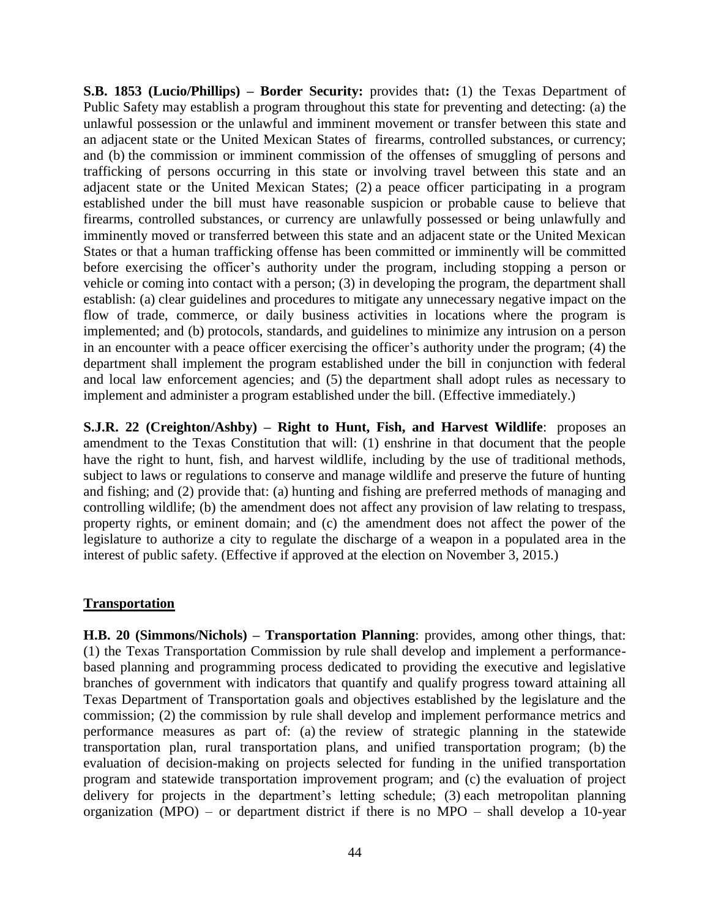**S.B. 1853 (Lucio/Phillips) – Border Security:** provides that**:** (1) the Texas Department of Public Safety may establish a program throughout this state for preventing and detecting: (a) the unlawful possession or the unlawful and imminent movement or transfer between this state and an adjacent state or the United Mexican States of firearms, controlled substances, or currency; and (b) the commission or imminent commission of the offenses of smuggling of persons and trafficking of persons occurring in this state or involving travel between this state and an adjacent state or the United Mexican States; (2) a peace officer participating in a program established under the bill must have reasonable suspicion or probable cause to believe that firearms, controlled substances, or currency are unlawfully possessed or being unlawfully and imminently moved or transferred between this state and an adjacent state or the United Mexican States or that a human trafficking offense has been committed or imminently will be committed before exercising the officer's authority under the program, including stopping a person or vehicle or coming into contact with a person; (3) in developing the program, the department shall establish: (a) clear guidelines and procedures to mitigate any unnecessary negative impact on the flow of trade, commerce, or daily business activities in locations where the program is implemented; and (b) protocols, standards, and guidelines to minimize any intrusion on a person in an encounter with a peace officer exercising the officer's authority under the program; (4) the department shall implement the program established under the bill in conjunction with federal and local law enforcement agencies; and (5) the department shall adopt rules as necessary to implement and administer a program established under the bill. (Effective immediately.)

**S.J.R. 22 (Creighton/Ashby) – Right to Hunt, Fish, and Harvest Wildlife**: proposes an amendment to the Texas Constitution that will: (1) enshrine in that document that the people have the right to hunt, fish, and harvest wildlife, including by the use of traditional methods, subject to laws or regulations to conserve and manage wildlife and preserve the future of hunting and fishing; and (2) provide that: (a) hunting and fishing are preferred methods of managing and controlling wildlife; (b) the amendment does not affect any provision of law relating to trespass, property rights, or eminent domain; and (c) the amendment does not affect the power of the legislature to authorize a city to regulate the discharge of a weapon in a populated area in the interest of public safety. (Effective if approved at the election on November 3, 2015.)

#### **Transportation**

**H.B. 20 (Simmons/Nichols) – Transportation Planning**: provides, among other things, that: (1) the Texas Transportation Commission by rule shall develop and implement a performancebased planning and programming process dedicated to providing the executive and legislative branches of government with indicators that quantify and qualify progress toward attaining all Texas Department of Transportation goals and objectives established by the legislature and the commission; (2) the commission by rule shall develop and implement performance metrics and performance measures as part of: (a) the review of strategic planning in the statewide transportation plan, rural transportation plans, and unified transportation program; (b) the evaluation of decision-making on projects selected for funding in the unified transportation program and statewide transportation improvement program; and (c) the evaluation of project delivery for projects in the department's letting schedule; (3) each metropolitan planning organization (MPO) – or department district if there is no MPO – shall develop a 10-year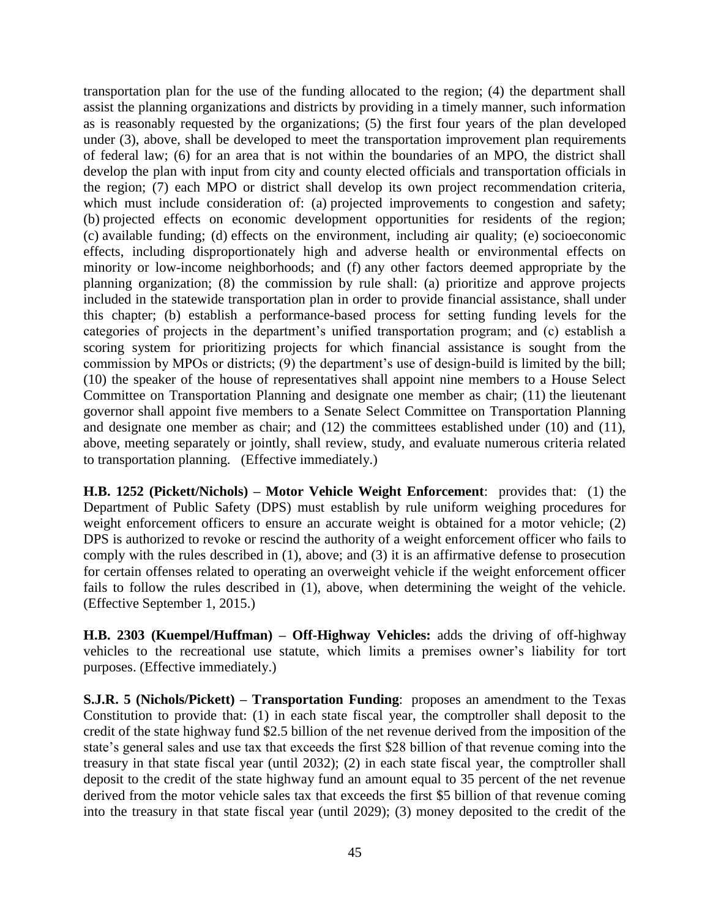transportation plan for the use of the funding allocated to the region; (4) the department shall assist the planning organizations and districts by providing in a timely manner, such information as is reasonably requested by the organizations; (5) the first four years of the plan developed under (3), above, shall be developed to meet the transportation improvement plan requirements of federal law; (6) for an area that is not within the boundaries of an MPO, the district shall develop the plan with input from city and county elected officials and transportation officials in the region; (7) each MPO or district shall develop its own project recommendation criteria, which must include consideration of: (a) projected improvements to congestion and safety; (b) projected effects on economic development opportunities for residents of the region; (c) available funding; (d) effects on the environment, including air quality; (e) socioeconomic effects, including disproportionately high and adverse health or environmental effects on minority or low-income neighborhoods; and (f) any other factors deemed appropriate by the planning organization; (8) the commission by rule shall: (a) prioritize and approve projects included in the statewide transportation plan in order to provide financial assistance, shall under this chapter; (b) establish a performance-based process for setting funding levels for the categories of projects in the department's unified transportation program; and (c) establish a scoring system for prioritizing projects for which financial assistance is sought from the commission by MPOs or districts; (9) the department's use of design-build is limited by the bill; (10) the speaker of the house of representatives shall appoint nine members to a House Select Committee on Transportation Planning and designate one member as chair; (11) the lieutenant governor shall appoint five members to a Senate Select Committee on Transportation Planning and designate one member as chair; and (12) the committees established under (10) and (11), above, meeting separately or jointly, shall review, study, and evaluate numerous criteria related to transportation planning. (Effective immediately.)

**H.B. 1252 (Pickett/Nichols) – Motor Vehicle Weight Enforcement**: provides that: (1) the Department of Public Safety (DPS) must establish by rule uniform weighing procedures for weight enforcement officers to ensure an accurate weight is obtained for a motor vehicle; (2) DPS is authorized to revoke or rescind the authority of a weight enforcement officer who fails to comply with the rules described in (1), above; and (3) it is an affirmative defense to prosecution for certain offenses related to operating an overweight vehicle if the weight enforcement officer fails to follow the rules described in (1), above, when determining the weight of the vehicle. (Effective September 1, 2015.)

**H.B. 2303 (Kuempel/Huffman) – Off-Highway Vehicles:** adds the driving of off-highway vehicles to the recreational use statute, which limits a premises owner's liability for tort purposes. (Effective immediately.)

**S.J.R. 5 (Nichols/Pickett) – Transportation Funding**: proposes an amendment to the Texas Constitution to provide that: (1) in each state fiscal year, the comptroller shall deposit to the credit of the state highway fund \$2.5 billion of the net revenue derived from the imposition of the state's general sales and use tax that exceeds the first \$28 billion of that revenue coming into the treasury in that state fiscal year (until 2032); (2) in each state fiscal year, the comptroller shall deposit to the credit of the state highway fund an amount equal to 35 percent of the net revenue derived from the motor vehicle sales tax that exceeds the first \$5 billion of that revenue coming into the treasury in that state fiscal year (until 2029); (3) money deposited to the credit of the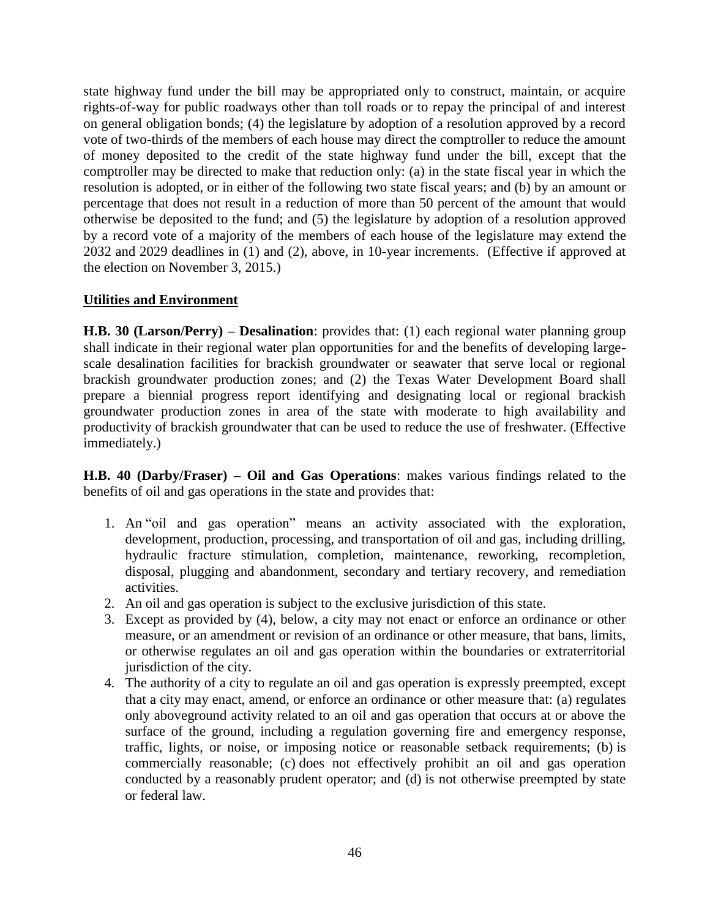state highway fund under the bill may be appropriated only to construct, maintain, or acquire rights-of-way for public roadways other than toll roads or to repay the principal of and interest on general obligation bonds; (4) the legislature by adoption of a resolution approved by a record vote of two-thirds of the members of each house may direct the comptroller to reduce the amount of money deposited to the credit of the state highway fund under the bill, except that the comptroller may be directed to make that reduction only: (a) in the state fiscal year in which the resolution is adopted, or in either of the following two state fiscal years; and (b) by an amount or percentage that does not result in a reduction of more than 50 percent of the amount that would otherwise be deposited to the fund; and (5) the legislature by adoption of a resolution approved by a record vote of a majority of the members of each house of the legislature may extend the 2032 and 2029 deadlines in (1) and (2), above, in 10-year increments. (Effective if approved at the election on November 3, 2015.)

#### **Utilities and Environment**

**H.B. 30 (Larson/Perry) – Desalination**: provides that: (1) each regional water planning group shall indicate in their regional water plan opportunities for and the benefits of developing largescale desalination facilities for brackish groundwater or seawater that serve local or regional brackish groundwater production zones; and (2) the Texas Water Development Board shall prepare a biennial progress report identifying and designating local or regional brackish groundwater production zones in area of the state with moderate to high availability and productivity of brackish groundwater that can be used to reduce the use of freshwater. (Effective immediately.)

**H.B. 40 (Darby/Fraser) – Oil and Gas Operations**: makes various findings related to the benefits of oil and gas operations in the state and provides that:

- 1. An "oil and gas operation" means an activity associated with the exploration, development, production, processing, and transportation of oil and gas, including drilling, hydraulic fracture stimulation, completion, maintenance, reworking, recompletion, disposal, plugging and abandonment, secondary and tertiary recovery, and remediation activities.
- 2. An oil and gas operation is subject to the exclusive jurisdiction of this state.
- 3. Except as provided by (4), below, a city may not enact or enforce an ordinance or other measure, or an amendment or revision of an ordinance or other measure, that bans, limits, or otherwise regulates an oil and gas operation within the boundaries or extraterritorial jurisdiction of the city.
- 4. The authority of a city to regulate an oil and gas operation is expressly preempted, except that a city may enact, amend, or enforce an ordinance or other measure that: (a) regulates only aboveground activity related to an oil and gas operation that occurs at or above the surface of the ground, including a regulation governing fire and emergency response, traffic, lights, or noise, or imposing notice or reasonable setback requirements; (b) is commercially reasonable; (c) does not effectively prohibit an oil and gas operation conducted by a reasonably prudent operator; and (d) is not otherwise preempted by state or federal law.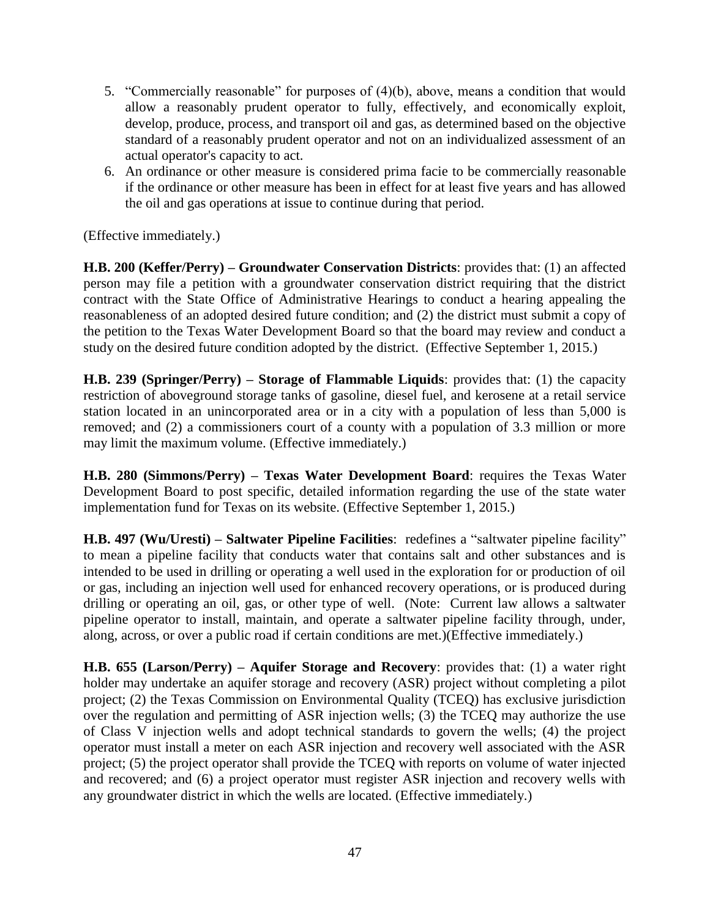- 5. "Commercially reasonable" for purposes of (4)(b), above, means a condition that would allow a reasonably prudent operator to fully, effectively, and economically exploit, develop, produce, process, and transport oil and gas, as determined based on the objective standard of a reasonably prudent operator and not on an individualized assessment of an actual operator's capacity to act.
- 6. An ordinance or other measure is considered prima facie to be commercially reasonable if the ordinance or other measure has been in effect for at least five years and has allowed the oil and gas operations at issue to continue during that period.

(Effective immediately.)

**H.B. 200 (Keffer/Perry) – Groundwater Conservation Districts**: provides that: (1) an affected person may file a petition with a groundwater conservation district requiring that the district contract with the State Office of Administrative Hearings to conduct a hearing appealing the reasonableness of an adopted desired future condition; and (2) the district must submit a copy of the petition to the Texas Water Development Board so that the board may review and conduct a study on the desired future condition adopted by the district. (Effective September 1, 2015.)

**H.B. 239 (Springer/Perry) – Storage of Flammable Liquids**: provides that: (1) the capacity restriction of aboveground storage tanks of gasoline, diesel fuel, and kerosene at a retail service station located in an unincorporated area or in a city with a population of less than 5,000 is removed; and (2) a commissioners court of a county with a population of 3.3 million or more may limit the maximum volume. (Effective immediately.)

**H.B. 280 (Simmons/Perry) – Texas Water Development Board**: requires the Texas Water Development Board to post specific, detailed information regarding the use of the state water implementation fund for Texas on its website. (Effective September 1, 2015.)

**H.B. 497 (Wu/Uresti) – Saltwater Pipeline Facilities**: redefines a "saltwater pipeline facility" to mean a pipeline facility that conducts water that contains salt and other substances and is intended to be used in drilling or operating a well used in the exploration for or production of oil or gas, including an injection well used for enhanced recovery operations, or is produced during drilling or operating an oil, gas, or other type of well. (Note: Current law allows a saltwater pipeline operator to install, maintain, and operate a saltwater pipeline facility through, under, along, across, or over a public road if certain conditions are met.)(Effective immediately.)

**H.B. 655 (Larson/Perry) – Aquifer Storage and Recovery**: provides that: (1) a water right holder may undertake an aquifer storage and recovery (ASR) project without completing a pilot project; (2) the Texas Commission on Environmental Quality (TCEQ) has exclusive jurisdiction over the regulation and permitting of ASR injection wells; (3) the TCEQ may authorize the use of Class V injection wells and adopt technical standards to govern the wells; (4) the project operator must install a meter on each ASR injection and recovery well associated with the ASR project; (5) the project operator shall provide the TCEQ with reports on volume of water injected and recovered; and (6) a project operator must register ASR injection and recovery wells with any groundwater district in which the wells are located. (Effective immediately.)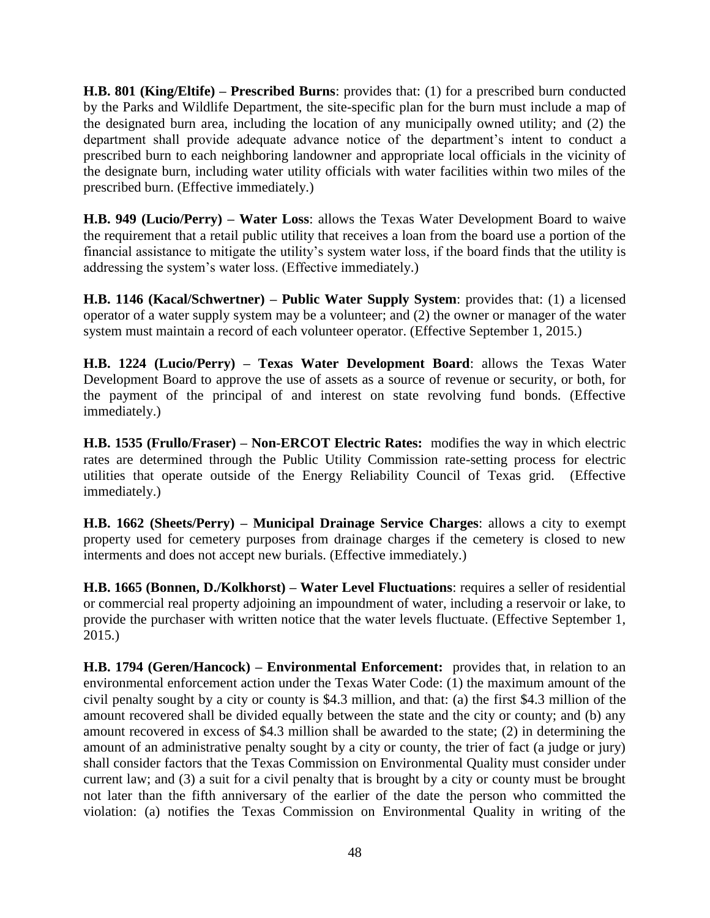**H.B. 801 (King/Eltife) – Prescribed Burns**: provides that: (1) for a prescribed burn conducted by the Parks and Wildlife Department, the site-specific plan for the burn must include a map of the designated burn area, including the location of any municipally owned utility; and (2) the department shall provide adequate advance notice of the department's intent to conduct a prescribed burn to each neighboring landowner and appropriate local officials in the vicinity of the designate burn, including water utility officials with water facilities within two miles of the prescribed burn. (Effective immediately.)

**H.B. 949 (Lucio/Perry) – Water Loss**: allows the Texas Water Development Board to waive the requirement that a retail public utility that receives a loan from the board use a portion of the financial assistance to mitigate the utility's system water loss, if the board finds that the utility is addressing the system's water loss. (Effective immediately.)

**H.B. 1146 (Kacal/Schwertner) – Public Water Supply System**: provides that: (1) a licensed operator of a water supply system may be a volunteer; and (2) the owner or manager of the water system must maintain a record of each volunteer operator. (Effective September 1, 2015.)

**H.B. 1224 (Lucio/Perry) – Texas Water Development Board**: allows the Texas Water Development Board to approve the use of assets as a source of revenue or security, or both, for the payment of the principal of and interest on state revolving fund bonds. (Effective immediately.)

**H.B. 1535 (Frullo/Fraser) – Non-ERCOT Electric Rates:** modifies the way in which electric rates are determined through the Public Utility Commission rate-setting process for electric utilities that operate outside of the Energy Reliability Council of Texas grid. (Effective immediately.)

**H.B. 1662 (Sheets/Perry) – Municipal Drainage Service Charges**: allows a city to exempt property used for cemetery purposes from drainage charges if the cemetery is closed to new interments and does not accept new burials. (Effective immediately.)

**H.B. 1665 (Bonnen, D./Kolkhorst) – Water Level Fluctuations**: requires a seller of residential or commercial real property adjoining an impoundment of water, including a reservoir or lake, to provide the purchaser with written notice that the water levels fluctuate. (Effective September 1, 2015.)

**H.B. 1794 (Geren/Hancock) – Environmental Enforcement:** provides that, in relation to an environmental enforcement action under the Texas Water Code: (1) the maximum amount of the civil penalty sought by a city or county is \$4.3 million, and that: (a) the first \$4.3 million of the amount recovered shall be divided equally between the state and the city or county; and (b) any amount recovered in excess of \$4.3 million shall be awarded to the state; (2) in determining the amount of an administrative penalty sought by a city or county, the trier of fact (a judge or jury) shall consider factors that the Texas Commission on Environmental Quality must consider under current law; and (3) a suit for a civil penalty that is brought by a city or county must be brought not later than the fifth anniversary of the earlier of the date the person who committed the violation: (a) notifies the Texas Commission on Environmental Quality in writing of the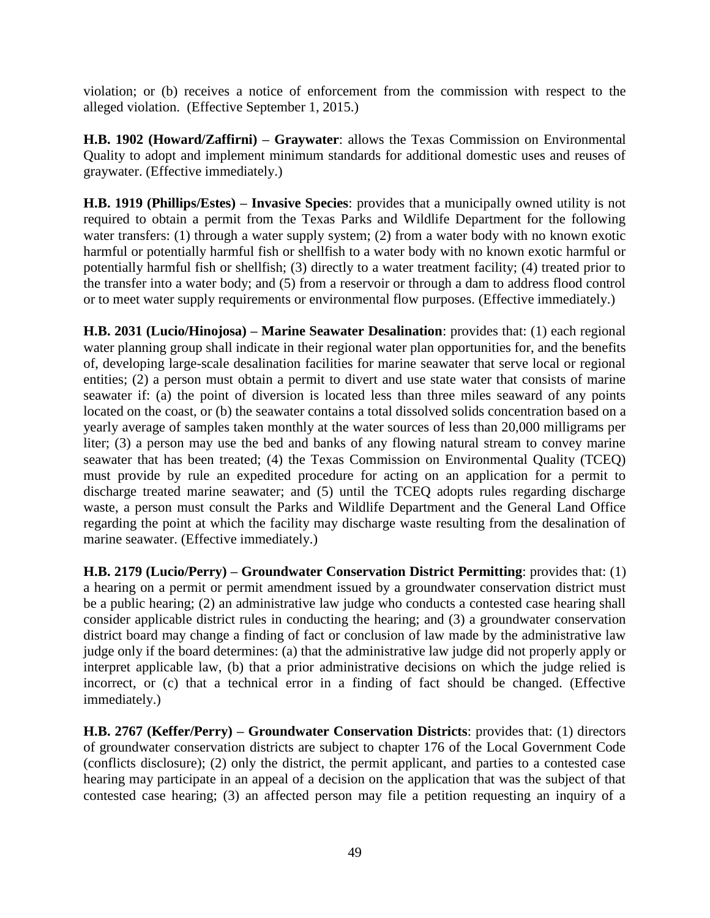violation; or (b) receives a notice of enforcement from the commission with respect to the alleged violation. (Effective September 1, 2015.)

**H.B. 1902 (Howard/Zaffirni) – Graywater**: allows the Texas Commission on Environmental Quality to adopt and implement minimum standards for additional domestic uses and reuses of graywater. (Effective immediately.)

**H.B. 1919 (Phillips/Estes) – Invasive Species**: provides that a municipally owned utility is not required to obtain a permit from the Texas Parks and Wildlife Department for the following water transfers: (1) through a water supply system; (2) from a water body with no known exotic harmful or potentially harmful fish or shellfish to a water body with no known exotic harmful or potentially harmful fish or shellfish; (3) directly to a water treatment facility; (4) treated prior to the transfer into a water body; and (5) from a reservoir or through a dam to address flood control or to meet water supply requirements or environmental flow purposes. (Effective immediately.)

**H.B. 2031 (Lucio/Hinojosa) – Marine Seawater Desalination**: provides that: (1) each regional water planning group shall indicate in their regional water plan opportunities for, and the benefits of, developing large-scale desalination facilities for marine seawater that serve local or regional entities; (2) a person must obtain a permit to divert and use state water that consists of marine seawater if: (a) the point of diversion is located less than three miles seaward of any points located on the coast, or (b) the seawater contains a total dissolved solids concentration based on a yearly average of samples taken monthly at the water sources of less than 20,000 milligrams per liter; (3) a person may use the bed and banks of any flowing natural stream to convey marine seawater that has been treated; (4) the Texas Commission on Environmental Quality (TCEQ) must provide by rule an expedited procedure for acting on an application for a permit to discharge treated marine seawater; and (5) until the TCEQ adopts rules regarding discharge waste, a person must consult the Parks and Wildlife Department and the General Land Office regarding the point at which the facility may discharge waste resulting from the desalination of marine seawater. (Effective immediately.)

**H.B. 2179 (Lucio/Perry) – Groundwater Conservation District Permitting**: provides that: (1) a hearing on a permit or permit amendment issued by a groundwater conservation district must be a public hearing; (2) an administrative law judge who conducts a contested case hearing shall consider applicable district rules in conducting the hearing; and (3) a groundwater conservation district board may change a finding of fact or conclusion of law made by the administrative law judge only if the board determines: (a) that the administrative law judge did not properly apply or interpret applicable law, (b) that a prior administrative decisions on which the judge relied is incorrect, or (c) that a technical error in a finding of fact should be changed. (Effective immediately.)

**H.B. 2767 (Keffer/Perry) – Groundwater Conservation Districts**: provides that: (1) directors of groundwater conservation districts are subject to chapter 176 of the Local Government Code (conflicts disclosure); (2) only the district, the permit applicant, and parties to a contested case hearing may participate in an appeal of a decision on the application that was the subject of that contested case hearing; (3) an affected person may file a petition requesting an inquiry of a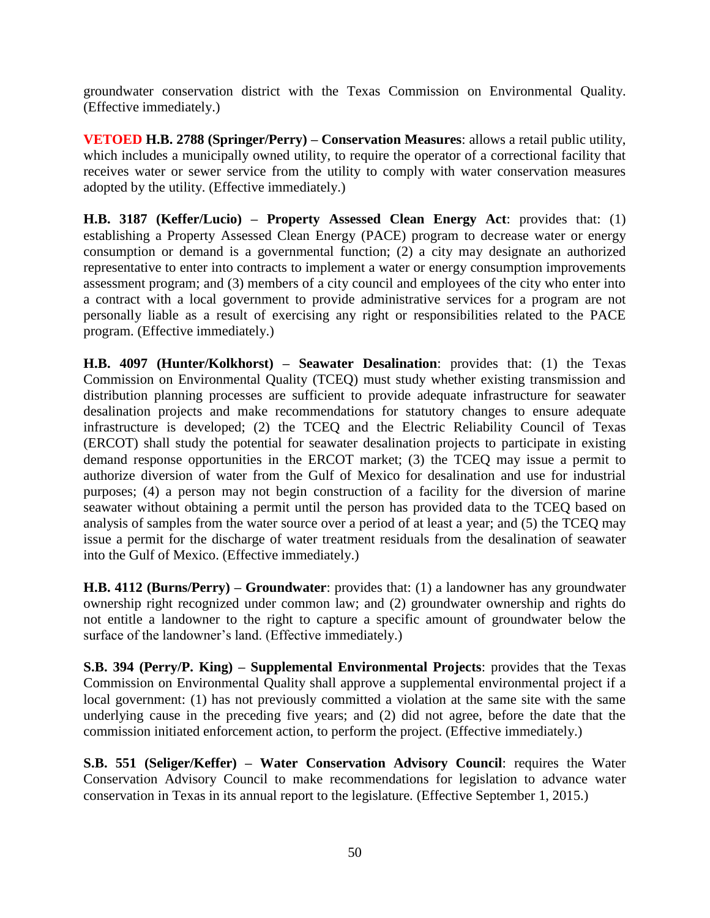groundwater conservation district with the Texas Commission on Environmental Quality. (Effective immediately.)

**VETOED H.B. 2788 (Springer/Perry) – Conservation Measures**: allows a retail public utility, which includes a municipally owned utility, to require the operator of a correctional facility that receives water or sewer service from the utility to comply with water conservation measures adopted by the utility. (Effective immediately.)

**H.B. 3187 (Keffer/Lucio) – Property Assessed Clean Energy Act**: provides that: (1) establishing a Property Assessed Clean Energy (PACE) program to decrease water or energy consumption or demand is a governmental function; (2) a city may designate an authorized representative to enter into contracts to implement a water or energy consumption improvements assessment program; and (3) members of a city council and employees of the city who enter into a contract with a local government to provide administrative services for a program are not personally liable as a result of exercising any right or responsibilities related to the PACE program. (Effective immediately.)

**H.B. 4097 (Hunter/Kolkhorst) – Seawater Desalination**: provides that: (1) the Texas Commission on Environmental Quality (TCEQ) must study whether existing transmission and distribution planning processes are sufficient to provide adequate infrastructure for seawater desalination projects and make recommendations for statutory changes to ensure adequate infrastructure is developed; (2) the TCEQ and the Electric Reliability Council of Texas (ERCOT) shall study the potential for seawater desalination projects to participate in existing demand response opportunities in the ERCOT market; (3) the TCEQ may issue a permit to authorize diversion of water from the Gulf of Mexico for desalination and use for industrial purposes; (4) a person may not begin construction of a facility for the diversion of marine seawater without obtaining a permit until the person has provided data to the TCEQ based on analysis of samples from the water source over a period of at least a year; and (5) the TCEQ may issue a permit for the discharge of water treatment residuals from the desalination of seawater into the Gulf of Mexico. (Effective immediately.)

**H.B. 4112 (Burns/Perry) – Groundwater**: provides that: (1) a landowner has any groundwater ownership right recognized under common law; and (2) groundwater ownership and rights do not entitle a landowner to the right to capture a specific amount of groundwater below the surface of the landowner's land. (Effective immediately.)

**S.B. 394 (Perry/P. King) – Supplemental Environmental Projects**: provides that the Texas Commission on Environmental Quality shall approve a supplemental environmental project if a local government: (1) has not previously committed a violation at the same site with the same underlying cause in the preceding five years; and (2) did not agree, before the date that the commission initiated enforcement action, to perform the project. (Effective immediately.)

**S.B. 551 (Seliger/Keffer) – Water Conservation Advisory Council**: requires the Water Conservation Advisory Council to make recommendations for legislation to advance water conservation in Texas in its annual report to the legislature. (Effective September 1, 2015.)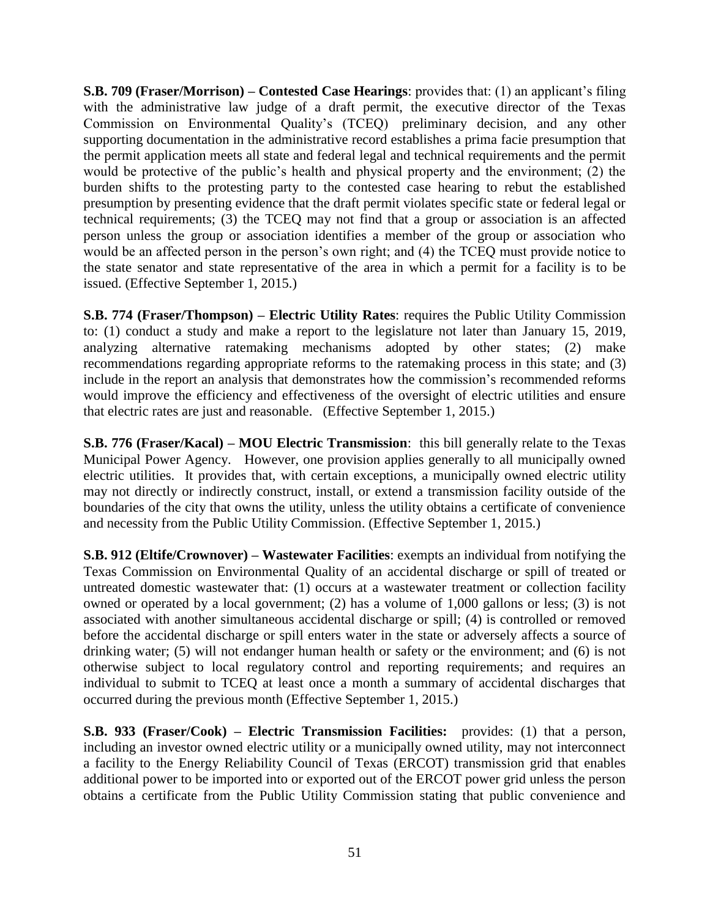**S.B. 709 (Fraser/Morrison) – Contested Case Hearings**: provides that: (1) an applicant's filing with the administrative law judge of a draft permit, the executive director of the Texas Commission on Environmental Quality's (TCEQ) preliminary decision, and any other supporting documentation in the administrative record establishes a prima facie presumption that the permit application meets all state and federal legal and technical requirements and the permit would be protective of the public's health and physical property and the environment; (2) the burden shifts to the protesting party to the contested case hearing to rebut the established presumption by presenting evidence that the draft permit violates specific state or federal legal or technical requirements; (3) the TCEQ may not find that a group or association is an affected person unless the group or association identifies a member of the group or association who would be an affected person in the person's own right; and (4) the TCEQ must provide notice to the state senator and state representative of the area in which a permit for a facility is to be issued. (Effective September 1, 2015.)

**S.B. 774 (Fraser/Thompson) – Electric Utility Rates**: requires the Public Utility Commission to: (1) conduct a study and make a report to the legislature not later than January 15, 2019, analyzing alternative ratemaking mechanisms adopted by other states; (2) make recommendations regarding appropriate reforms to the ratemaking process in this state; and (3) include in the report an analysis that demonstrates how the commission's recommended reforms would improve the efficiency and effectiveness of the oversight of electric utilities and ensure that electric rates are just and reasonable. (Effective September 1, 2015.)

**S.B. 776 (Fraser/Kacal) – MOU Electric Transmission**: this bill generally relate to the Texas Municipal Power Agency. However, one provision applies generally to all municipally owned electric utilities. It provides that, with certain exceptions, a municipally owned electric utility may not directly or indirectly construct, install, or extend a transmission facility outside of the boundaries of the city that owns the utility, unless the utility obtains a certificate of convenience and necessity from the Public Utility Commission. (Effective September 1, 2015.)

**S.B. 912 (Eltife/Crownover) – Wastewater Facilities**: exempts an individual from notifying the Texas Commission on Environmental Quality of an accidental discharge or spill of treated or untreated domestic wastewater that: (1) occurs at a wastewater treatment or collection facility owned or operated by a local government; (2) has a volume of 1,000 gallons or less; (3) is not associated with another simultaneous accidental discharge or spill; (4) is controlled or removed before the accidental discharge or spill enters water in the state or adversely affects a source of drinking water; (5) will not endanger human health or safety or the environment; and (6) is not otherwise subject to local regulatory control and reporting requirements; and requires an individual to submit to TCEQ at least once a month a summary of accidental discharges that occurred during the previous month (Effective September 1, 2015.)

**S.B. 933 (Fraser/Cook) – Electric Transmission Facilities:** provides: (1) that a person, including an investor owned electric utility or a municipally owned utility, may not interconnect a facility to the Energy Reliability Council of Texas (ERCOT) transmission grid that enables additional power to be imported into or exported out of the ERCOT power grid unless the person obtains a certificate from the Public Utility Commission stating that public convenience and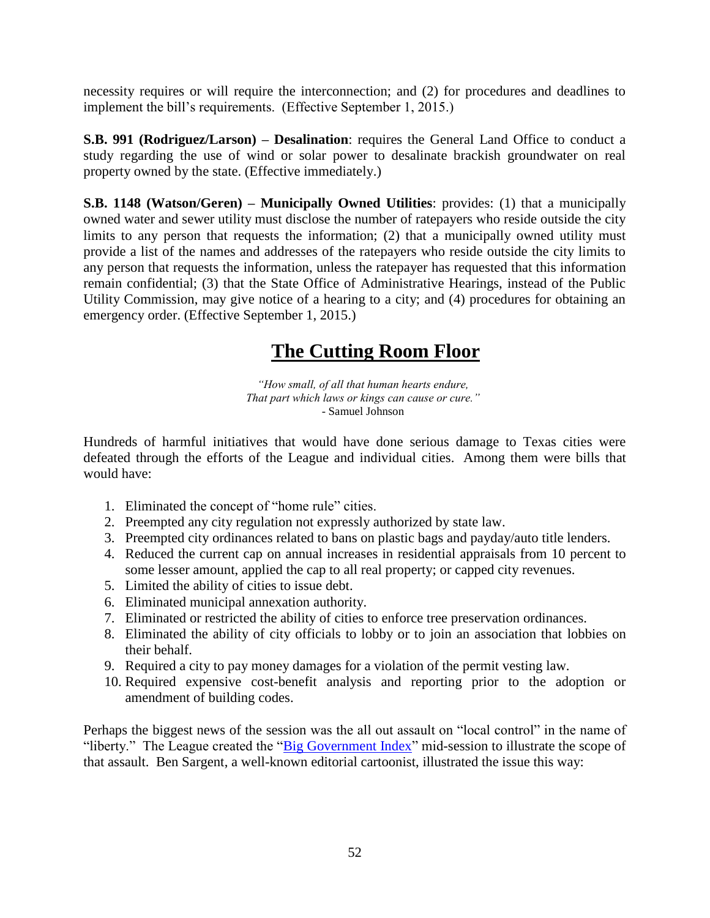necessity requires or will require the interconnection; and (2) for procedures and deadlines to implement the bill's requirements. (Effective September 1, 2015.)

**S.B. 991 (Rodriguez/Larson) – Desalination**: requires the General Land Office to conduct a study regarding the use of wind or solar power to desalinate brackish groundwater on real property owned by the state. (Effective immediately.)

**S.B. 1148 (Watson/Geren) – Municipally Owned Utilities**: provides: (1) that a municipally owned water and sewer utility must disclose the number of ratepayers who reside outside the city limits to any person that requests the information; (2) that a municipally owned utility must provide a list of the names and addresses of the ratepayers who reside outside the city limits to any person that requests the information, unless the ratepayer has requested that this information remain confidential; (3) that the State Office of Administrative Hearings, instead of the Public Utility Commission, may give notice of a hearing to a city; and (4) procedures for obtaining an emergency order. (Effective September 1, 2015.)

# **The Cutting Room Floor**

*"How small, of all that human hearts endure, That part which laws or kings can cause or cure."* - Samuel Johnson

Hundreds of harmful initiatives that would have done serious damage to Texas cities were defeated through the efforts of the League and individual cities. Among them were bills that would have:

- 1. Eliminated the concept of "home rule" cities.
- 2. Preempted any city regulation not expressly authorized by state law.
- 3. Preempted city ordinances related to bans on plastic bags and payday/auto title lenders.
- 4. Reduced the current cap on annual increases in residential appraisals from 10 percent to some lesser amount, applied the cap to all real property; or capped city revenues.
- 5. Limited the ability of cities to issue debt.
- 6. Eliminated municipal annexation authority.
- 7. Eliminated or restricted the ability of cities to enforce tree preservation ordinances.
- 8. Eliminated the ability of city officials to lobby or to join an association that lobbies on their behalf.
- 9. Required a city to pay money damages for a violation of the permit vesting law.
- 10. Required expensive cost-benefit analysis and reporting prior to the adoption or amendment of building codes.

Perhaps the biggest news of the session was the all out assault on "local control" in the name of "liberty." The League created the ["Big Government Index"](http://www.tml.org/status-of-bills-attacking-local-control) mid-session to illustrate the scope of that assault. Ben Sargent, a well-known editorial cartoonist, illustrated the issue this way: